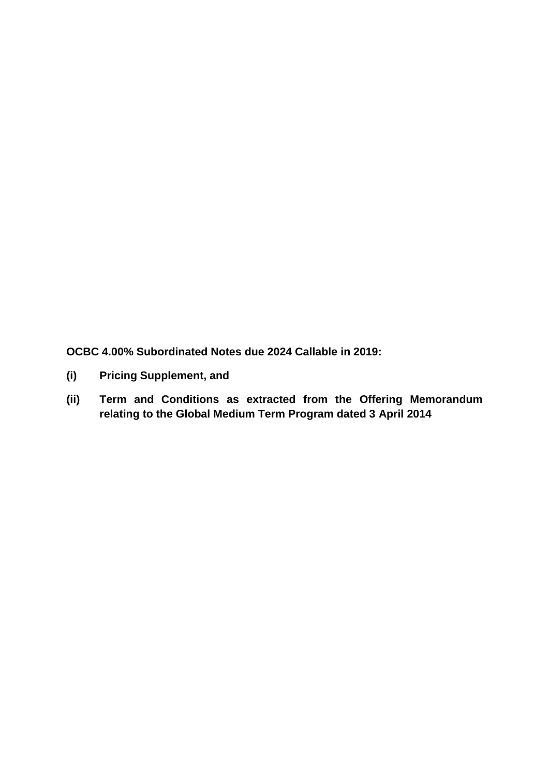**OCBC 4.00% Subordinated Notes due 2024 Callable in 2019:**

- **(i) Pricing Supplement, and**
- **(ii) Term and Conditions as extracted from the Offering Memorandum relating to the Global Medium Term Program dated 3 April 2014**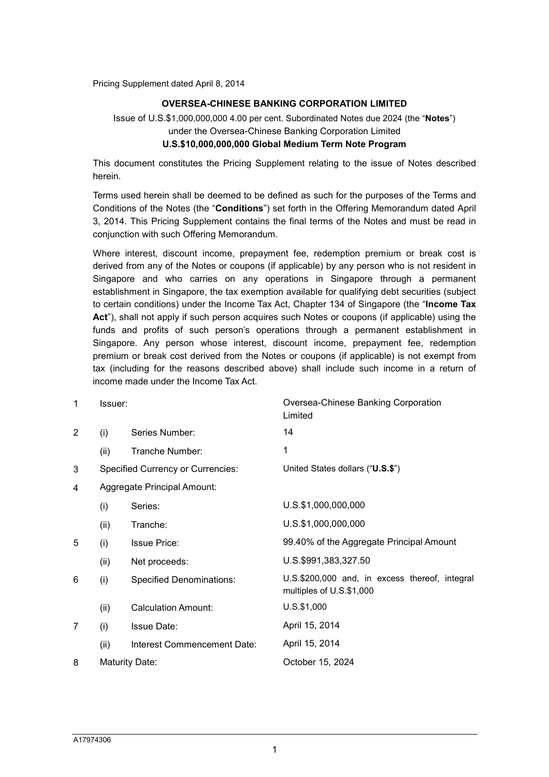Pricing Supplement dated April 8, 2014

#### OVERSEA-CHINESE BANKING CORPORATION LIMITED

Issue of U.S.\$1,000,000,000 4.00 per cent. Subordinated Notes due 2024 (the "Notes") under the Oversea-Chinese Banking Corporation Limited U.S.\$10,000,000,000 Global Medium Term Note Program

This document constitutes the Pricing Supplement relating to the issue of Notes described herein.

Terms used herein shall be deemed to be defined as such for the purposes of the Terms and Conditions of the Notes (the "Conditions") set forth in the Offering Memorandum dated April 3, 2014. This Pricing Supplement contains the final terms of the Notes and must be read in conjunction with such Offering Memorandum.

Where interest, discount income, prepayment fee, redemption premium or break cost is derived from any of the Notes or coupons (if applicable) by any person who is not resident in Singapore and who carries on any operations in Singapore through a permanent establishment in Singapore, the tax exemption available for qualifying debt securities (subject to certain conditions) under the Income Tax Act, Chapter 134 of Singapore (the "Income Tax Act"), shall not apply if such person acquires such Notes or coupons (if applicable) using the funds and profits of such person's operations through a permanent establishment in Singapore. Any person whose interest, discount income, prepayment fee, redemption premium or break cost derived from the Notes or coupons (if applicable) is not exempt from tax (including for the reasons described above) shall include such income in a return of income made under the Income Tax Act.

| 1 | Issuer:                     |                                          | Oversea-Chinese Banking Corporation<br>Limited                             |
|---|-----------------------------|------------------------------------------|----------------------------------------------------------------------------|
| 2 | (i)                         | Series Number:                           | 14                                                                         |
|   | (ii)                        | Tranche Number:                          | 1                                                                          |
| 3 |                             | <b>Specified Currency or Currencies:</b> | United States dollars ("U.S.\$")                                           |
| 4 | Aggregate Principal Amount: |                                          |                                                                            |
|   | (i)                         | Series:                                  | U.S.\$1,000,000,000                                                        |
|   | (ii)                        | Tranche:                                 | U.S.\$1,000,000,000                                                        |
| 5 | (i)                         | <b>Issue Price:</b>                      | 99.40% of the Aggregate Principal Amount                                   |
|   | (ii)                        | Net proceeds:                            | U.S.\$991,383,327.50                                                       |
| 6 | (i)                         | <b>Specified Denominations:</b>          | U.S.\$200,000 and, in excess thereof, integral<br>multiples of U.S.\$1,000 |
|   | (ii)                        | <b>Calculation Amount:</b>               | $U.S.$ \$1,000                                                             |
| 7 | (i)                         | <b>Issue Date:</b>                       | April 15, 2014                                                             |
|   | (ii)                        | Interest Commencement Date:              | April 15, 2014                                                             |
| 8 |                             | Maturity Date:                           | October 15, 2024                                                           |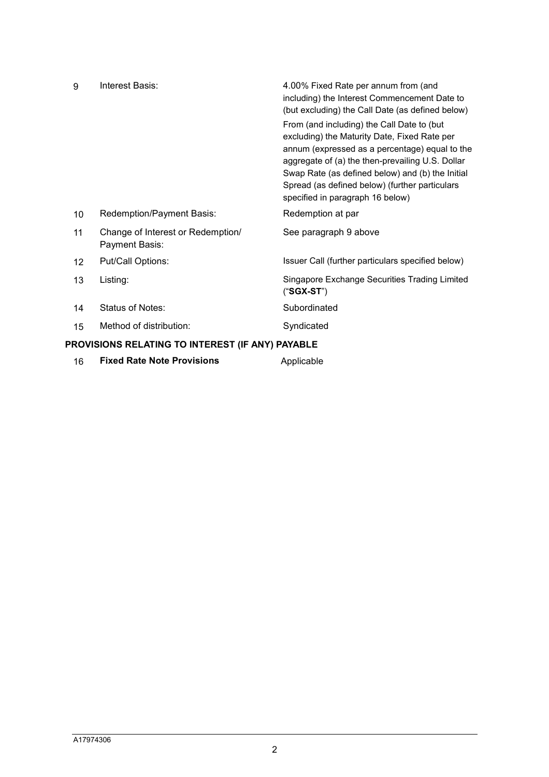| 9                                                | Interest Basis:                                     | 4.00% Fixed Rate per annum from (and<br>including) the Interest Commencement Date to<br>(but excluding) the Call Date (as defined below)<br>From (and including) the Call Date to (but<br>excluding) the Maturity Date, Fixed Rate per<br>annum (expressed as a percentage) equal to the<br>aggregate of (a) the then-prevailing U.S. Dollar<br>Swap Rate (as defined below) and (b) the Initial<br>Spread (as defined below) (further particulars<br>specified in paragraph 16 below) |  |
|--------------------------------------------------|-----------------------------------------------------|----------------------------------------------------------------------------------------------------------------------------------------------------------------------------------------------------------------------------------------------------------------------------------------------------------------------------------------------------------------------------------------------------------------------------------------------------------------------------------------|--|
| 10                                               | Redemption/Payment Basis:                           | Redemption at par                                                                                                                                                                                                                                                                                                                                                                                                                                                                      |  |
| 11                                               | Change of Interest or Redemption/<br>Payment Basis: | See paragraph 9 above                                                                                                                                                                                                                                                                                                                                                                                                                                                                  |  |
| $12 \overline{ }$                                | Put/Call Options:                                   | Issuer Call (further particulars specified below)                                                                                                                                                                                                                                                                                                                                                                                                                                      |  |
| 13                                               | Listing:                                            | Singapore Exchange Securities Trading Limited<br>$("SGX-ST")$                                                                                                                                                                                                                                                                                                                                                                                                                          |  |
| 14                                               | Status of Notes:                                    | Subordinated                                                                                                                                                                                                                                                                                                                                                                                                                                                                           |  |
| 15                                               | Method of distribution:                             | Syndicated                                                                                                                                                                                                                                                                                                                                                                                                                                                                             |  |
| PROVISIONS RELATING TO INTEREST (IF ANY) PAYABLE |                                                     |                                                                                                                                                                                                                                                                                                                                                                                                                                                                                        |  |
| 16                                               | <b>Fixed Rate Note Provisions</b>                   | Applicable                                                                                                                                                                                                                                                                                                                                                                                                                                                                             |  |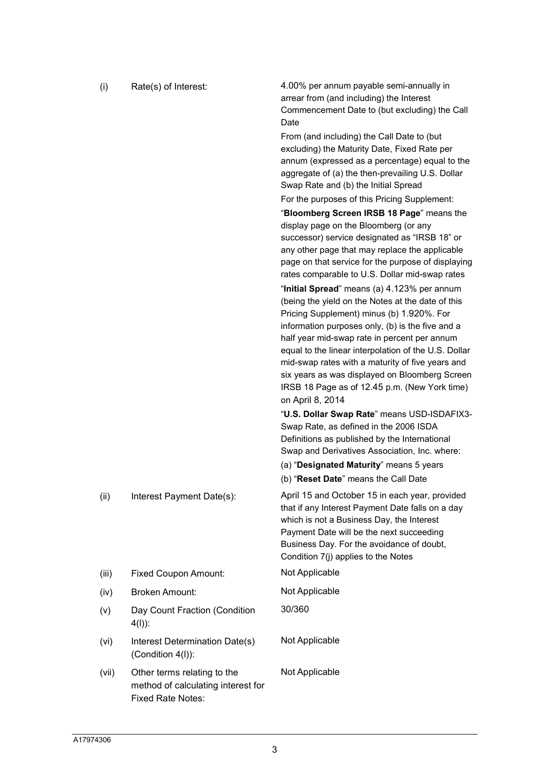| (i)<br>Rate(s) of Interest: |  |
|-----------------------------|--|
|-----------------------------|--|

4.00% per annum payable semi-annually in arrear from (and including) the Interest Commencement Date to (but excluding) the Call **Date** 

From (and including) the Call Date to (but excluding) the Maturity Date, Fixed Rate per annum (expressed as a percentage) equal to the aggregate of (a) the then-prevailing U.S. Dollar Swap Rate and (b) the Initial Spread

For the purposes of this Pricing Supplement:

"Bloomberg Screen IRSB 18 Page" means the display page on the Bloomberg (or any successor) service designated as "IRSB 18" or any other page that may replace the applicable page on that service for the purpose of displaying rates comparable to U.S. Dollar mid-swap rates

"Initial Spread" means (a) 4.123% per annum (being the yield on the Notes at the date of this Pricing Supplement) minus (b) 1.920%. For information purposes only, (b) is the five and a half year mid-swap rate in percent per annum equal to the linear interpolation of the U.S. Dollar mid-swap rates with a maturity of five years and six years as was displayed on Bloomberg Screen IRSB 18 Page as of 12.45 p.m. (New York time) on April 8, 2014

"U.S. Dollar Swap Rate" means USD-ISDAFIX3- Swap Rate, as defined in the 2006 ISDA Definitions as published by the International Swap and Derivatives Association, Inc. where:

(a) "Designated Maturity" means 5 years

(b) "Reset Date" means the Call Date

 (ii) Interest Payment Date(s): April 15 and October 15 in each year, provided that if any Interest Payment Date falls on a day which is not a Business Day, the Interest Payment Date will be the next succeeding Business Day. For the avoidance of doubt, Condition 7(j) applies to the Notes

(iii) Fixed Coupon Amount: Not Applicable

(iv) Broken Amount: Not Applicable

- (v) Day Count Fraction (Condition 4(l)):
- (vi) Interest Determination Date(s) (Condition 4(l)):
- (vii) Other terms relating to the method of calculating interest for Fixed Rate Notes:

30/360

Not Applicable

Not Applicable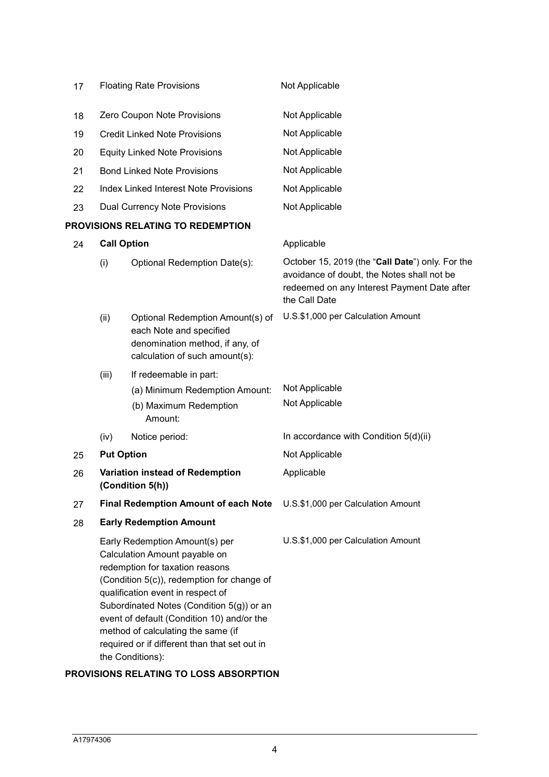| 17 | <b>Floating Rate Provisions</b>                                                                                                                                                                                                                                                                                                                                                             |                                                                                                                                  | Not Applicable                                                                                                                                                 |
|----|---------------------------------------------------------------------------------------------------------------------------------------------------------------------------------------------------------------------------------------------------------------------------------------------------------------------------------------------------------------------------------------------|----------------------------------------------------------------------------------------------------------------------------------|----------------------------------------------------------------------------------------------------------------------------------------------------------------|
| 18 | Zero Coupon Note Provisions                                                                                                                                                                                                                                                                                                                                                                 |                                                                                                                                  | Not Applicable                                                                                                                                                 |
| 19 | <b>Credit Linked Note Provisions</b>                                                                                                                                                                                                                                                                                                                                                        |                                                                                                                                  | Not Applicable                                                                                                                                                 |
| 20 | <b>Equity Linked Note Provisions</b>                                                                                                                                                                                                                                                                                                                                                        |                                                                                                                                  | Not Applicable                                                                                                                                                 |
| 21 |                                                                                                                                                                                                                                                                                                                                                                                             | <b>Bond Linked Note Provisions</b>                                                                                               | Not Applicable                                                                                                                                                 |
| 22 |                                                                                                                                                                                                                                                                                                                                                                                             | <b>Index Linked Interest Note Provisions</b>                                                                                     | Not Applicable                                                                                                                                                 |
| 23 |                                                                                                                                                                                                                                                                                                                                                                                             | <b>Dual Currency Note Provisions</b>                                                                                             | Not Applicable                                                                                                                                                 |
|    |                                                                                                                                                                                                                                                                                                                                                                                             | PROVISIONS RELATING TO REDEMPTION                                                                                                |                                                                                                                                                                |
| 24 | <b>Call Option</b>                                                                                                                                                                                                                                                                                                                                                                          |                                                                                                                                  | Applicable                                                                                                                                                     |
|    | (i)                                                                                                                                                                                                                                                                                                                                                                                         | Optional Redemption Date(s):                                                                                                     | October 15, 2019 (the "Call Date") only. For the<br>avoidance of doubt, the Notes shall not be<br>redeemed on any Interest Payment Date after<br>the Call Date |
|    | (ii)                                                                                                                                                                                                                                                                                                                                                                                        | Optional Redemption Amount(s) of<br>each Note and specified<br>denomination method, if any, of<br>calculation of such amount(s): | U.S.\$1,000 per Calculation Amount                                                                                                                             |
|    | (iii)                                                                                                                                                                                                                                                                                                                                                                                       | If redeemable in part:                                                                                                           |                                                                                                                                                                |
|    |                                                                                                                                                                                                                                                                                                                                                                                             | (a) Minimum Redemption Amount:<br>(b) Maximum Redemption<br>Amount:                                                              | Not Applicable<br>Not Applicable                                                                                                                               |
|    | (iv)                                                                                                                                                                                                                                                                                                                                                                                        | Notice period:                                                                                                                   | In accordance with Condition 5(d)(ii)                                                                                                                          |
| 25 | <b>Put Option</b>                                                                                                                                                                                                                                                                                                                                                                           |                                                                                                                                  | Not Applicable                                                                                                                                                 |
| 26 | Variation instead of Redemption<br>(Condition 5(h))                                                                                                                                                                                                                                                                                                                                         |                                                                                                                                  | Applicable                                                                                                                                                     |
| 27 | <b>Final Redemption Amount of each Note</b>                                                                                                                                                                                                                                                                                                                                                 |                                                                                                                                  | U.S.\$1,000 per Calculation Amount                                                                                                                             |
| 28 |                                                                                                                                                                                                                                                                                                                                                                                             | <b>Early Redemption Amount</b>                                                                                                   |                                                                                                                                                                |
|    | Early Redemption Amount(s) per<br>Calculation Amount payable on<br>redemption for taxation reasons<br>(Condition 5(c)), redemption for change of<br>qualification event in respect of<br>Subordinated Notes (Condition 5(g)) or an<br>event of default (Condition 10) and/or the<br>method of calculating the same (if<br>required or if different than that set out in<br>the Conditions): |                                                                                                                                  | U.S.\$1,000 per Calculation Amount                                                                                                                             |

# PROVISIONS RELATING TO LOSS ABSORPTION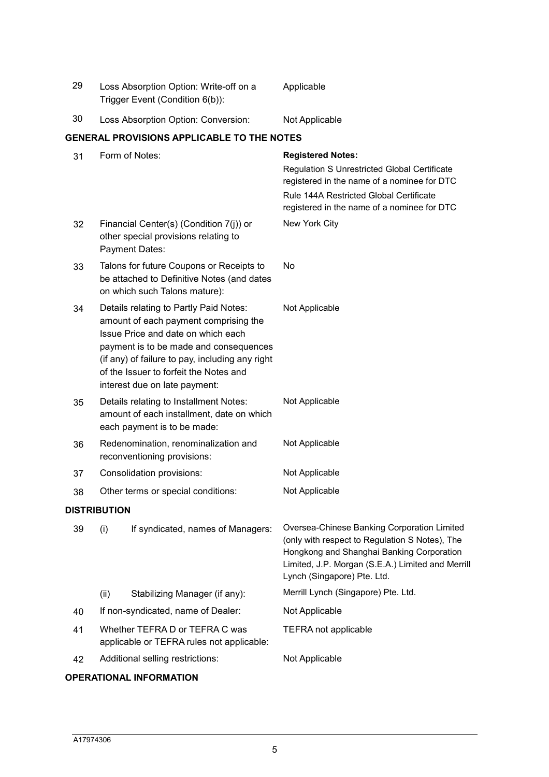| 29 |                                     | Loss Absorption Option: Write-off on a<br>Trigger Event (Condition 6(b)):                                                                                                                                                                                                                     | Applicable                                                                                                                                                                                                                     |
|----|-------------------------------------|-----------------------------------------------------------------------------------------------------------------------------------------------------------------------------------------------------------------------------------------------------------------------------------------------|--------------------------------------------------------------------------------------------------------------------------------------------------------------------------------------------------------------------------------|
| 30 | Loss Absorption Option: Conversion: |                                                                                                                                                                                                                                                                                               | Not Applicable                                                                                                                                                                                                                 |
|    |                                     | <b>GENERAL PROVISIONS APPLICABLE TO THE NOTES</b>                                                                                                                                                                                                                                             |                                                                                                                                                                                                                                |
| 31 |                                     | Form of Notes:                                                                                                                                                                                                                                                                                | <b>Registered Notes:</b><br>Regulation S Unrestricted Global Certificate<br>registered in the name of a nominee for DTC<br>Rule 144A Restricted Global Certificate<br>registered in the name of a nominee for DTC              |
| 32 |                                     | Financial Center(s) (Condition 7(j)) or<br>other special provisions relating to<br>Payment Dates:                                                                                                                                                                                             | New York City                                                                                                                                                                                                                  |
| 33 |                                     | Talons for future Coupons or Receipts to<br>be attached to Definitive Notes (and dates<br>on which such Talons mature):                                                                                                                                                                       | No                                                                                                                                                                                                                             |
| 34 |                                     | Details relating to Partly Paid Notes:<br>amount of each payment comprising the<br>Issue Price and date on which each<br>payment is to be made and consequences<br>(if any) of failure to pay, including any right<br>of the Issuer to forfeit the Notes and<br>interest due on late payment: | Not Applicable                                                                                                                                                                                                                 |
| 35 |                                     | Details relating to Installment Notes:<br>amount of each installment, date on which<br>each payment is to be made:                                                                                                                                                                            | Not Applicable                                                                                                                                                                                                                 |
| 36 |                                     | Redenomination, renominalization and<br>reconventioning provisions:                                                                                                                                                                                                                           | Not Applicable                                                                                                                                                                                                                 |
| 37 | Consolidation provisions:           |                                                                                                                                                                                                                                                                                               | Not Applicable                                                                                                                                                                                                                 |
| 38 |                                     | Other terms or special conditions:                                                                                                                                                                                                                                                            | Not Applicable                                                                                                                                                                                                                 |
|    | <b>DISTRIBUTION</b>                 |                                                                                                                                                                                                                                                                                               |                                                                                                                                                                                                                                |
| 39 | (i)                                 | If syndicated, names of Managers:                                                                                                                                                                                                                                                             | Oversea-Chinese Banking Corporation Limited<br>(only with respect to Regulation S Notes), The<br>Hongkong and Shanghai Banking Corporation<br>Limited, J.P. Morgan (S.E.A.) Limited and Merrill<br>Lynch (Singapore) Pte. Ltd. |
|    | (ii)                                | Stabilizing Manager (if any):                                                                                                                                                                                                                                                                 | Merrill Lynch (Singapore) Pte. Ltd.                                                                                                                                                                                            |
| 40 |                                     | If non-syndicated, name of Dealer:                                                                                                                                                                                                                                                            | Not Applicable                                                                                                                                                                                                                 |
| 41 |                                     | Whether TEFRA D or TEFRA C was<br>applicable or TEFRA rules not applicable:                                                                                                                                                                                                                   | <b>TEFRA not applicable</b>                                                                                                                                                                                                    |
| 42 |                                     | Additional selling restrictions:                                                                                                                                                                                                                                                              | Not Applicable                                                                                                                                                                                                                 |

# OPERATIONAL INFORMATION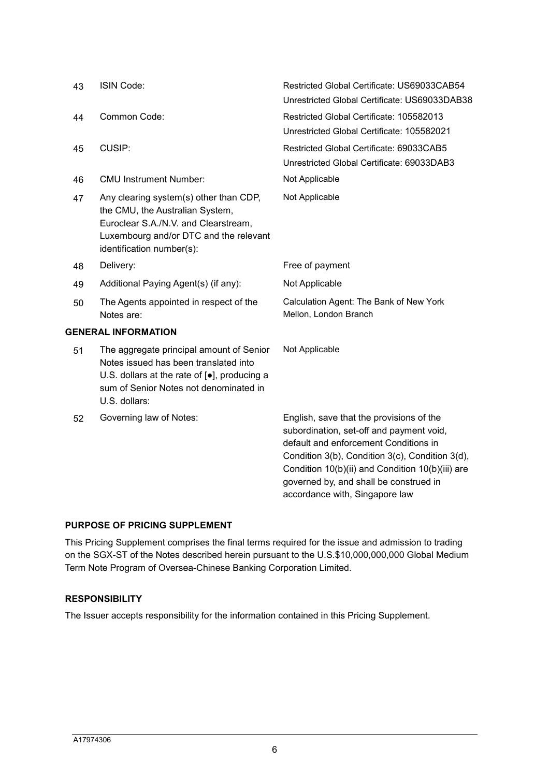| 43 | ISIN Code:                                                                                                                                                                                   | Restricted Global Certificate: US69033CAB54<br>Unrestricted Global Certificate: US69033DAB38                                                                                                                                                                                                                     |
|----|----------------------------------------------------------------------------------------------------------------------------------------------------------------------------------------------|------------------------------------------------------------------------------------------------------------------------------------------------------------------------------------------------------------------------------------------------------------------------------------------------------------------|
| 44 | Common Code:                                                                                                                                                                                 | Restricted Global Certificate: 105582013<br>Unrestricted Global Certificate: 105582021                                                                                                                                                                                                                           |
| 45 | CUSIP:                                                                                                                                                                                       | Restricted Global Certificate: 69033CAB5<br>Unrestricted Global Certificate: 69033DAB3                                                                                                                                                                                                                           |
| 46 | <b>CMU Instrument Number:</b>                                                                                                                                                                | Not Applicable                                                                                                                                                                                                                                                                                                   |
| 47 | Any clearing system(s) other than CDP,<br>the CMU, the Australian System,<br>Euroclear S.A./N.V. and Clearstream,<br>Luxembourg and/or DTC and the relevant<br>identification number(s):     | Not Applicable                                                                                                                                                                                                                                                                                                   |
| 48 | Delivery:                                                                                                                                                                                    | Free of payment                                                                                                                                                                                                                                                                                                  |
| 49 | Additional Paying Agent(s) (if any):                                                                                                                                                         | Not Applicable                                                                                                                                                                                                                                                                                                   |
| 50 | The Agents appointed in respect of the<br>Notes are:                                                                                                                                         | Calculation Agent: The Bank of New York<br>Mellon, London Branch                                                                                                                                                                                                                                                 |
|    | <b>GENERAL INFORMATION</b>                                                                                                                                                                   |                                                                                                                                                                                                                                                                                                                  |
| 51 | The aggregate principal amount of Senior<br>Notes issued has been translated into<br>U.S. dollars at the rate of [.], producing a<br>sum of Senior Notes not denominated in<br>U.S. dollars: | Not Applicable                                                                                                                                                                                                                                                                                                   |
| 52 | Governing law of Notes:                                                                                                                                                                      | English, save that the provisions of the<br>subordination, set-off and payment void,<br>default and enforcement Conditions in<br>Condition 3(b), Condition 3(c), Condition 3(d),<br>Condition 10(b)(ii) and Condition 10(b)(iii) are<br>governed by, and shall be construed in<br>accordance with, Singapore law |

# PURPOSE OF PRICING SUPPLEMENT

This Pricing Supplement comprises the final terms required for the issue and admission to trading on the SGX-ST of the Notes described herein pursuant to the U.S.\$10,000,000,000 Global Medium Term Note Program of Oversea-Chinese Banking Corporation Limited.

## RESPONSIBILITY

The Issuer accepts responsibility for the information contained in this Pricing Supplement.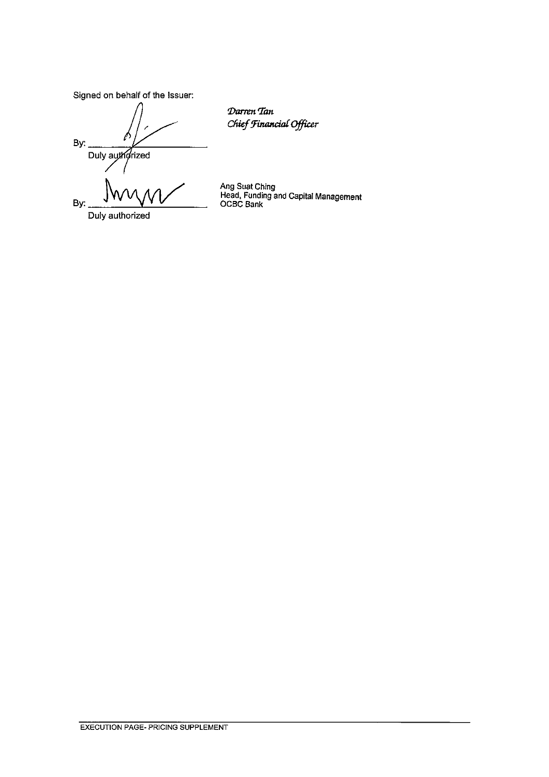Signed on behalf of the Issuer:

By: Duly authorized By:

Darren Tan Chief Financial Officer

Duly authorized

Ang Suat Ching<br>Head, Funding and Capital Management<br>OCBC Bank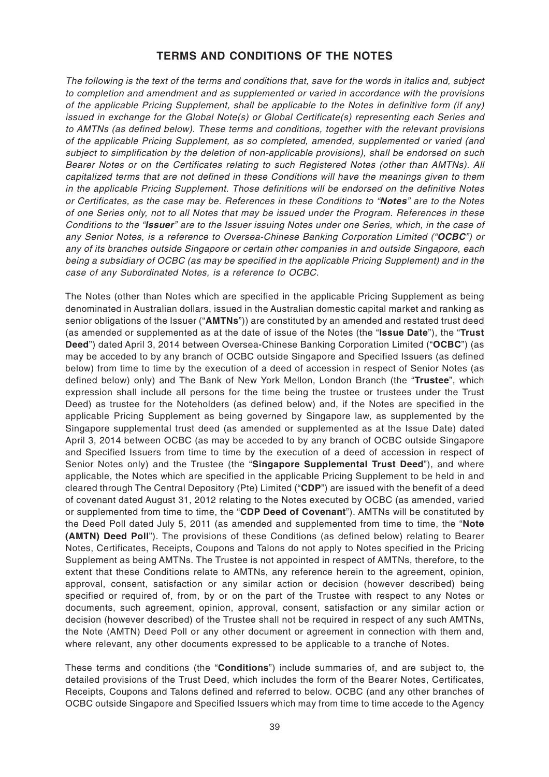# **TERMS AND CONDITIONS OF THE NOTES**

The following is the text of the terms and conditions that, save for the words in italics and, subject to completion and amendment and as supplemented or varied in accordance with the provisions of the applicable Pricing Supplement, shall be applicable to the Notes in definitive form (if any) issued in exchange for the Global Note(s) or Global Certificate(s) representing each Series and to AMTNs (as defined below). These terms and conditions, together with the relevant provisions of the applicable Pricing Supplement, as so completed, amended, supplemented or varied (and subject to simplification by the deletion of non-applicable provisions), shall be endorsed on such Bearer Notes or on the Certificates relating to such Registered Notes (other than AMTNs). All capitalized terms that are not defined in these Conditions will have the meanings given to them in the applicable Pricing Supplement. Those definitions will be endorsed on the definitive Notes or Certificates, as the case may be. References in these Conditions to "**Notes**" are to the Notes of one Series only, not to all Notes that may be issued under the Program. References in these Conditions to the "**Issuer**" are to the Issuer issuing Notes under one Series, which, in the case of any Senior Notes, is a reference to Oversea-Chinese Banking Corporation Limited ("**OCBC**") or any of its branches outside Singapore or certain other companies in and outside Singapore, each being a subsidiary of OCBC (as may be specified in the applicable Pricing Supplement) and in the case of any Subordinated Notes, is a reference to OCBC.

The Notes (other than Notes which are specified in the applicable Pricing Supplement as being denominated in Australian dollars, issued in the Australian domestic capital market and ranking as senior obligations of the Issuer ("**AMTNs**")) are constituted by an amended and restated trust deed (as amended or supplemented as at the date of issue of the Notes (the "**Issue Date**"), the "**Trust Deed**") dated April 3, 2014 between Oversea-Chinese Banking Corporation Limited ("**OCBC**") (as may be acceded to by any branch of OCBC outside Singapore and Specified Issuers (as defined below) from time to time by the execution of a deed of accession in respect of Senior Notes (as defined below) only) and The Bank of New York Mellon, London Branch (the "**Trustee**", which expression shall include all persons for the time being the trustee or trustees under the Trust Deed) as trustee for the Noteholders (as defined below) and, if the Notes are specified in the applicable Pricing Supplement as being governed by Singapore law, as supplemented by the Singapore supplemental trust deed (as amended or supplemented as at the Issue Date) dated April 3, 2014 between OCBC (as may be acceded to by any branch of OCBC outside Singapore and Specified Issuers from time to time by the execution of a deed of accession in respect of Senior Notes only) and the Trustee (the "**Singapore Supplemental Trust Deed**"), and where applicable, the Notes which are specified in the applicable Pricing Supplement to be held in and cleared through The Central Depository (Pte) Limited ("**CDP**") are issued with the benefit of a deed of covenant dated August 31, 2012 relating to the Notes executed by OCBC (as amended, varied or supplemented from time to time, the "**CDP Deed of Covenant**"). AMTNs will be constituted by the Deed Poll dated July 5, 2011 (as amended and supplemented from time to time, the "**Note (AMTN) Deed Poll**"). The provisions of these Conditions (as defined below) relating to Bearer Notes, Certificates, Receipts, Coupons and Talons do not apply to Notes specified in the Pricing Supplement as being AMTNs. The Trustee is not appointed in respect of AMTNs, therefore, to the extent that these Conditions relate to AMTNs, any reference herein to the agreement, opinion, approval, consent, satisfaction or any similar action or decision (however described) being specified or required of, from, by or on the part of the Trustee with respect to any Notes or documents, such agreement, opinion, approval, consent, satisfaction or any similar action or decision (however described) of the Trustee shall not be required in respect of any such AMTNs, the Note (AMTN) Deed Poll or any other document or agreement in connection with them and, where relevant, any other documents expressed to be applicable to a tranche of Notes.

These terms and conditions (the "**Conditions**") include summaries of, and are subject to, the detailed provisions of the Trust Deed, which includes the form of the Bearer Notes, Certificates, Receipts, Coupons and Talons defined and referred to below. OCBC (and any other branches of OCBC outside Singapore and Specified Issuers which may from time to time accede to the Agency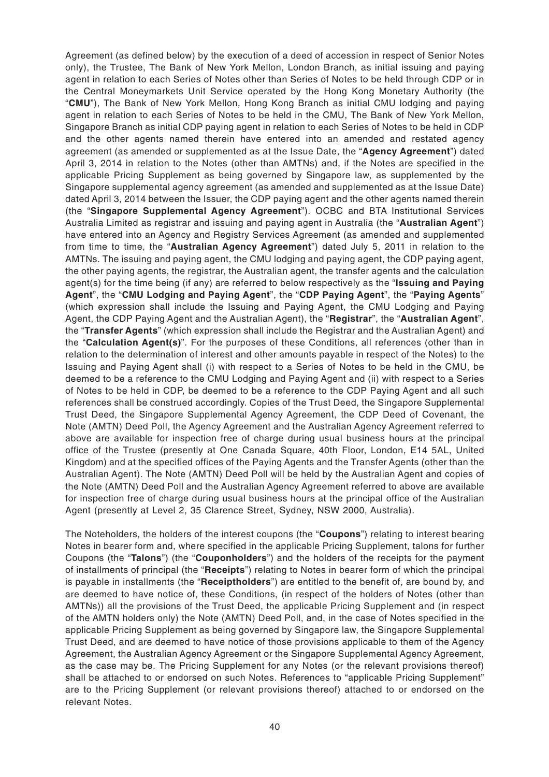Agreement (as defined below) by the execution of a deed of accession in respect of Senior Notes only), the Trustee, The Bank of New York Mellon, London Branch, as initial issuing and paying agent in relation to each Series of Notes other than Series of Notes to be held through CDP or in the Central Moneymarkets Unit Service operated by the Hong Kong Monetary Authority (the "**CMU**"), The Bank of New York Mellon, Hong Kong Branch as initial CMU lodging and paying agent in relation to each Series of Notes to be held in the CMU, The Bank of New York Mellon, Singapore Branch as initial CDP paying agent in relation to each Series of Notes to be held in CDP and the other agents named therein have entered into an amended and restated agency agreement (as amended or supplemented as at the Issue Date, the "**Agency Agreement**") dated April 3, 2014 in relation to the Notes (other than AMTNs) and, if the Notes are specified in the applicable Pricing Supplement as being governed by Singapore law, as supplemented by the Singapore supplemental agency agreement (as amended and supplemented as at the Issue Date) dated April 3, 2014 between the Issuer, the CDP paying agent and the other agents named therein (the "**Singapore Supplemental Agency Agreement**"). OCBC and BTA Institutional Services Australia Limited as registrar and issuing and paying agent in Australia (the "**Australian Agent**") have entered into an Agency and Registry Services Agreement (as amended and supplemented from time to time, the "**Australian Agency Agreement**") dated July 5, 2011 in relation to the AMTNs. The issuing and paying agent, the CMU lodging and paying agent, the CDP paying agent, the other paying agents, the registrar, the Australian agent, the transfer agents and the calculation agent(s) for the time being (if any) are referred to below respectively as the "**Issuing and Paying Agent**", the "**CMU Lodging and Paying Agent**", the "**CDP Paying Agent**", the "**Paying Agents**" (which expression shall include the Issuing and Paying Agent, the CMU Lodging and Paying Agent, the CDP Paying Agent and the Australian Agent), the "**Registrar**", the "**Australian Agent**", the "**Transfer Agents**" (which expression shall include the Registrar and the Australian Agent) and the "**Calculation Agent(s)**". For the purposes of these Conditions, all references (other than in relation to the determination of interest and other amounts payable in respect of the Notes) to the Issuing and Paying Agent shall (i) with respect to a Series of Notes to be held in the CMU, be deemed to be a reference to the CMU Lodging and Paying Agent and (ii) with respect to a Series of Notes to be held in CDP, be deemed to be a reference to the CDP Paying Agent and all such references shall be construed accordingly. Copies of the Trust Deed, the Singapore Supplemental Trust Deed, the Singapore Supplemental Agency Agreement, the CDP Deed of Covenant, the Note (AMTN) Deed Poll, the Agency Agreement and the Australian Agency Agreement referred to above are available for inspection free of charge during usual business hours at the principal office of the Trustee (presently at One Canada Square, 40th Floor, London, E14 5AL, United Kingdom) and at the specified offices of the Paying Agents and the Transfer Agents (other than the Australian Agent). The Note (AMTN) Deed Poll will be held by the Australian Agent and copies of the Note (AMTN) Deed Poll and the Australian Agency Agreement referred to above are available for inspection free of charge during usual business hours at the principal office of the Australian Agent (presently at Level 2, 35 Clarence Street, Sydney, NSW 2000, Australia).

The Noteholders, the holders of the interest coupons (the "**Coupons**") relating to interest bearing Notes in bearer form and, where specified in the applicable Pricing Supplement, talons for further Coupons (the "**Talons**") (the "**Couponholders**") and the holders of the receipts for the payment of installments of principal (the "**Receipts**") relating to Notes in bearer form of which the principal is payable in installments (the "**Receiptholders**") are entitled to the benefit of, are bound by, and are deemed to have notice of, these Conditions, (in respect of the holders of Notes (other than AMTNs)) all the provisions of the Trust Deed, the applicable Pricing Supplement and (in respect of the AMTN holders only) the Note (AMTN) Deed Poll, and, in the case of Notes specified in the applicable Pricing Supplement as being governed by Singapore law, the Singapore Supplemental Trust Deed, and are deemed to have notice of those provisions applicable to them of the Agency Agreement, the Australian Agency Agreement or the Singapore Supplemental Agency Agreement, as the case may be. The Pricing Supplement for any Notes (or the relevant provisions thereof) shall be attached to or endorsed on such Notes. References to "applicable Pricing Supplement" are to the Pricing Supplement (or relevant provisions thereof) attached to or endorsed on the relevant Notes.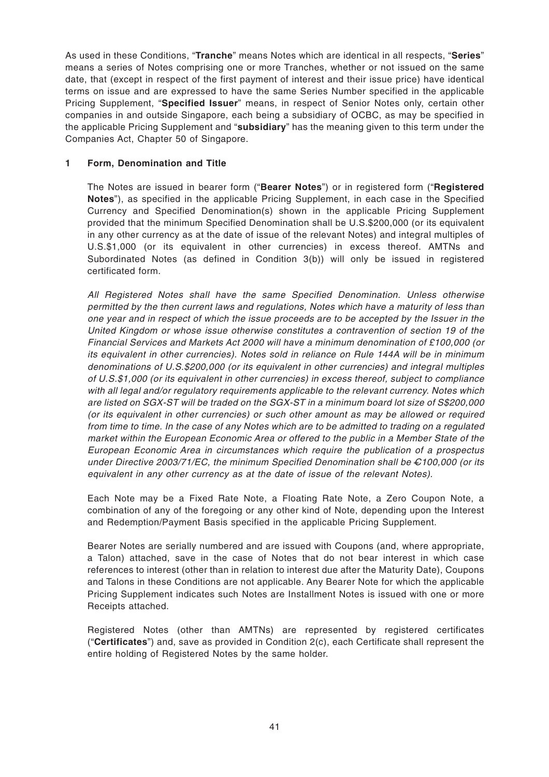As used in these Conditions, "**Tranche**" means Notes which are identical in all respects, "**Series**" means a series of Notes comprising one or more Tranches, whether or not issued on the same date, that (except in respect of the first payment of interest and their issue price) have identical terms on issue and are expressed to have the same Series Number specified in the applicable Pricing Supplement, "**Specified Issuer**" means, in respect of Senior Notes only, certain other companies in and outside Singapore, each being a subsidiary of OCBC, as may be specified in the applicable Pricing Supplement and "**subsidiary**" has the meaning given to this term under the Companies Act, Chapter 50 of Singapore.

# **1 Form, Denomination and Title**

The Notes are issued in bearer form ("**Bearer Notes**") or in registered form ("**Registered Notes**"), as specified in the applicable Pricing Supplement, in each case in the Specified Currency and Specified Denomination(s) shown in the applicable Pricing Supplement provided that the minimum Specified Denomination shall be U.S.\$200,000 (or its equivalent in any other currency as at the date of issue of the relevant Notes) and integral multiples of U.S.\$1,000 (or its equivalent in other currencies) in excess thereof. AMTNs and Subordinated Notes (as defined in Condition 3(b)) will only be issued in registered certificated form.

All Registered Notes shall have the same Specified Denomination. Unless otherwise permitted by the then current laws and regulations, Notes which have a maturity of less than one year and in respect of which the issue proceeds are to be accepted by the Issuer in the United Kingdom or whose issue otherwise constitutes a contravention of section 19 of the Financial Services and Markets Act 2000 will have a minimum denomination of £100,000 (or its equivalent in other currencies). Notes sold in reliance on Rule 144A will be in minimum denominations of U.S.\$200,000 (or its equivalent in other currencies) and integral multiples of U.S.\$1,000 (or its equivalent in other currencies) in excess thereof, subject to compliance with all legal and/or regulatory requirements applicable to the relevant currency. Notes which are listed on SGX-ST will be traded on the SGX-ST in a minimum board lot size of S\$200,000 (or its equivalent in other currencies) or such other amount as may be allowed or required from time to time. In the case of any Notes which are to be admitted to trading on a regulated market within the European Economic Area or offered to the public in a Member State of the European Economic Area in circumstances which require the publication of a prospectus under Directive 2003/71/EC, the minimum Specified Denomination shall be  $\epsilon$ 100,000 (or its equivalent in any other currency as at the date of issue of the relevant Notes).

Each Note may be a Fixed Rate Note, a Floating Rate Note, a Zero Coupon Note, a combination of any of the foregoing or any other kind of Note, depending upon the Interest and Redemption/Payment Basis specified in the applicable Pricing Supplement.

Bearer Notes are serially numbered and are issued with Coupons (and, where appropriate, a Talon) attached, save in the case of Notes that do not bear interest in which case references to interest (other than in relation to interest due after the Maturity Date), Coupons and Talons in these Conditions are not applicable. Any Bearer Note for which the applicable Pricing Supplement indicates such Notes are Installment Notes is issued with one or more Receipts attached.

Registered Notes (other than AMTNs) are represented by registered certificates ("**Certificates**") and, save as provided in Condition 2(c), each Certificate shall represent the entire holding of Registered Notes by the same holder.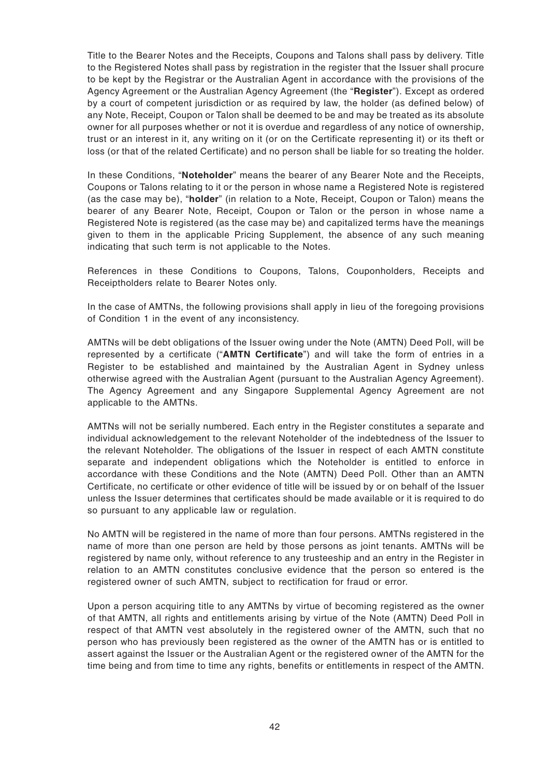Title to the Bearer Notes and the Receipts, Coupons and Talons shall pass by delivery. Title to the Registered Notes shall pass by registration in the register that the Issuer shall procure to be kept by the Registrar or the Australian Agent in accordance with the provisions of the Agency Agreement or the Australian Agency Agreement (the "**Register**"). Except as ordered by a court of competent jurisdiction or as required by law, the holder (as defined below) of any Note, Receipt, Coupon or Talon shall be deemed to be and may be treated as its absolute owner for all purposes whether or not it is overdue and regardless of any notice of ownership, trust or an interest in it, any writing on it (or on the Certificate representing it) or its theft or loss (or that of the related Certificate) and no person shall be liable for so treating the holder.

In these Conditions, "**Noteholder**" means the bearer of any Bearer Note and the Receipts, Coupons or Talons relating to it or the person in whose name a Registered Note is registered (as the case may be), "**holder**" (in relation to a Note, Receipt, Coupon or Talon) means the bearer of any Bearer Note, Receipt, Coupon or Talon or the person in whose name a Registered Note is registered (as the case may be) and capitalized terms have the meanings given to them in the applicable Pricing Supplement, the absence of any such meaning indicating that such term is not applicable to the Notes.

References in these Conditions to Coupons, Talons, Couponholders, Receipts and Receiptholders relate to Bearer Notes only.

In the case of AMTNs, the following provisions shall apply in lieu of the foregoing provisions of Condition 1 in the event of any inconsistency.

AMTNs will be debt obligations of the Issuer owing under the Note (AMTN) Deed Poll, will be represented by a certificate ("**AMTN Certificate**") and will take the form of entries in a Register to be established and maintained by the Australian Agent in Sydney unless otherwise agreed with the Australian Agent (pursuant to the Australian Agency Agreement). The Agency Agreement and any Singapore Supplemental Agency Agreement are not applicable to the AMTNs.

AMTNs will not be serially numbered. Each entry in the Register constitutes a separate and individual acknowledgement to the relevant Noteholder of the indebtedness of the Issuer to the relevant Noteholder. The obligations of the Issuer in respect of each AMTN constitute separate and independent obligations which the Noteholder is entitled to enforce in accordance with these Conditions and the Note (AMTN) Deed Poll. Other than an AMTN Certificate, no certificate or other evidence of title will be issued by or on behalf of the Issuer unless the Issuer determines that certificates should be made available or it is required to do so pursuant to any applicable law or regulation.

No AMTN will be registered in the name of more than four persons. AMTNs registered in the name of more than one person are held by those persons as joint tenants. AMTNs will be registered by name only, without reference to any trusteeship and an entry in the Register in relation to an AMTN constitutes conclusive evidence that the person so entered is the registered owner of such AMTN, subject to rectification for fraud or error.

Upon a person acquiring title to any AMTNs by virtue of becoming registered as the owner of that AMTN, all rights and entitlements arising by virtue of the Note (AMTN) Deed Poll in respect of that AMTN vest absolutely in the registered owner of the AMTN, such that no person who has previously been registered as the owner of the AMTN has or is entitled to assert against the Issuer or the Australian Agent or the registered owner of the AMTN for the time being and from time to time any rights, benefits or entitlements in respect of the AMTN.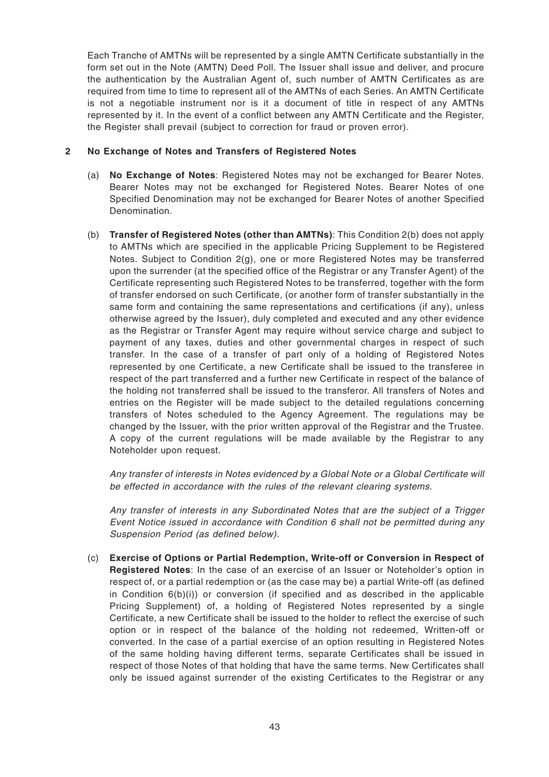Each Tranche of AMTNs will be represented by a single AMTN Certificate substantially in the form set out in the Note (AMTN) Deed Poll. The Issuer shall issue and deliver, and procure the authentication by the Australian Agent of, such number of AMTN Certificates as are required from time to time to represent all of the AMTNs of each Series. An AMTN Certificate is not a negotiable instrument nor is it a document of title in respect of any AMTNs represented by it. In the event of a conflict between any AMTN Certificate and the Register, the Register shall prevail (subject to correction for fraud or proven error).

## **2 No Exchange of Notes and Transfers of Registered Notes**

- (a) **No Exchange of Notes**: Registered Notes may not be exchanged for Bearer Notes. Bearer Notes may not be exchanged for Registered Notes. Bearer Notes of one Specified Denomination may not be exchanged for Bearer Notes of another Specified Denomination.
- (b) **Transfer of Registered Notes (other than AMTNs)**: This Condition 2(b) does not apply to AMTNs which are specified in the applicable Pricing Supplement to be Registered Notes. Subject to Condition 2(g), one or more Registered Notes may be transferred upon the surrender (at the specified office of the Registrar or any Transfer Agent) of the Certificate representing such Registered Notes to be transferred, together with the form of transfer endorsed on such Certificate, (or another form of transfer substantially in the same form and containing the same representations and certifications (if any), unless otherwise agreed by the Issuer), duly completed and executed and any other evidence as the Registrar or Transfer Agent may require without service charge and subject to payment of any taxes, duties and other governmental charges in respect of such transfer. In the case of a transfer of part only of a holding of Registered Notes represented by one Certificate, a new Certificate shall be issued to the transferee in respect of the part transferred and a further new Certificate in respect of the balance of the holding not transferred shall be issued to the transferor. All transfers of Notes and entries on the Register will be made subject to the detailed regulations concerning transfers of Notes scheduled to the Agency Agreement. The regulations may be changed by the Issuer, with the prior written approval of the Registrar and the Trustee. A copy of the current regulations will be made available by the Registrar to any Noteholder upon request.

Any transfer of interests in Notes evidenced by a Global Note or a Global Certificate will be effected in accordance with the rules of the relevant clearing systems.

Any transfer of interests in any Subordinated Notes that are the subject of a Trigger Event Notice issued in accordance with Condition 6 shall not be permitted during any Suspension Period (as defined below).

(c) **Exercise of Options or Partial Redemption, Write-off or Conversion in Respect of Registered Notes**: In the case of an exercise of an Issuer or Noteholder's option in respect of, or a partial redemption or (as the case may be) a partial Write-off (as defined in Condition  $6(b)(i)$  or conversion (if specified and as described in the applicable Pricing Supplement) of, a holding of Registered Notes represented by a single Certificate, a new Certificate shall be issued to the holder to reflect the exercise of such option or in respect of the balance of the holding not redeemed, Written-off or converted. In the case of a partial exercise of an option resulting in Registered Notes of the same holding having different terms, separate Certificates shall be issued in respect of those Notes of that holding that have the same terms. New Certificates shall only be issued against surrender of the existing Certificates to the Registrar or any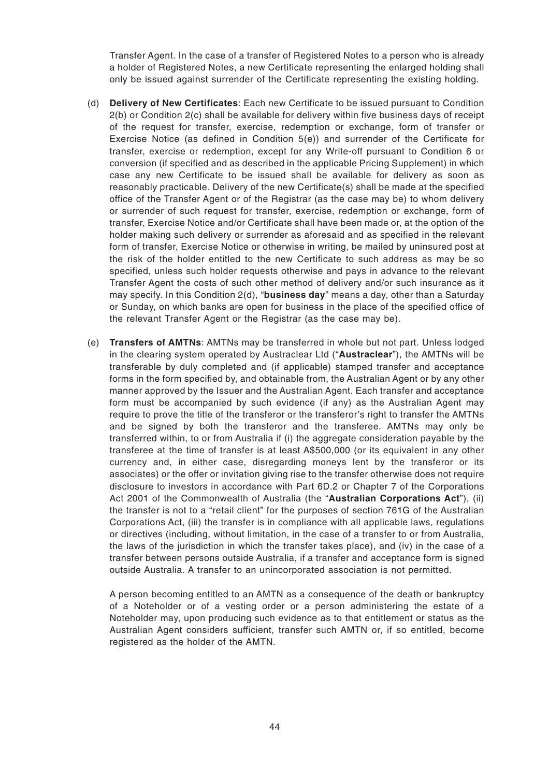Transfer Agent. In the case of a transfer of Registered Notes to a person who is already a holder of Registered Notes, a new Certificate representing the enlarged holding shall only be issued against surrender of the Certificate representing the existing holding.

- (d) **Delivery of New Certificates**: Each new Certificate to be issued pursuant to Condition 2(b) or Condition 2(c) shall be available for delivery within five business days of receipt of the request for transfer, exercise, redemption or exchange, form of transfer or Exercise Notice (as defined in Condition 5(e)) and surrender of the Certificate for transfer, exercise or redemption, except for any Write-off pursuant to Condition 6 or conversion (if specified and as described in the applicable Pricing Supplement) in which case any new Certificate to be issued shall be available for delivery as soon as reasonably practicable. Delivery of the new Certificate(s) shall be made at the specified office of the Transfer Agent or of the Registrar (as the case may be) to whom delivery or surrender of such request for transfer, exercise, redemption or exchange, form of transfer, Exercise Notice and/or Certificate shall have been made or, at the option of the holder making such delivery or surrender as aforesaid and as specified in the relevant form of transfer, Exercise Notice or otherwise in writing, be mailed by uninsured post at the risk of the holder entitled to the new Certificate to such address as may be so specified, unless such holder requests otherwise and pays in advance to the relevant Transfer Agent the costs of such other method of delivery and/or such insurance as it may specify. In this Condition 2(d), "**business day**" means a day, other than a Saturday or Sunday, on which banks are open for business in the place of the specified office of the relevant Transfer Agent or the Registrar (as the case may be).
- (e) **Transfers of AMTNs**: AMTNs may be transferred in whole but not part. Unless lodged in the clearing system operated by Austraclear Ltd ("**Austraclear**"), the AMTNs will be transferable by duly completed and (if applicable) stamped transfer and acceptance forms in the form specified by, and obtainable from, the Australian Agent or by any other manner approved by the Issuer and the Australian Agent. Each transfer and acceptance form must be accompanied by such evidence (if any) as the Australian Agent may require to prove the title of the transferor or the transferor's right to transfer the AMTNs and be signed by both the transferor and the transferee. AMTNs may only be transferred within, to or from Australia if (i) the aggregate consideration payable by the transferee at the time of transfer is at least A\$500,000 (or its equivalent in any other currency and, in either case, disregarding moneys lent by the transferor or its associates) or the offer or invitation giving rise to the transfer otherwise does not require disclosure to investors in accordance with Part 6D.2 or Chapter 7 of the Corporations Act 2001 of the Commonwealth of Australia (the "**Australian Corporations Act**"), (ii) the transfer is not to a "retail client" for the purposes of section 761G of the Australian Corporations Act, (iii) the transfer is in compliance with all applicable laws, regulations or directives (including, without limitation, in the case of a transfer to or from Australia, the laws of the jurisdiction in which the transfer takes place), and (iv) in the case of a transfer between persons outside Australia, if a transfer and acceptance form is signed outside Australia. A transfer to an unincorporated association is not permitted.

A person becoming entitled to an AMTN as a consequence of the death or bankruptcy of a Noteholder or of a vesting order or a person administering the estate of a Noteholder may, upon producing such evidence as to that entitlement or status as the Australian Agent considers sufficient, transfer such AMTN or, if so entitled, become registered as the holder of the AMTN.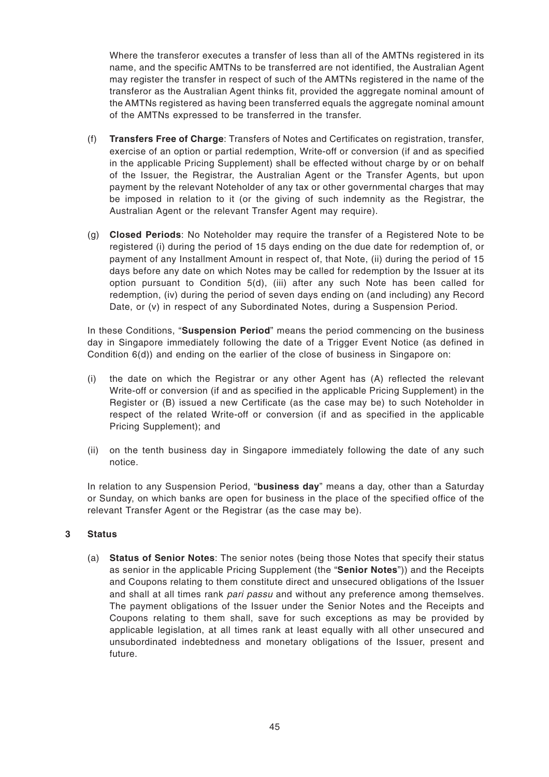Where the transferor executes a transfer of less than all of the AMTNs registered in its name, and the specific AMTNs to be transferred are not identified, the Australian Agent may register the transfer in respect of such of the AMTNs registered in the name of the transferor as the Australian Agent thinks fit, provided the aggregate nominal amount of the AMTNs registered as having been transferred equals the aggregate nominal amount of the AMTNs expressed to be transferred in the transfer.

- (f) **Transfers Free of Charge**: Transfers of Notes and Certificates on registration, transfer, exercise of an option or partial redemption, Write-off or conversion (if and as specified in the applicable Pricing Supplement) shall be effected without charge by or on behalf of the Issuer, the Registrar, the Australian Agent or the Transfer Agents, but upon payment by the relevant Noteholder of any tax or other governmental charges that may be imposed in relation to it (or the giving of such indemnity as the Registrar, the Australian Agent or the relevant Transfer Agent may require).
- (g) **Closed Periods**: No Noteholder may require the transfer of a Registered Note to be registered (i) during the period of 15 days ending on the due date for redemption of, or payment of any Installment Amount in respect of, that Note, (ii) during the period of 15 days before any date on which Notes may be called for redemption by the Issuer at its option pursuant to Condition 5(d), (iii) after any such Note has been called for redemption, (iv) during the period of seven days ending on (and including) any Record Date, or (v) in respect of any Subordinated Notes, during a Suspension Period.

In these Conditions, "**Suspension Period**" means the period commencing on the business day in Singapore immediately following the date of a Trigger Event Notice (as defined in Condition 6(d)) and ending on the earlier of the close of business in Singapore on:

- (i) the date on which the Registrar or any other Agent has (A) reflected the relevant Write-off or conversion (if and as specified in the applicable Pricing Supplement) in the Register or (B) issued a new Certificate (as the case may be) to such Noteholder in respect of the related Write-off or conversion (if and as specified in the applicable Pricing Supplement); and
- (ii) on the tenth business day in Singapore immediately following the date of any such notice.

In relation to any Suspension Period, "**business day**" means a day, other than a Saturday or Sunday, on which banks are open for business in the place of the specified office of the relevant Transfer Agent or the Registrar (as the case may be).

# **3 Status**

(a) **Status of Senior Notes**: The senior notes (being those Notes that specify their status as senior in the applicable Pricing Supplement (the "**Senior Notes**")) and the Receipts and Coupons relating to them constitute direct and unsecured obligations of the Issuer and shall at all times rank pari passu and without any preference among themselves. The payment obligations of the Issuer under the Senior Notes and the Receipts and Coupons relating to them shall, save for such exceptions as may be provided by applicable legislation, at all times rank at least equally with all other unsecured and unsubordinated indebtedness and monetary obligations of the Issuer, present and future.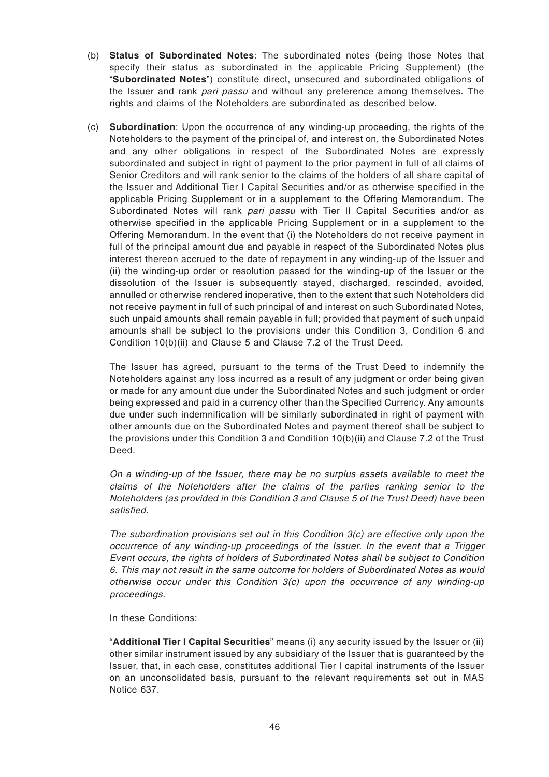- (b) **Status of Subordinated Notes**: The subordinated notes (being those Notes that specify their status as subordinated in the applicable Pricing Supplement) (the "**Subordinated Notes**") constitute direct, unsecured and subordinated obligations of the Issuer and rank pari passu and without any preference among themselves. The rights and claims of the Noteholders are subordinated as described below.
- (c) **Subordination**: Upon the occurrence of any winding-up proceeding, the rights of the Noteholders to the payment of the principal of, and interest on, the Subordinated Notes and any other obligations in respect of the Subordinated Notes are expressly subordinated and subject in right of payment to the prior payment in full of all claims of Senior Creditors and will rank senior to the claims of the holders of all share capital of the Issuer and Additional Tier I Capital Securities and/or as otherwise specified in the applicable Pricing Supplement or in a supplement to the Offering Memorandum. The Subordinated Notes will rank pari passu with Tier II Capital Securities and/or as otherwise specified in the applicable Pricing Supplement or in a supplement to the Offering Memorandum. In the event that (i) the Noteholders do not receive payment in full of the principal amount due and payable in respect of the Subordinated Notes plus interest thereon accrued to the date of repayment in any winding-up of the Issuer and (ii) the winding-up order or resolution passed for the winding-up of the Issuer or the dissolution of the Issuer is subsequently stayed, discharged, rescinded, avoided, annulled or otherwise rendered inoperative, then to the extent that such Noteholders did not receive payment in full of such principal of and interest on such Subordinated Notes, such unpaid amounts shall remain payable in full; provided that payment of such unpaid amounts shall be subject to the provisions under this Condition 3, Condition 6 and Condition 10(b)(ii) and Clause 5 and Clause 7.2 of the Trust Deed.

The Issuer has agreed, pursuant to the terms of the Trust Deed to indemnify the Noteholders against any loss incurred as a result of any judgment or order being given or made for any amount due under the Subordinated Notes and such judgment or order being expressed and paid in a currency other than the Specified Currency. Any amounts due under such indemnification will be similarly subordinated in right of payment with other amounts due on the Subordinated Notes and payment thereof shall be subject to the provisions under this Condition 3 and Condition 10(b)(ii) and Clause 7.2 of the Trust Deed.

On a winding-up of the Issuer, there may be no surplus assets available to meet the claims of the Noteholders after the claims of the parties ranking senior to the Noteholders (as provided in this Condition 3 and Clause 5 of the Trust Deed) have been satisfied.

The subordination provisions set out in this Condition  $3(c)$  are effective only upon the occurrence of any winding-up proceedings of the Issuer. In the event that a Trigger Event occurs, the rights of holders of Subordinated Notes shall be subject to Condition 6. This may not result in the same outcome for holders of Subordinated Notes as would otherwise occur under this Condition 3(c) upon the occurrence of any winding-up proceedings.

In these Conditions:

"**Additional Tier I Capital Securities**" means (i) any security issued by the Issuer or (ii) other similar instrument issued by any subsidiary of the Issuer that is guaranteed by the Issuer, that, in each case, constitutes additional Tier I capital instruments of the Issuer on an unconsolidated basis, pursuant to the relevant requirements set out in MAS Notice 637.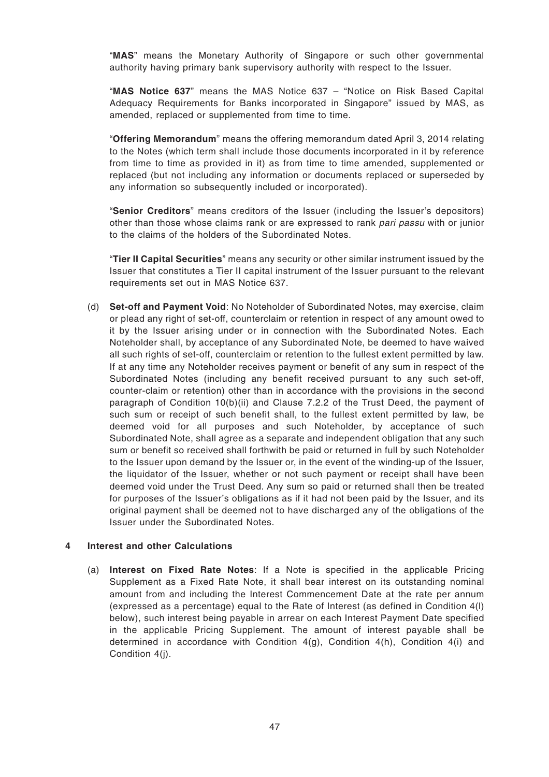"**MAS**" means the Monetary Authority of Singapore or such other governmental authority having primary bank supervisory authority with respect to the Issuer.

"**MAS Notice 637**" means the MAS Notice 637 – "Notice on Risk Based Capital Adequacy Requirements for Banks incorporated in Singapore" issued by MAS, as amended, replaced or supplemented from time to time.

"**Offering Memorandum**" means the offering memorandum dated April 3, 2014 relating to the Notes (which term shall include those documents incorporated in it by reference from time to time as provided in it) as from time to time amended, supplemented or replaced (but not including any information or documents replaced or superseded by any information so subsequently included or incorporated).

"**Senior Creditors**" means creditors of the Issuer (including the Issuer's depositors) other than those whose claims rank or are expressed to rank pari passu with or junior to the claims of the holders of the Subordinated Notes.

"**Tier II Capital Securities**" means any security or other similar instrument issued by the Issuer that constitutes a Tier II capital instrument of the Issuer pursuant to the relevant requirements set out in MAS Notice 637.

(d) **Set-off and Payment Void**: No Noteholder of Subordinated Notes, may exercise, claim or plead any right of set-off, counterclaim or retention in respect of any amount owed to it by the Issuer arising under or in connection with the Subordinated Notes. Each Noteholder shall, by acceptance of any Subordinated Note, be deemed to have waived all such rights of set-off, counterclaim or retention to the fullest extent permitted by law. If at any time any Noteholder receives payment or benefit of any sum in respect of the Subordinated Notes (including any benefit received pursuant to any such set-off, counter-claim or retention) other than in accordance with the provisions in the second paragraph of Condition 10(b)(ii) and Clause 7.2.2 of the Trust Deed, the payment of such sum or receipt of such benefit shall, to the fullest extent permitted by law, be deemed void for all purposes and such Noteholder, by acceptance of such Subordinated Note, shall agree as a separate and independent obligation that any such sum or benefit so received shall forthwith be paid or returned in full by such Noteholder to the Issuer upon demand by the Issuer or, in the event of the winding-up of the Issuer, the liquidator of the Issuer, whether or not such payment or receipt shall have been deemed void under the Trust Deed. Any sum so paid or returned shall then be treated for purposes of the Issuer's obligations as if it had not been paid by the Issuer, and its original payment shall be deemed not to have discharged any of the obligations of the Issuer under the Subordinated Notes.

## **4 Interest and other Calculations**

(a) **Interest on Fixed Rate Notes**: If a Note is specified in the applicable Pricing Supplement as a Fixed Rate Note, it shall bear interest on its outstanding nominal amount from and including the Interest Commencement Date at the rate per annum (expressed as a percentage) equal to the Rate of Interest (as defined in Condition 4(l) below), such interest being payable in arrear on each Interest Payment Date specified in the applicable Pricing Supplement. The amount of interest payable shall be determined in accordance with Condition  $4(a)$ . Condition  $4(h)$ . Condition  $4(i)$  and Condition 4(j).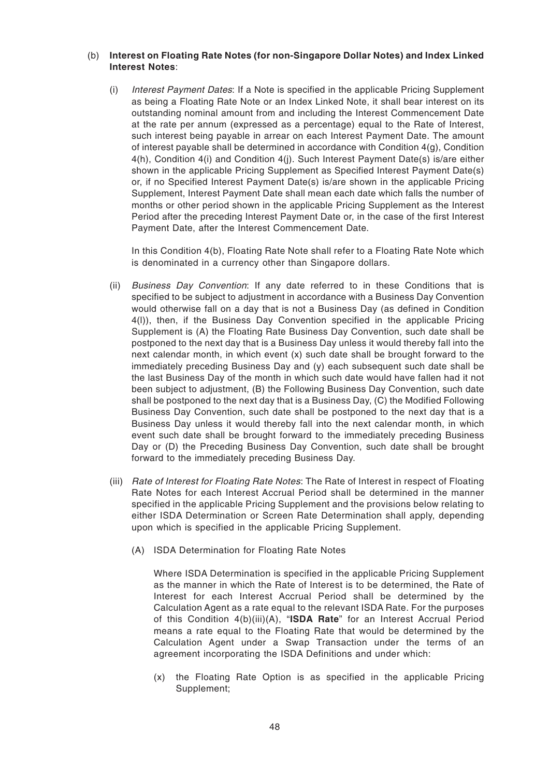#### (b) **Interest on Floating Rate Notes (for non-Singapore Dollar Notes) and Index Linked Interest Notes**:

(i) Interest Payment Dates: If a Note is specified in the applicable Pricing Supplement as being a Floating Rate Note or an Index Linked Note, it shall bear interest on its outstanding nominal amount from and including the Interest Commencement Date at the rate per annum (expressed as a percentage) equal to the Rate of Interest, such interest being payable in arrear on each Interest Payment Date. The amount of interest payable shall be determined in accordance with Condition  $4(q)$ , Condition 4(h), Condition 4(i) and Condition 4(j). Such Interest Payment Date(s) is/are either shown in the applicable Pricing Supplement as Specified Interest Payment Date(s) or, if no Specified Interest Payment Date(s) is/are shown in the applicable Pricing Supplement, Interest Payment Date shall mean each date which falls the number of months or other period shown in the applicable Pricing Supplement as the Interest Period after the preceding Interest Payment Date or, in the case of the first Interest Payment Date, after the Interest Commencement Date.

In this Condition 4(b), Floating Rate Note shall refer to a Floating Rate Note which is denominated in a currency other than Singapore dollars.

- (ii) Business Day Convention: If any date referred to in these Conditions that is specified to be subject to adjustment in accordance with a Business Day Convention would otherwise fall on a day that is not a Business Day (as defined in Condition 4(l)), then, if the Business Day Convention specified in the applicable Pricing Supplement is (A) the Floating Rate Business Day Convention, such date shall be postponed to the next day that is a Business Day unless it would thereby fall into the next calendar month, in which event (x) such date shall be brought forward to the immediately preceding Business Day and (y) each subsequent such date shall be the last Business Day of the month in which such date would have fallen had it not been subject to adjustment, (B) the Following Business Day Convention, such date shall be postponed to the next day that is a Business Day, (C) the Modified Following Business Day Convention, such date shall be postponed to the next day that is a Business Day unless it would thereby fall into the next calendar month, in which event such date shall be brought forward to the immediately preceding Business Day or (D) the Preceding Business Day Convention, such date shall be brought forward to the immediately preceding Business Day.
- (iii) Rate of Interest for Floating Rate Notes: The Rate of Interest in respect of Floating Rate Notes for each Interest Accrual Period shall be determined in the manner specified in the applicable Pricing Supplement and the provisions below relating to either ISDA Determination or Screen Rate Determination shall apply, depending upon which is specified in the applicable Pricing Supplement.
	- (A) ISDA Determination for Floating Rate Notes

Where ISDA Determination is specified in the applicable Pricing Supplement as the manner in which the Rate of Interest is to be determined, the Rate of Interest for each Interest Accrual Period shall be determined by the Calculation Agent as a rate equal to the relevant ISDA Rate. For the purposes of this Condition 4(b)(iii)(A), "**ISDA Rate**" for an Interest Accrual Period means a rate equal to the Floating Rate that would be determined by the Calculation Agent under a Swap Transaction under the terms of an agreement incorporating the ISDA Definitions and under which:

(x) the Floating Rate Option is as specified in the applicable Pricing Supplement;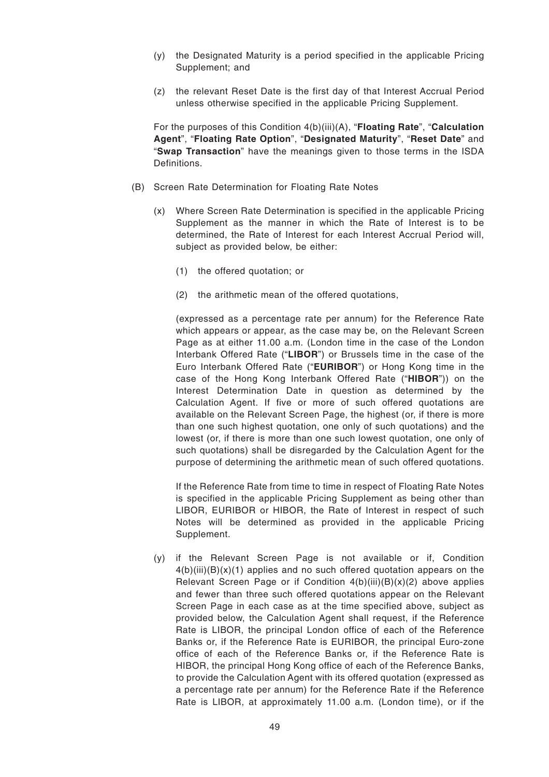- (y) the Designated Maturity is a period specified in the applicable Pricing Supplement; and
- (z) the relevant Reset Date is the first day of that Interest Accrual Period unless otherwise specified in the applicable Pricing Supplement.

For the purposes of this Condition 4(b)(iii)(A), "**Floating Rate**", "**Calculation Agent**", "**Floating Rate Option**", "**Designated Maturity**", "**Reset Date**" and "**Swap Transaction**" have the meanings given to those terms in the ISDA Definitions.

- (B) Screen Rate Determination for Floating Rate Notes
	- (x) Where Screen Rate Determination is specified in the applicable Pricing Supplement as the manner in which the Rate of Interest is to be determined, the Rate of Interest for each Interest Accrual Period will, subject as provided below, be either:
		- (1) the offered quotation; or
		- (2) the arithmetic mean of the offered quotations,

(expressed as a percentage rate per annum) for the Reference Rate which appears or appear, as the case may be, on the Relevant Screen Page as at either 11.00 a.m. (London time in the case of the London Interbank Offered Rate ("**LIBOR**") or Brussels time in the case of the Euro Interbank Offered Rate ("**EURIBOR**") or Hong Kong time in the case of the Hong Kong Interbank Offered Rate ("**HIBOR**")) on the Interest Determination Date in question as determined by the Calculation Agent. If five or more of such offered quotations are available on the Relevant Screen Page, the highest (or, if there is more than one such highest quotation, one only of such quotations) and the lowest (or, if there is more than one such lowest quotation, one only of such quotations) shall be disregarded by the Calculation Agent for the purpose of determining the arithmetic mean of such offered quotations.

If the Reference Rate from time to time in respect of Floating Rate Notes is specified in the applicable Pricing Supplement as being other than LIBOR, EURIBOR or HIBOR, the Rate of Interest in respect of such Notes will be determined as provided in the applicable Pricing Supplement.

(y) if the Relevant Screen Page is not available or if, Condition  $4(b)(iii)(B)(x)(1)$  applies and no such offered quotation appears on the Relevant Screen Page or if Condition  $4(b)(iii)(B)(x)(2)$  above applies and fewer than three such offered quotations appear on the Relevant Screen Page in each case as at the time specified above, subject as provided below, the Calculation Agent shall request, if the Reference Rate is LIBOR, the principal London office of each of the Reference Banks or, if the Reference Rate is EURIBOR, the principal Euro-zone office of each of the Reference Banks or, if the Reference Rate is HIBOR, the principal Hong Kong office of each of the Reference Banks, to provide the Calculation Agent with its offered quotation (expressed as a percentage rate per annum) for the Reference Rate if the Reference Rate is LIBOR, at approximately 11.00 a.m. (London time), or if the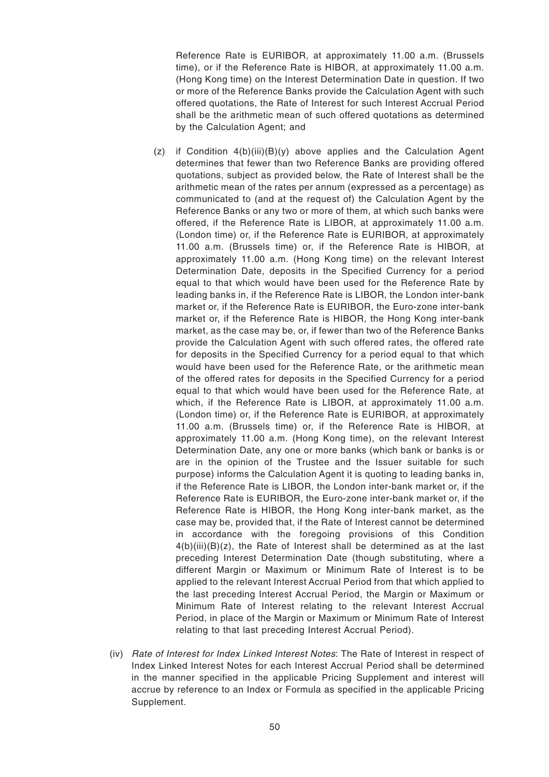Reference Rate is EURIBOR, at approximately 11.00 a.m. (Brussels time), or if the Reference Rate is HIBOR, at approximately 11.00 a.m. (Hong Kong time) on the Interest Determination Date in question. If two or more of the Reference Banks provide the Calculation Agent with such offered quotations, the Rate of Interest for such Interest Accrual Period shall be the arithmetic mean of such offered quotations as determined by the Calculation Agent; and

- (z) if Condition 4(b)(iii)(B)(y) above applies and the Calculation Agent determines that fewer than two Reference Banks are providing offered quotations, subject as provided below, the Rate of Interest shall be the arithmetic mean of the rates per annum (expressed as a percentage) as communicated to (and at the request of) the Calculation Agent by the Reference Banks or any two or more of them, at which such banks were offered, if the Reference Rate is LIBOR, at approximately 11.00 a.m. (London time) or, if the Reference Rate is EURIBOR, at approximately 11.00 a.m. (Brussels time) or, if the Reference Rate is HIBOR, at approximately 11.00 a.m. (Hong Kong time) on the relevant Interest Determination Date, deposits in the Specified Currency for a period equal to that which would have been used for the Reference Rate by leading banks in, if the Reference Rate is LIBOR, the London inter-bank market or, if the Reference Rate is EURIBOR, the Euro-zone inter-bank market or, if the Reference Rate is HIBOR, the Hong Kong inter-bank market, as the case may be, or, if fewer than two of the Reference Banks provide the Calculation Agent with such offered rates, the offered rate for deposits in the Specified Currency for a period equal to that which would have been used for the Reference Rate, or the arithmetic mean of the offered rates for deposits in the Specified Currency for a period equal to that which would have been used for the Reference Rate, at which, if the Reference Rate is LIBOR, at approximately 11.00 a.m. (London time) or, if the Reference Rate is EURIBOR, at approximately 11.00 a.m. (Brussels time) or, if the Reference Rate is HIBOR, at approximately 11.00 a.m. (Hong Kong time), on the relevant Interest Determination Date, any one or more banks (which bank or banks is or are in the opinion of the Trustee and the Issuer suitable for such purpose) informs the Calculation Agent it is quoting to leading banks in, if the Reference Rate is LIBOR, the London inter-bank market or, if the Reference Rate is EURIBOR, the Euro-zone inter-bank market or, if the Reference Rate is HIBOR, the Hong Kong inter-bank market, as the case may be, provided that, if the Rate of Interest cannot be determined in accordance with the foregoing provisions of this Condition  $4(b)(iii)(B)(z)$ , the Rate of Interest shall be determined as at the last preceding Interest Determination Date (though substituting, where a different Margin or Maximum or Minimum Rate of Interest is to be applied to the relevant Interest Accrual Period from that which applied to the last preceding Interest Accrual Period, the Margin or Maximum or Minimum Rate of Interest relating to the relevant Interest Accrual Period, in place of the Margin or Maximum or Minimum Rate of Interest relating to that last preceding Interest Accrual Period).
- (iv) Rate of Interest for Index Linked Interest Notes: The Rate of Interest in respect of Index Linked Interest Notes for each Interest Accrual Period shall be determined in the manner specified in the applicable Pricing Supplement and interest will accrue by reference to an Index or Formula as specified in the applicable Pricing Supplement.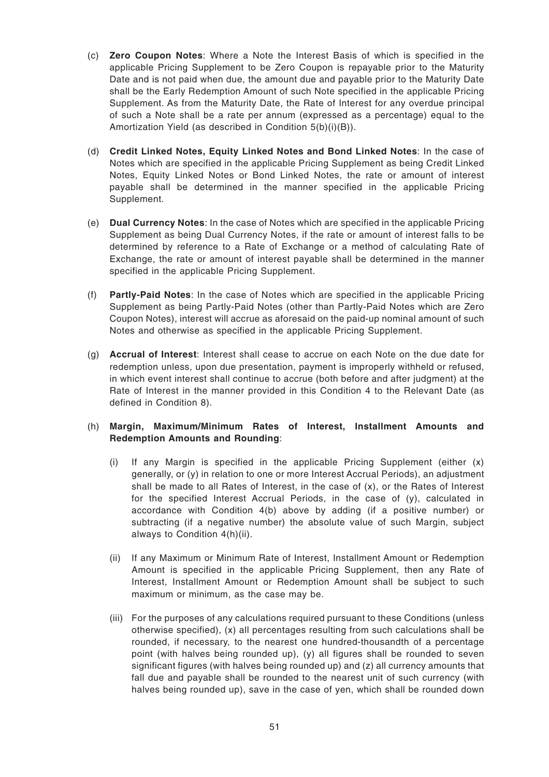- (c) **Zero Coupon Notes**: Where a Note the Interest Basis of which is specified in the applicable Pricing Supplement to be Zero Coupon is repayable prior to the Maturity Date and is not paid when due, the amount due and payable prior to the Maturity Date shall be the Early Redemption Amount of such Note specified in the applicable Pricing Supplement. As from the Maturity Date, the Rate of Interest for any overdue principal of such a Note shall be a rate per annum (expressed as a percentage) equal to the Amortization Yield (as described in Condition 5(b)(i)(B)).
- (d) **Credit Linked Notes, Equity Linked Notes and Bond Linked Notes**: In the case of Notes which are specified in the applicable Pricing Supplement as being Credit Linked Notes, Equity Linked Notes or Bond Linked Notes, the rate or amount of interest payable shall be determined in the manner specified in the applicable Pricing Supplement.
- (e) **Dual Currency Notes**: In the case of Notes which are specified in the applicable Pricing Supplement as being Dual Currency Notes, if the rate or amount of interest falls to be determined by reference to a Rate of Exchange or a method of calculating Rate of Exchange, the rate or amount of interest payable shall be determined in the manner specified in the applicable Pricing Supplement.
- (f) **Partly-Paid Notes**: In the case of Notes which are specified in the applicable Pricing Supplement as being Partly-Paid Notes (other than Partly-Paid Notes which are Zero Coupon Notes), interest will accrue as aforesaid on the paid-up nominal amount of such Notes and otherwise as specified in the applicable Pricing Supplement.
- (g) **Accrual of Interest**: Interest shall cease to accrue on each Note on the due date for redemption unless, upon due presentation, payment is improperly withheld or refused, in which event interest shall continue to accrue (both before and after judgment) at the Rate of Interest in the manner provided in this Condition 4 to the Relevant Date (as defined in Condition 8).
- (h) **Margin, Maximum/Minimum Rates of Interest, Installment Amounts and Redemption Amounts and Rounding**:
	- (i) If any Margin is specified in the applicable Pricing Supplement (either  $(x)$ ) generally, or (y) in relation to one or more Interest Accrual Periods), an adjustment shall be made to all Rates of Interest, in the case of (x), or the Rates of Interest for the specified Interest Accrual Periods, in the case of (y), calculated in accordance with Condition 4(b) above by adding (if a positive number) or subtracting (if a negative number) the absolute value of such Margin, subject always to Condition 4(h)(ii).
	- (ii) If any Maximum or Minimum Rate of Interest, Installment Amount or Redemption Amount is specified in the applicable Pricing Supplement, then any Rate of Interest, Installment Amount or Redemption Amount shall be subject to such maximum or minimum, as the case may be.
	- (iii) For the purposes of any calculations required pursuant to these Conditions (unless otherwise specified), (x) all percentages resulting from such calculations shall be rounded, if necessary, to the nearest one hundred-thousandth of a percentage point (with halves being rounded up), (y) all figures shall be rounded to seven significant figures (with halves being rounded up) and (z) all currency amounts that fall due and payable shall be rounded to the nearest unit of such currency (with halves being rounded up), save in the case of yen, which shall be rounded down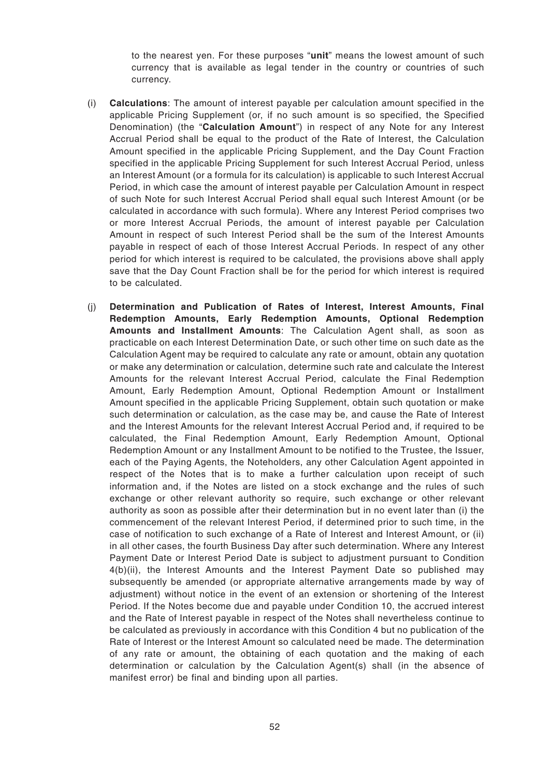to the nearest yen. For these purposes "**unit**" means the lowest amount of such currency that is available as legal tender in the country or countries of such currency.

- (i) **Calculations**: The amount of interest payable per calculation amount specified in the applicable Pricing Supplement (or, if no such amount is so specified, the Specified Denomination) (the "**Calculation Amount**") in respect of any Note for any Interest Accrual Period shall be equal to the product of the Rate of Interest, the Calculation Amount specified in the applicable Pricing Supplement, and the Day Count Fraction specified in the applicable Pricing Supplement for such Interest Accrual Period, unless an Interest Amount (or a formula for its calculation) is applicable to such Interest Accrual Period, in which case the amount of interest payable per Calculation Amount in respect of such Note for such Interest Accrual Period shall equal such Interest Amount (or be calculated in accordance with such formula). Where any Interest Period comprises two or more Interest Accrual Periods, the amount of interest payable per Calculation Amount in respect of such Interest Period shall be the sum of the Interest Amounts payable in respect of each of those Interest Accrual Periods. In respect of any other period for which interest is required to be calculated, the provisions above shall apply save that the Day Count Fraction shall be for the period for which interest is required to be calculated.
- (j) **Determination and Publication of Rates of Interest, Interest Amounts, Final Redemption Amounts, Early Redemption Amounts, Optional Redemption Amounts and Installment Amounts**: The Calculation Agent shall, as soon as practicable on each Interest Determination Date, or such other time on such date as the Calculation Agent may be required to calculate any rate or amount, obtain any quotation or make any determination or calculation, determine such rate and calculate the Interest Amounts for the relevant Interest Accrual Period, calculate the Final Redemption Amount, Early Redemption Amount, Optional Redemption Amount or Installment Amount specified in the applicable Pricing Supplement, obtain such quotation or make such determination or calculation, as the case may be, and cause the Rate of Interest and the Interest Amounts for the relevant Interest Accrual Period and, if required to be calculated, the Final Redemption Amount, Early Redemption Amount, Optional Redemption Amount or any Installment Amount to be notified to the Trustee, the Issuer, each of the Paying Agents, the Noteholders, any other Calculation Agent appointed in respect of the Notes that is to make a further calculation upon receipt of such information and, if the Notes are listed on a stock exchange and the rules of such exchange or other relevant authority so require, such exchange or other relevant authority as soon as possible after their determination but in no event later than (i) the commencement of the relevant Interest Period, if determined prior to such time, in the case of notification to such exchange of a Rate of Interest and Interest Amount, or (ii) in all other cases, the fourth Business Day after such determination. Where any Interest Payment Date or Interest Period Date is subject to adjustment pursuant to Condition 4(b)(ii), the Interest Amounts and the Interest Payment Date so published may subsequently be amended (or appropriate alternative arrangements made by way of adjustment) without notice in the event of an extension or shortening of the Interest Period. If the Notes become due and payable under Condition 10, the accrued interest and the Rate of Interest payable in respect of the Notes shall nevertheless continue to be calculated as previously in accordance with this Condition 4 but no publication of the Rate of Interest or the Interest Amount so calculated need be made. The determination of any rate or amount, the obtaining of each quotation and the making of each determination or calculation by the Calculation Agent(s) shall (in the absence of manifest error) be final and binding upon all parties.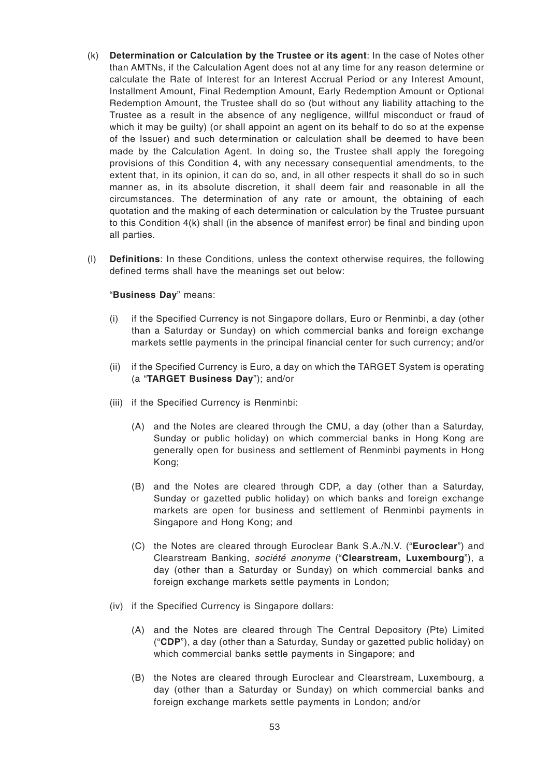- (k) **Determination or Calculation by the Trustee or its agent**: In the case of Notes other than AMTNs, if the Calculation Agent does not at any time for any reason determine or calculate the Rate of Interest for an Interest Accrual Period or any Interest Amount, Installment Amount, Final Redemption Amount, Early Redemption Amount or Optional Redemption Amount, the Trustee shall do so (but without any liability attaching to the Trustee as a result in the absence of any negligence, willful misconduct or fraud of which it may be guilty) (or shall appoint an agent on its behalf to do so at the expense of the Issuer) and such determination or calculation shall be deemed to have been made by the Calculation Agent. In doing so, the Trustee shall apply the foregoing provisions of this Condition 4, with any necessary consequential amendments, to the extent that, in its opinion, it can do so, and, in all other respects it shall do so in such manner as, in its absolute discretion, it shall deem fair and reasonable in all the circumstances. The determination of any rate or amount, the obtaining of each quotation and the making of each determination or calculation by the Trustee pursuant to this Condition 4(k) shall (in the absence of manifest error) be final and binding upon all parties.
- (l) **Definitions**: In these Conditions, unless the context otherwise requires, the following defined terms shall have the meanings set out below:

#### "**Business Day**" means:

- (i) if the Specified Currency is not Singapore dollars, Euro or Renminbi, a day (other than a Saturday or Sunday) on which commercial banks and foreign exchange markets settle payments in the principal financial center for such currency; and/or
- (ii) if the Specified Currency is Euro, a day on which the TARGET System is operating (a "**TARGET Business Day**"); and/or
- (iii) if the Specified Currency is Renminbi:
	- (A) and the Notes are cleared through the CMU, a day (other than a Saturday, Sunday or public holiday) on which commercial banks in Hong Kong are generally open for business and settlement of Renminbi payments in Hong Kong;
	- (B) and the Notes are cleared through CDP, a day (other than a Saturday, Sunday or gazetted public holiday) on which banks and foreign exchange markets are open for business and settlement of Renminbi payments in Singapore and Hong Kong; and
	- (C) the Notes are cleared through Euroclear Bank S.A./N.V. ("**Euroclear**") and Clearstream Banking, société anonyme ("**Clearstream, Luxembourg**"), a day (other than a Saturday or Sunday) on which commercial banks and foreign exchange markets settle payments in London;
- (iv) if the Specified Currency is Singapore dollars:
	- (A) and the Notes are cleared through The Central Depository (Pte) Limited ("**CDP**"), a day (other than a Saturday, Sunday or gazetted public holiday) on which commercial banks settle payments in Singapore; and
	- (B) the Notes are cleared through Euroclear and Clearstream, Luxembourg, a day (other than a Saturday or Sunday) on which commercial banks and foreign exchange markets settle payments in London; and/or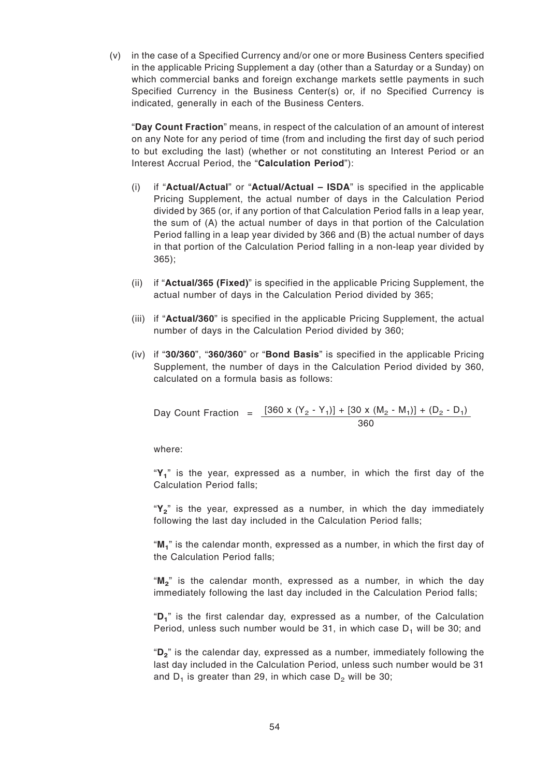(v) in the case of a Specified Currency and/or one or more Business Centers specified in the applicable Pricing Supplement a day (other than a Saturday or a Sunday) on which commercial banks and foreign exchange markets settle payments in such Specified Currency in the Business Center(s) or, if no Specified Currency is indicated, generally in each of the Business Centers.

"**Day Count Fraction**" means, in respect of the calculation of an amount of interest on any Note for any period of time (from and including the first day of such period to but excluding the last) (whether or not constituting an Interest Period or an Interest Accrual Period, the "**Calculation Period**"):

- (i) if "**Actual/Actual**" or "**Actual/Actual ISDA**" is specified in the applicable Pricing Supplement, the actual number of days in the Calculation Period divided by 365 (or, if any portion of that Calculation Period falls in a leap year, the sum of (A) the actual number of days in that portion of the Calculation Period falling in a leap year divided by 366 and (B) the actual number of days in that portion of the Calculation Period falling in a non-leap year divided by 365);
- (ii) if "**Actual/365 (Fixed)**" is specified in the applicable Pricing Supplement, the actual number of days in the Calculation Period divided by 365;
- (iii) if "**Actual/360**" is specified in the applicable Pricing Supplement, the actual number of days in the Calculation Period divided by 360;
- (iv) if "**30/360**", "**360/360**" or "**Bond Basis**" is specified in the applicable Pricing Supplement, the number of days in the Calculation Period divided by 360, calculated on a formula basis as follows:

Day Count Fraction = 
$$
\frac{[360 \times (Y_2 - Y_1)] + [30 \times (M_2 - M_1)] + (D_2 - D_1)}{360}
$$

where:

"**Y<sup>1</sup>** " is the year, expressed as a number, in which the first day of the Calculation Period falls;

"**Y<sup>2</sup>** " is the year, expressed as a number, in which the day immediately following the last day included in the Calculation Period falls;

"**M<sup>1</sup>** " is the calendar month, expressed as a number, in which the first day of the Calculation Period falls;

"**M<sup>2</sup>** " is the calendar month, expressed as a number, in which the day immediately following the last day included in the Calculation Period falls;

"**D<sup>1</sup>** " is the first calendar day, expressed as a number, of the Calculation Period, unless such number would be 31, in which case  $D_1$  will be 30; and

"**D<sup>2</sup>** " is the calendar day, expressed as a number, immediately following the last day included in the Calculation Period, unless such number would be 31 and D<sub>1</sub> is greater than 29, in which case D<sub>2</sub> will be 30;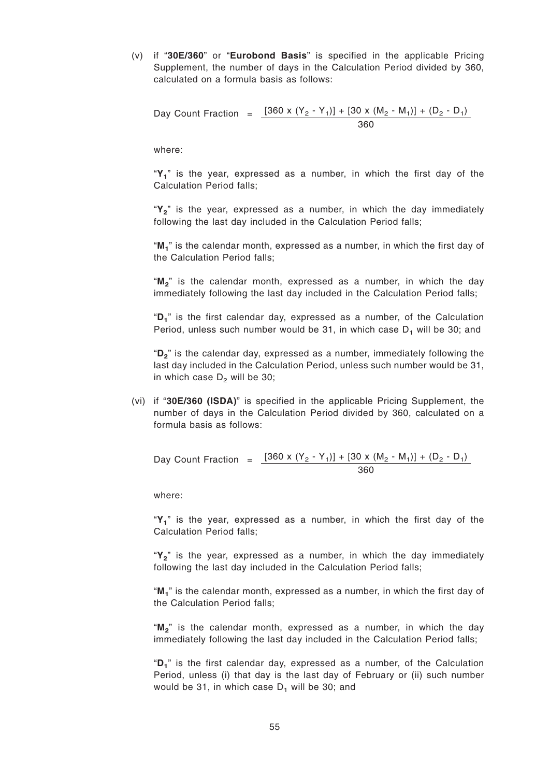(v) if "**30E/360**" or "**Eurobond Basis**" is specified in the applicable Pricing Supplement, the number of days in the Calculation Period divided by 360, calculated on a formula basis as follows:

Day Count Fraction = 
$$
\frac{[360 \times (Y_2 - Y_1)] + [30 \times (M_2 - M_1)] + (D_2 - D_1)}{360}
$$

where:

"**Y<sup>1</sup>** " is the year, expressed as a number, in which the first day of the Calculation Period falls;

"**Y<sup>2</sup>** " is the year, expressed as a number, in which the day immediately following the last day included in the Calculation Period falls;

"**M<sup>1</sup>** " is the calendar month, expressed as a number, in which the first day of the Calculation Period falls;

"**M<sup>2</sup>** " is the calendar month, expressed as a number, in which the day immediately following the last day included in the Calculation Period falls;

"**D<sup>1</sup>** " is the first calendar day, expressed as a number, of the Calculation Period, unless such number would be 31, in which case  $D_1$  will be 30; and

"**D<sup>2</sup>** " is the calendar day, expressed as a number, immediately following the last day included in the Calculation Period, unless such number would be 31, in which case  $D_2$  will be 30;

(vi) if "**30E/360 (ISDA)**" is specified in the applicable Pricing Supplement, the number of days in the Calculation Period divided by 360, calculated on a formula basis as follows:

Day Count Fraction = 
$$
\frac{[360 \times (Y_2 - Y_1)] + [30 \times (M_2 - M_1)] + (D_2 - D_1)}{360}
$$

where:

"**Y<sup>1</sup>** " is the year, expressed as a number, in which the first day of the Calculation Period falls;

"**Y<sup>2</sup>** " is the year, expressed as a number, in which the day immediately following the last day included in the Calculation Period falls;

"**M<sup>1</sup>** " is the calendar month, expressed as a number, in which the first day of the Calculation Period falls;

"**M<sup>2</sup>** " is the calendar month, expressed as a number, in which the day immediately following the last day included in the Calculation Period falls;

"**D<sup>1</sup>** " is the first calendar day, expressed as a number, of the Calculation Period, unless (i) that day is the last day of February or (ii) such number would be 31, in which case  $D_1$  will be 30; and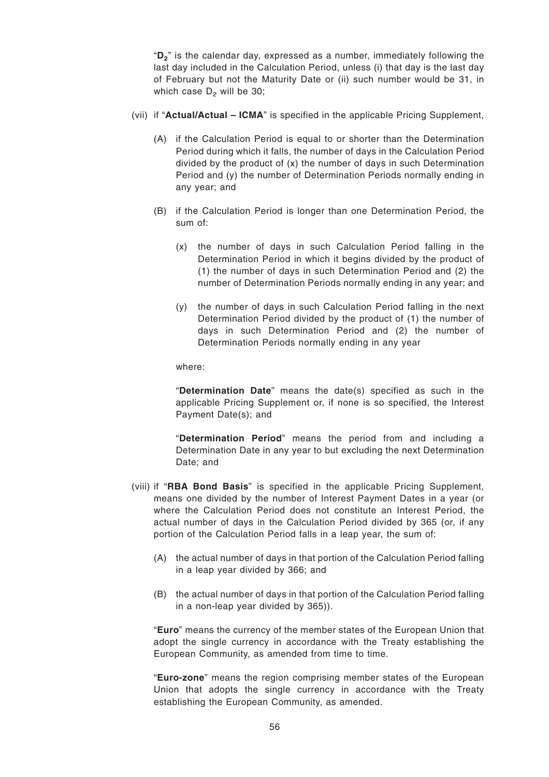"**D<sup>2</sup>** " is the calendar day, expressed as a number, immediately following the last day included in the Calculation Period, unless (i) that day is the last day of February but not the Maturity Date or (ii) such number would be 31, in which case  $D_2$  will be 30;

- (vii) if "**Actual/Actual ICMA**" is specified in the applicable Pricing Supplement,
	- (A) if the Calculation Period is equal to or shorter than the Determination Period during which it falls, the number of days in the Calculation Period divided by the product of (x) the number of days in such Determination Period and (y) the number of Determination Periods normally ending in any year; and
	- (B) if the Calculation Period is longer than one Determination Period, the sum of:
		- (x) the number of days in such Calculation Period falling in the Determination Period in which it begins divided by the product of (1) the number of days in such Determination Period and (2) the number of Determination Periods normally ending in any year; and
		- (y) the number of days in such Calculation Period falling in the next Determination Period divided by the product of (1) the number of days in such Determination Period and (2) the number of Determination Periods normally ending in any year

where:

"**Determination Date**" means the date(s) specified as such in the applicable Pricing Supplement or, if none is so specified, the Interest Payment Date(s); and

"**Determination Period**" means the period from and including a Determination Date in any year to but excluding the next Determination Date; and

- (viii) if "**RBA Bond Basis**" is specified in the applicable Pricing Supplement, means one divided by the number of Interest Payment Dates in a year (or where the Calculation Period does not constitute an Interest Period, the actual number of days in the Calculation Period divided by 365 (or, if any portion of the Calculation Period falls in a leap year, the sum of:
	- (A) the actual number of days in that portion of the Calculation Period falling in a leap year divided by 366; and
	- (B) the actual number of days in that portion of the Calculation Period falling in a non-leap year divided by 365)).

"**Euro**" means the currency of the member states of the European Union that adopt the single currency in accordance with the Treaty establishing the European Community, as amended from time to time.

"**Euro-zone**" means the region comprising member states of the European Union that adopts the single currency in accordance with the Treaty establishing the European Community, as amended.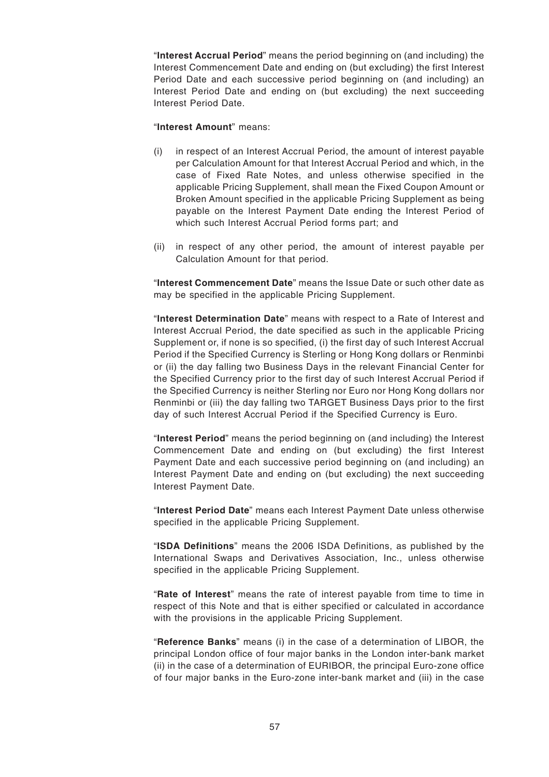"**Interest Accrual Period**" means the period beginning on (and including) the Interest Commencement Date and ending on (but excluding) the first Interest Period Date and each successive period beginning on (and including) an Interest Period Date and ending on (but excluding) the next succeeding Interest Period Date.

"**Interest Amount**" means:

- (i) in respect of an Interest Accrual Period, the amount of interest payable per Calculation Amount for that Interest Accrual Period and which, in the case of Fixed Rate Notes, and unless otherwise specified in the applicable Pricing Supplement, shall mean the Fixed Coupon Amount or Broken Amount specified in the applicable Pricing Supplement as being payable on the Interest Payment Date ending the Interest Period of which such Interest Accrual Period forms part; and
- (ii) in respect of any other period, the amount of interest payable per Calculation Amount for that period.

"**Interest Commencement Date**" means the Issue Date or such other date as may be specified in the applicable Pricing Supplement.

"**Interest Determination Date**" means with respect to a Rate of Interest and Interest Accrual Period, the date specified as such in the applicable Pricing Supplement or, if none is so specified, (i) the first day of such Interest Accrual Period if the Specified Currency is Sterling or Hong Kong dollars or Renminbi or (ii) the day falling two Business Days in the relevant Financial Center for the Specified Currency prior to the first day of such Interest Accrual Period if the Specified Currency is neither Sterling nor Euro nor Hong Kong dollars nor Renminbi or (iii) the day falling two TARGET Business Days prior to the first day of such Interest Accrual Period if the Specified Currency is Euro.

"**Interest Period**" means the period beginning on (and including) the Interest Commencement Date and ending on (but excluding) the first Interest Payment Date and each successive period beginning on (and including) an Interest Payment Date and ending on (but excluding) the next succeeding Interest Payment Date.

"**Interest Period Date**" means each Interest Payment Date unless otherwise specified in the applicable Pricing Supplement.

"**ISDA Definitions**" means the 2006 ISDA Definitions, as published by the International Swaps and Derivatives Association, Inc., unless otherwise specified in the applicable Pricing Supplement.

"**Rate of Interest**" means the rate of interest payable from time to time in respect of this Note and that is either specified or calculated in accordance with the provisions in the applicable Pricing Supplement.

"**Reference Banks**" means (i) in the case of a determination of LIBOR, the principal London office of four major banks in the London inter-bank market (ii) in the case of a determination of EURIBOR, the principal Euro-zone office of four major banks in the Euro-zone inter-bank market and (iii) in the case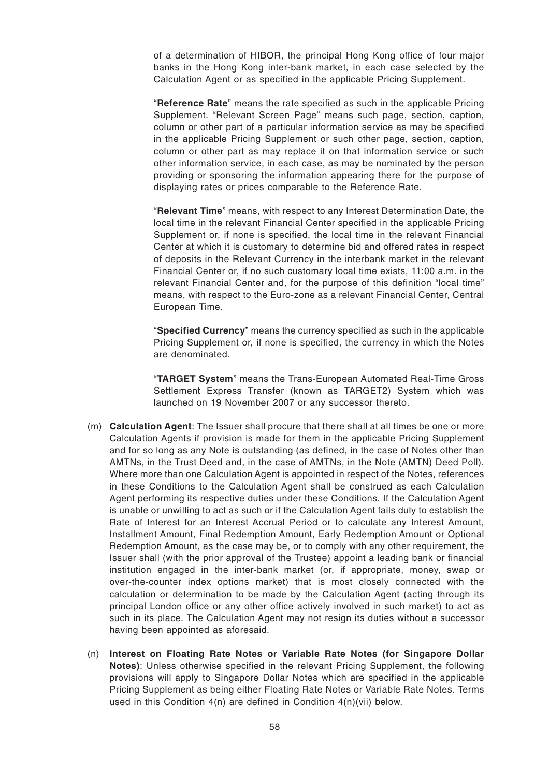of a determination of HIBOR, the principal Hong Kong office of four major banks in the Hong Kong inter-bank market, in each case selected by the Calculation Agent or as specified in the applicable Pricing Supplement.

"**Reference Rate**" means the rate specified as such in the applicable Pricing Supplement. "Relevant Screen Page" means such page, section, caption, column or other part of a particular information service as may be specified in the applicable Pricing Supplement or such other page, section, caption, column or other part as may replace it on that information service or such other information service, in each case, as may be nominated by the person providing or sponsoring the information appearing there for the purpose of displaying rates or prices comparable to the Reference Rate.

"**Relevant Time**" means, with respect to any Interest Determination Date, the local time in the relevant Financial Center specified in the applicable Pricing Supplement or, if none is specified, the local time in the relevant Financial Center at which it is customary to determine bid and offered rates in respect of deposits in the Relevant Currency in the interbank market in the relevant Financial Center or, if no such customary local time exists, 11:00 a.m. in the relevant Financial Center and, for the purpose of this definition "local time" means, with respect to the Euro-zone as a relevant Financial Center, Central European Time.

"**Specified Currency**" means the currency specified as such in the applicable Pricing Supplement or, if none is specified, the currency in which the Notes are denominated.

"**TARGET System**" means the Trans-European Automated Real-Time Gross Settlement Express Transfer (known as TARGET2) System which was launched on 19 November 2007 or any successor thereto.

- (m) **Calculation Agent**: The Issuer shall procure that there shall at all times be one or more Calculation Agents if provision is made for them in the applicable Pricing Supplement and for so long as any Note is outstanding (as defined, in the case of Notes other than AMTNs, in the Trust Deed and, in the case of AMTNs, in the Note (AMTN) Deed Poll). Where more than one Calculation Agent is appointed in respect of the Notes, references in these Conditions to the Calculation Agent shall be construed as each Calculation Agent performing its respective duties under these Conditions. If the Calculation Agent is unable or unwilling to act as such or if the Calculation Agent fails duly to establish the Rate of Interest for an Interest Accrual Period or to calculate any Interest Amount, Installment Amount, Final Redemption Amount, Early Redemption Amount or Optional Redemption Amount, as the case may be, or to comply with any other requirement, the Issuer shall (with the prior approval of the Trustee) appoint a leading bank or financial institution engaged in the inter-bank market (or, if appropriate, money, swap or over-the-counter index options market) that is most closely connected with the calculation or determination to be made by the Calculation Agent (acting through its principal London office or any other office actively involved in such market) to act as such in its place. The Calculation Agent may not resign its duties without a successor having been appointed as aforesaid.
- (n) **Interest on Floating Rate Notes or Variable Rate Notes (for Singapore Dollar Notes)**: Unless otherwise specified in the relevant Pricing Supplement, the following provisions will apply to Singapore Dollar Notes which are specified in the applicable Pricing Supplement as being either Floating Rate Notes or Variable Rate Notes. Terms used in this Condition 4(n) are defined in Condition 4(n)(vii) below.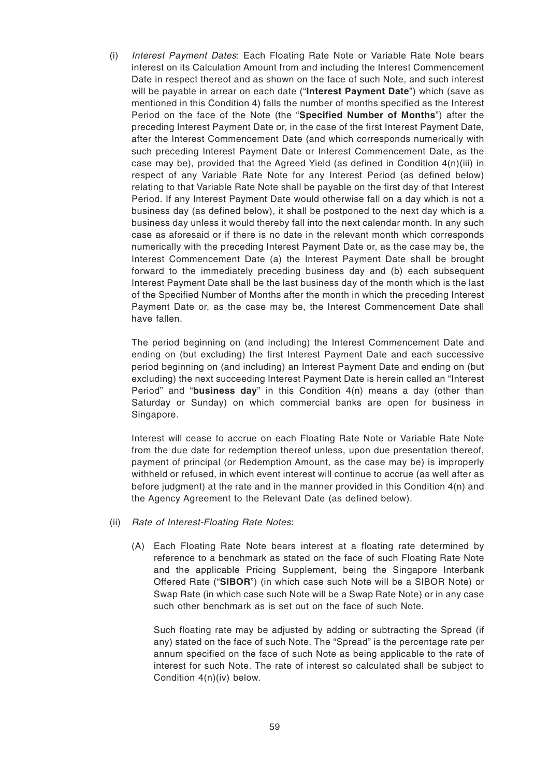(i) Interest Payment Dates: Each Floating Rate Note or Variable Rate Note bears interest on its Calculation Amount from and including the Interest Commencement Date in respect thereof and as shown on the face of such Note, and such interest will be payable in arrear on each date ("**Interest Payment Date**") which (save as mentioned in this Condition 4) falls the number of months specified as the Interest Period on the face of the Note (the "**Specified Number of Months**") after the preceding Interest Payment Date or, in the case of the first Interest Payment Date, after the Interest Commencement Date (and which corresponds numerically with such preceding Interest Payment Date or Interest Commencement Date, as the case may be), provided that the Agreed Yield (as defined in Condition  $4(n)(iii)$  in respect of any Variable Rate Note for any Interest Period (as defined below) relating to that Variable Rate Note shall be payable on the first day of that Interest Period. If any Interest Payment Date would otherwise fall on a day which is not a business day (as defined below), it shall be postponed to the next day which is a business day unless it would thereby fall into the next calendar month. In any such case as aforesaid or if there is no date in the relevant month which corresponds numerically with the preceding Interest Payment Date or, as the case may be, the Interest Commencement Date (a) the Interest Payment Date shall be brought forward to the immediately preceding business day and (b) each subsequent Interest Payment Date shall be the last business day of the month which is the last of the Specified Number of Months after the month in which the preceding Interest Payment Date or, as the case may be, the Interest Commencement Date shall have fallen.

The period beginning on (and including) the Interest Commencement Date and ending on (but excluding) the first Interest Payment Date and each successive period beginning on (and including) an Interest Payment Date and ending on (but excluding) the next succeeding Interest Payment Date is herein called an "Interest Period" and "**business day**" in this Condition 4(n) means a day (other than Saturday or Sunday) on which commercial banks are open for business in Singapore.

Interest will cease to accrue on each Floating Rate Note or Variable Rate Note from the due date for redemption thereof unless, upon due presentation thereof, payment of principal (or Redemption Amount, as the case may be) is improperly withheld or refused, in which event interest will continue to accrue (as well after as before judgment) at the rate and in the manner provided in this Condition  $4(n)$  and the Agency Agreement to the Relevant Date (as defined below).

- (ii) Rate of Interest-Floating Rate Notes:
	- (A) Each Floating Rate Note bears interest at a floating rate determined by reference to a benchmark as stated on the face of such Floating Rate Note and the applicable Pricing Supplement, being the Singapore Interbank Offered Rate ("**SIBOR**") (in which case such Note will be a SIBOR Note) or Swap Rate (in which case such Note will be a Swap Rate Note) or in any case such other benchmark as is set out on the face of such Note.

Such floating rate may be adjusted by adding or subtracting the Spread (if any) stated on the face of such Note. The "Spread" is the percentage rate per annum specified on the face of such Note as being applicable to the rate of interest for such Note. The rate of interest so calculated shall be subject to Condition 4(n)(iv) below.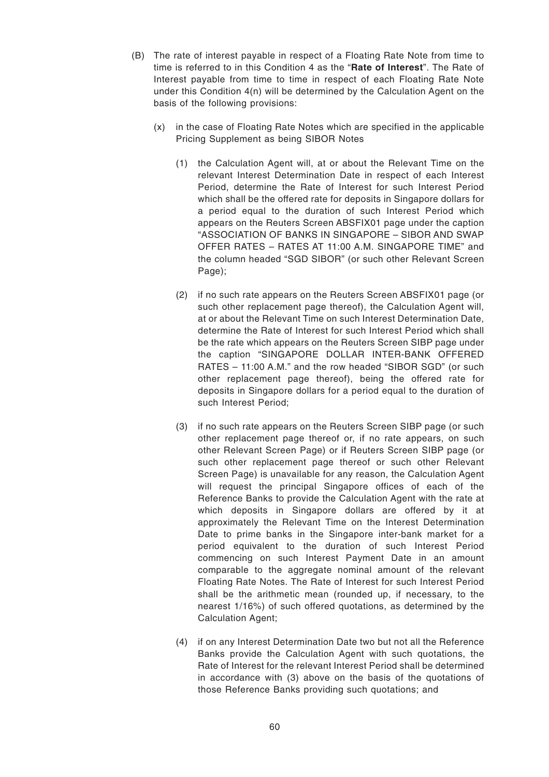- (B) The rate of interest payable in respect of a Floating Rate Note from time to time is referred to in this Condition 4 as the "**Rate of Interest**". The Rate of Interest payable from time to time in respect of each Floating Rate Note under this Condition 4(n) will be determined by the Calculation Agent on the basis of the following provisions:
	- (x) in the case of Floating Rate Notes which are specified in the applicable Pricing Supplement as being SIBOR Notes
		- (1) the Calculation Agent will, at or about the Relevant Time on the relevant Interest Determination Date in respect of each Interest Period, determine the Rate of Interest for such Interest Period which shall be the offered rate for deposits in Singapore dollars for a period equal to the duration of such Interest Period which appears on the Reuters Screen ABSFIX01 page under the caption "ASSOCIATION OF BANKS IN SINGAPORE – SIBOR AND SWAP OFFER RATES – RATES AT 11:00 A.M. SINGAPORE TIME" and the column headed "SGD SIBOR" (or such other Relevant Screen Page);
		- (2) if no such rate appears on the Reuters Screen ABSFIX01 page (or such other replacement page thereof), the Calculation Agent will, at or about the Relevant Time on such Interest Determination Date, determine the Rate of Interest for such Interest Period which shall be the rate which appears on the Reuters Screen SIBP page under the caption "SINGAPORE DOLLAR INTER-BANK OFFERED RATES – 11:00 A.M." and the row headed "SIBOR SGD" (or such other replacement page thereof), being the offered rate for deposits in Singapore dollars for a period equal to the duration of such Interest Period;
		- (3) if no such rate appears on the Reuters Screen SIBP page (or such other replacement page thereof or, if no rate appears, on such other Relevant Screen Page) or if Reuters Screen SIBP page (or such other replacement page thereof or such other Relevant Screen Page) is unavailable for any reason, the Calculation Agent will request the principal Singapore offices of each of the Reference Banks to provide the Calculation Agent with the rate at which deposits in Singapore dollars are offered by it at approximately the Relevant Time on the Interest Determination Date to prime banks in the Singapore inter-bank market for a period equivalent to the duration of such Interest Period commencing on such Interest Payment Date in an amount comparable to the aggregate nominal amount of the relevant Floating Rate Notes. The Rate of Interest for such Interest Period shall be the arithmetic mean (rounded up, if necessary, to the nearest 1/16%) of such offered quotations, as determined by the Calculation Agent;
		- (4) if on any Interest Determination Date two but not all the Reference Banks provide the Calculation Agent with such quotations, the Rate of Interest for the relevant Interest Period shall be determined in accordance with (3) above on the basis of the quotations of those Reference Banks providing such quotations; and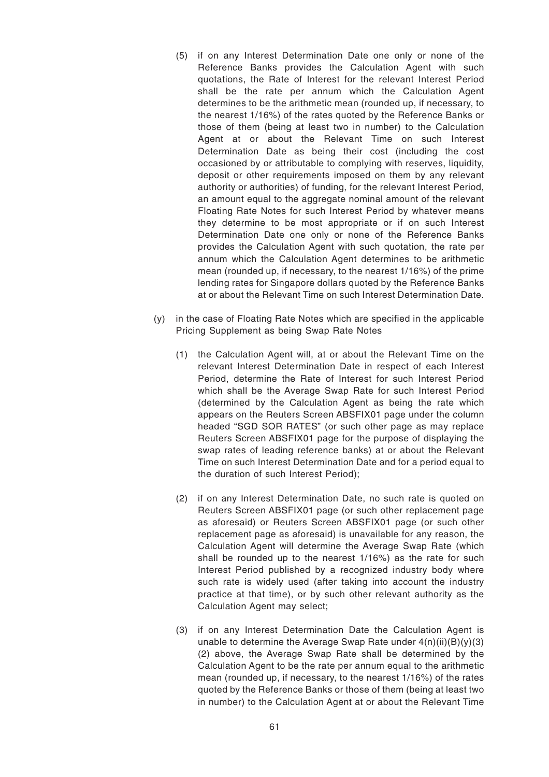- (5) if on any Interest Determination Date one only or none of the Reference Banks provides the Calculation Agent with such quotations, the Rate of Interest for the relevant Interest Period shall be the rate per annum which the Calculation Agent determines to be the arithmetic mean (rounded up, if necessary, to the nearest 1/16%) of the rates quoted by the Reference Banks or those of them (being at least two in number) to the Calculation Agent at or about the Relevant Time on such Interest Determination Date as being their cost (including the cost occasioned by or attributable to complying with reserves, liquidity, deposit or other requirements imposed on them by any relevant authority or authorities) of funding, for the relevant Interest Period, an amount equal to the aggregate nominal amount of the relevant Floating Rate Notes for such Interest Period by whatever means they determine to be most appropriate or if on such Interest Determination Date one only or none of the Reference Banks provides the Calculation Agent with such quotation, the rate per annum which the Calculation Agent determines to be arithmetic mean (rounded up, if necessary, to the nearest 1/16%) of the prime lending rates for Singapore dollars quoted by the Reference Banks at or about the Relevant Time on such Interest Determination Date.
- (y) in the case of Floating Rate Notes which are specified in the applicable Pricing Supplement as being Swap Rate Notes
	- (1) the Calculation Agent will, at or about the Relevant Time on the relevant Interest Determination Date in respect of each Interest Period, determine the Rate of Interest for such Interest Period which shall be the Average Swap Rate for such Interest Period (determined by the Calculation Agent as being the rate which appears on the Reuters Screen ABSFIX01 page under the column headed "SGD SOR RATES" (or such other page as may replace Reuters Screen ABSFIX01 page for the purpose of displaying the swap rates of leading reference banks) at or about the Relevant Time on such Interest Determination Date and for a period equal to the duration of such Interest Period);
	- (2) if on any Interest Determination Date, no such rate is quoted on Reuters Screen ABSFIX01 page (or such other replacement page as aforesaid) or Reuters Screen ABSFIX01 page (or such other replacement page as aforesaid) is unavailable for any reason, the Calculation Agent will determine the Average Swap Rate (which shall be rounded up to the nearest 1/16%) as the rate for such Interest Period published by a recognized industry body where such rate is widely used (after taking into account the industry practice at that time), or by such other relevant authority as the Calculation Agent may select;
	- (3) if on any Interest Determination Date the Calculation Agent is unable to determine the Average Swap Rate under  $4(n)(ii)(B)(v)(3)$ (2) above, the Average Swap Rate shall be determined by the Calculation Agent to be the rate per annum equal to the arithmetic mean (rounded up, if necessary, to the nearest 1/16%) of the rates quoted by the Reference Banks or those of them (being at least two in number) to the Calculation Agent at or about the Relevant Time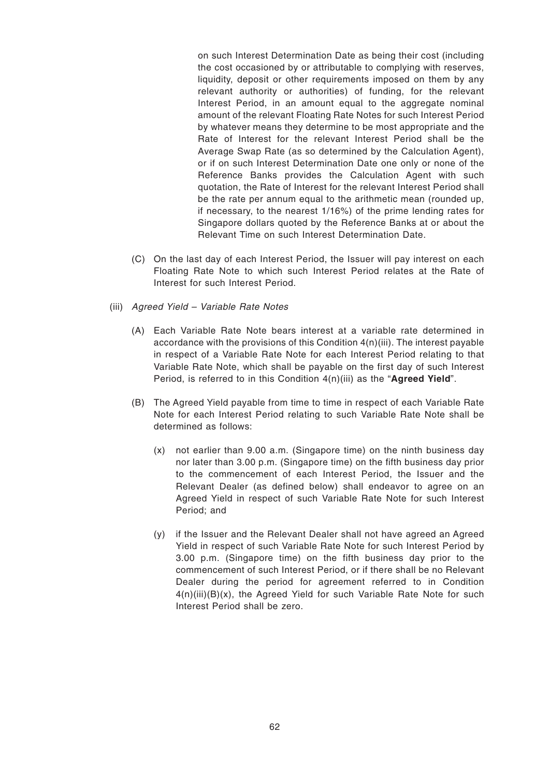on such Interest Determination Date as being their cost (including the cost occasioned by or attributable to complying with reserves, liquidity, deposit or other requirements imposed on them by any relevant authority or authorities) of funding, for the relevant Interest Period, in an amount equal to the aggregate nominal amount of the relevant Floating Rate Notes for such Interest Period by whatever means they determine to be most appropriate and the Rate of Interest for the relevant Interest Period shall be the Average Swap Rate (as so determined by the Calculation Agent), or if on such Interest Determination Date one only or none of the Reference Banks provides the Calculation Agent with such quotation, the Rate of Interest for the relevant Interest Period shall be the rate per annum equal to the arithmetic mean (rounded up, if necessary, to the nearest 1/16%) of the prime lending rates for Singapore dollars quoted by the Reference Banks at or about the Relevant Time on such Interest Determination Date.

- (C) On the last day of each Interest Period, the Issuer will pay interest on each Floating Rate Note to which such Interest Period relates at the Rate of Interest for such Interest Period.
- (iii) Agreed Yield Variable Rate Notes
	- (A) Each Variable Rate Note bears interest at a variable rate determined in accordance with the provisions of this Condition  $4(n)(iii)$ . The interest payable in respect of a Variable Rate Note for each Interest Period relating to that Variable Rate Note, which shall be payable on the first day of such Interest Period, is referred to in this Condition 4(n)(iii) as the "**Agreed Yield**".
	- (B) The Agreed Yield payable from time to time in respect of each Variable Rate Note for each Interest Period relating to such Variable Rate Note shall be determined as follows:
		- (x) not earlier than 9.00 a.m. (Singapore time) on the ninth business day nor later than 3.00 p.m. (Singapore time) on the fifth business day prior to the commencement of each Interest Period, the Issuer and the Relevant Dealer (as defined below) shall endeavor to agree on an Agreed Yield in respect of such Variable Rate Note for such Interest Period; and
		- (y) if the Issuer and the Relevant Dealer shall not have agreed an Agreed Yield in respect of such Variable Rate Note for such Interest Period by 3.00 p.m. (Singapore time) on the fifth business day prior to the commencement of such Interest Period, or if there shall be no Relevant Dealer during the period for agreement referred to in Condition 4(n)(iii)(B)(x), the Agreed Yield for such Variable Rate Note for such Interest Period shall be zero.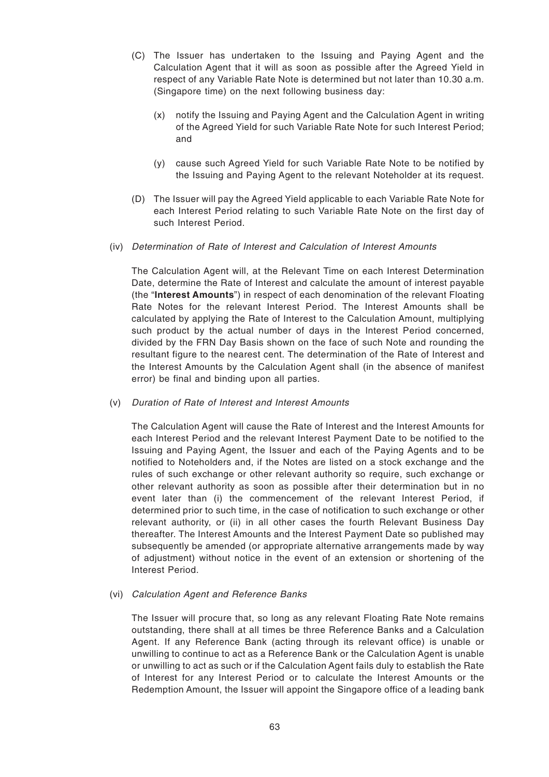- (C) The Issuer has undertaken to the Issuing and Paying Agent and the Calculation Agent that it will as soon as possible after the Agreed Yield in respect of any Variable Rate Note is determined but not later than 10.30 a.m. (Singapore time) on the next following business day:
	- (x) notify the Issuing and Paying Agent and the Calculation Agent in writing of the Agreed Yield for such Variable Rate Note for such Interest Period; and
	- (y) cause such Agreed Yield for such Variable Rate Note to be notified by the Issuing and Paying Agent to the relevant Noteholder at its request.
- (D) The Issuer will pay the Agreed Yield applicable to each Variable Rate Note for each Interest Period relating to such Variable Rate Note on the first day of such Interest Period.
- (iv) Determination of Rate of Interest and Calculation of Interest Amounts

The Calculation Agent will, at the Relevant Time on each Interest Determination Date, determine the Rate of Interest and calculate the amount of interest payable (the "**Interest Amounts**") in respect of each denomination of the relevant Floating Rate Notes for the relevant Interest Period. The Interest Amounts shall be calculated by applying the Rate of Interest to the Calculation Amount, multiplying such product by the actual number of days in the Interest Period concerned, divided by the FRN Day Basis shown on the face of such Note and rounding the resultant figure to the nearest cent. The determination of the Rate of Interest and the Interest Amounts by the Calculation Agent shall (in the absence of manifest error) be final and binding upon all parties.

(v) Duration of Rate of Interest and Interest Amounts

The Calculation Agent will cause the Rate of Interest and the Interest Amounts for each Interest Period and the relevant Interest Payment Date to be notified to the Issuing and Paying Agent, the Issuer and each of the Paying Agents and to be notified to Noteholders and, if the Notes are listed on a stock exchange and the rules of such exchange or other relevant authority so require, such exchange or other relevant authority as soon as possible after their determination but in no event later than (i) the commencement of the relevant Interest Period, if determined prior to such time, in the case of notification to such exchange or other relevant authority, or (ii) in all other cases the fourth Relevant Business Day thereafter. The Interest Amounts and the Interest Payment Date so published may subsequently be amended (or appropriate alternative arrangements made by way of adjustment) without notice in the event of an extension or shortening of the Interest Period.

(vi) Calculation Agent and Reference Banks

The Issuer will procure that, so long as any relevant Floating Rate Note remains outstanding, there shall at all times be three Reference Banks and a Calculation Agent. If any Reference Bank (acting through its relevant office) is unable or unwilling to continue to act as a Reference Bank or the Calculation Agent is unable or unwilling to act as such or if the Calculation Agent fails duly to establish the Rate of Interest for any Interest Period or to calculate the Interest Amounts or the Redemption Amount, the Issuer will appoint the Singapore office of a leading bank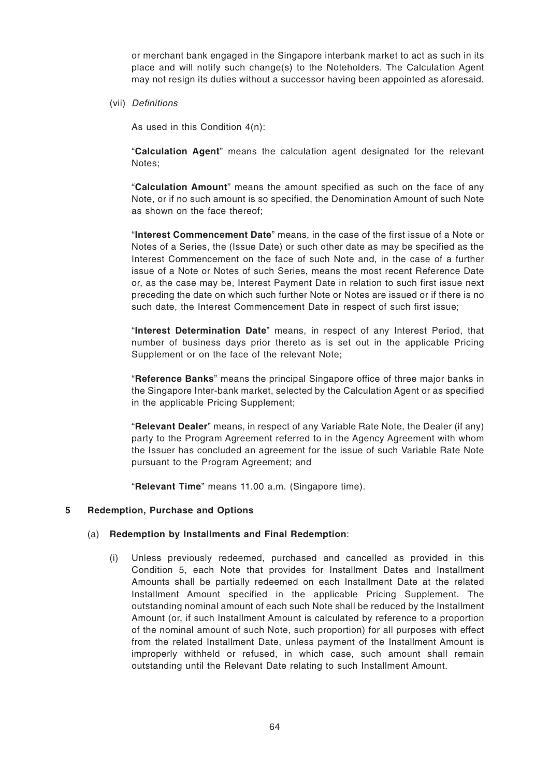or merchant bank engaged in the Singapore interbank market to act as such in its place and will notify such change(s) to the Noteholders. The Calculation Agent may not resign its duties without a successor having been appointed as aforesaid.

(vii) Definitions

As used in this Condition 4(n):

"**Calculation Agent**" means the calculation agent designated for the relevant Notes;

"**Calculation Amount**" means the amount specified as such on the face of any Note, or if no such amount is so specified, the Denomination Amount of such Note as shown on the face thereof;

"**Interest Commencement Date**" means, in the case of the first issue of a Note or Notes of a Series, the (Issue Date) or such other date as may be specified as the Interest Commencement on the face of such Note and, in the case of a further issue of a Note or Notes of such Series, means the most recent Reference Date or, as the case may be, Interest Payment Date in relation to such first issue next preceding the date on which such further Note or Notes are issued or if there is no such date, the Interest Commencement Date in respect of such first issue;

"**Interest Determination Date**" means, in respect of any Interest Period, that number of business days prior thereto as is set out in the applicable Pricing Supplement or on the face of the relevant Note;

"**Reference Banks**" means the principal Singapore office of three major banks in the Singapore Inter-bank market, selected by the Calculation Agent or as specified in the applicable Pricing Supplement;

"**Relevant Dealer**" means, in respect of any Variable Rate Note, the Dealer (if any) party to the Program Agreement referred to in the Agency Agreement with whom the Issuer has concluded an agreement for the issue of such Variable Rate Note pursuant to the Program Agreement; and

"**Relevant Time**" means 11.00 a.m. (Singapore time).

#### **5 Redemption, Purchase and Options**

## (a) **Redemption by Installments and Final Redemption**:

(i) Unless previously redeemed, purchased and cancelled as provided in this Condition 5, each Note that provides for Installment Dates and Installment Amounts shall be partially redeemed on each Installment Date at the related Installment Amount specified in the applicable Pricing Supplement. The outstanding nominal amount of each such Note shall be reduced by the Installment Amount (or, if such Installment Amount is calculated by reference to a proportion of the nominal amount of such Note, such proportion) for all purposes with effect from the related Installment Date, unless payment of the Installment Amount is improperly withheld or refused, in which case, such amount shall remain outstanding until the Relevant Date relating to such Installment Amount.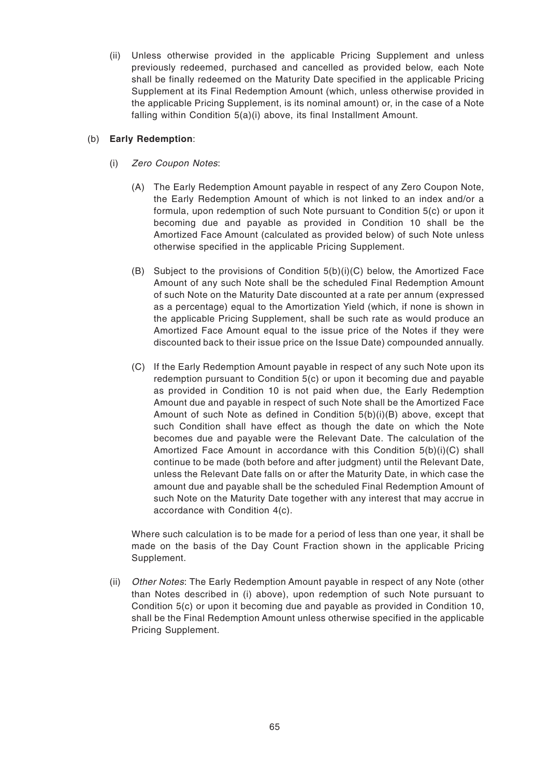(ii) Unless otherwise provided in the applicable Pricing Supplement and unless previously redeemed, purchased and cancelled as provided below, each Note shall be finally redeemed on the Maturity Date specified in the applicable Pricing Supplement at its Final Redemption Amount (which, unless otherwise provided in the applicable Pricing Supplement, is its nominal amount) or, in the case of a Note falling within Condition 5(a)(i) above, its final Installment Amount.

# (b) **Early Redemption**:

- (i) Zero Coupon Notes:
	- (A) The Early Redemption Amount payable in respect of any Zero Coupon Note, the Early Redemption Amount of which is not linked to an index and/or a formula, upon redemption of such Note pursuant to Condition 5(c) or upon it becoming due and payable as provided in Condition 10 shall be the Amortized Face Amount (calculated as provided below) of such Note unless otherwise specified in the applicable Pricing Supplement.
	- (B) Subject to the provisions of Condition  $5(b)(i)(C)$  below, the Amortized Face Amount of any such Note shall be the scheduled Final Redemption Amount of such Note on the Maturity Date discounted at a rate per annum (expressed as a percentage) equal to the Amortization Yield (which, if none is shown in the applicable Pricing Supplement, shall be such rate as would produce an Amortized Face Amount equal to the issue price of the Notes if they were discounted back to their issue price on the Issue Date) compounded annually.
	- (C) If the Early Redemption Amount payable in respect of any such Note upon its redemption pursuant to Condition 5(c) or upon it becoming due and payable as provided in Condition 10 is not paid when due, the Early Redemption Amount due and payable in respect of such Note shall be the Amortized Face Amount of such Note as defined in Condition 5(b)(i)(B) above, except that such Condition shall have effect as though the date on which the Note becomes due and payable were the Relevant Date. The calculation of the Amortized Face Amount in accordance with this Condition 5(b)(i)(C) shall continue to be made (both before and after judgment) until the Relevant Date, unless the Relevant Date falls on or after the Maturity Date, in which case the amount due and payable shall be the scheduled Final Redemption Amount of such Note on the Maturity Date together with any interest that may accrue in accordance with Condition 4(c).

Where such calculation is to be made for a period of less than one year, it shall be made on the basis of the Day Count Fraction shown in the applicable Pricing Supplement.

(ii) Other Notes: The Early Redemption Amount payable in respect of any Note (other than Notes described in (i) above), upon redemption of such Note pursuant to Condition 5(c) or upon it becoming due and payable as provided in Condition 10, shall be the Final Redemption Amount unless otherwise specified in the applicable Pricing Supplement.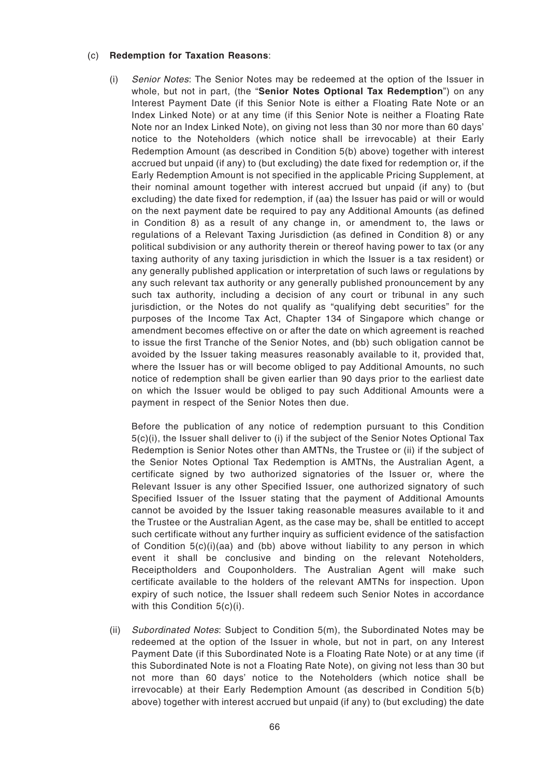#### (c) **Redemption for Taxation Reasons**:

(i) Senior Notes: The Senior Notes may be redeemed at the option of the Issuer in whole, but not in part, (the "**Senior Notes Optional Tax Redemption**") on any Interest Payment Date (if this Senior Note is either a Floating Rate Note or an Index Linked Note) or at any time (if this Senior Note is neither a Floating Rate Note nor an Index Linked Note), on giving not less than 30 nor more than 60 days' notice to the Noteholders (which notice shall be irrevocable) at their Early Redemption Amount (as described in Condition 5(b) above) together with interest accrued but unpaid (if any) to (but excluding) the date fixed for redemption or, if the Early Redemption Amount is not specified in the applicable Pricing Supplement, at their nominal amount together with interest accrued but unpaid (if any) to (but excluding) the date fixed for redemption, if (aa) the Issuer has paid or will or would on the next payment date be required to pay any Additional Amounts (as defined in Condition 8) as a result of any change in, or amendment to, the laws or regulations of a Relevant Taxing Jurisdiction (as defined in Condition 8) or any political subdivision or any authority therein or thereof having power to tax (or any taxing authority of any taxing jurisdiction in which the Issuer is a tax resident) or any generally published application or interpretation of such laws or regulations by any such relevant tax authority or any generally published pronouncement by any such tax authority, including a decision of any court or tribunal in any such jurisdiction, or the Notes do not qualify as "qualifying debt securities" for the purposes of the Income Tax Act, Chapter 134 of Singapore which change or amendment becomes effective on or after the date on which agreement is reached to issue the first Tranche of the Senior Notes, and (bb) such obligation cannot be avoided by the Issuer taking measures reasonably available to it, provided that, where the Issuer has or will become obliged to pay Additional Amounts, no such notice of redemption shall be given earlier than 90 days prior to the earliest date on which the Issuer would be obliged to pay such Additional Amounts were a payment in respect of the Senior Notes then due.

Before the publication of any notice of redemption pursuant to this Condition 5(c)(i), the Issuer shall deliver to (i) if the subject of the Senior Notes Optional Tax Redemption is Senior Notes other than AMTNs, the Trustee or (ii) if the subject of the Senior Notes Optional Tax Redemption is AMTNs, the Australian Agent, a certificate signed by two authorized signatories of the Issuer or, where the Relevant Issuer is any other Specified Issuer, one authorized signatory of such Specified Issuer of the Issuer stating that the payment of Additional Amounts cannot be avoided by the Issuer taking reasonable measures available to it and the Trustee or the Australian Agent, as the case may be, shall be entitled to accept such certificate without any further inquiry as sufficient evidence of the satisfaction of Condition  $5(c)(i)(aa)$  and (bb) above without liability to any person in which event it shall be conclusive and binding on the relevant Noteholders, Receiptholders and Couponholders. The Australian Agent will make such certificate available to the holders of the relevant AMTNs for inspection. Upon expiry of such notice, the Issuer shall redeem such Senior Notes in accordance with this Condition 5(c)(i).

(ii) Subordinated Notes: Subject to Condition  $5(m)$ , the Subordinated Notes may be redeemed at the option of the Issuer in whole, but not in part, on any Interest Payment Date (if this Subordinated Note is a Floating Rate Note) or at any time (if this Subordinated Note is not a Floating Rate Note), on giving not less than 30 but not more than 60 days' notice to the Noteholders (which notice shall be irrevocable) at their Early Redemption Amount (as described in Condition 5(b) above) together with interest accrued but unpaid (if any) to (but excluding) the date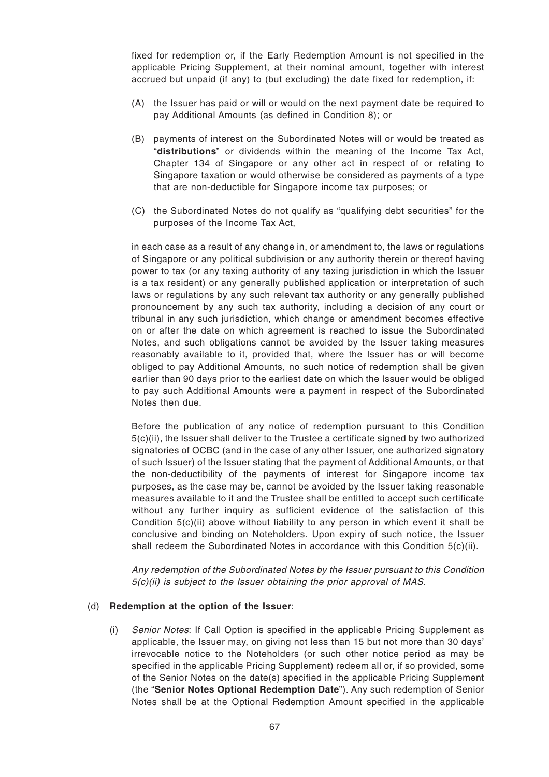fixed for redemption or, if the Early Redemption Amount is not specified in the applicable Pricing Supplement, at their nominal amount, together with interest accrued but unpaid (if any) to (but excluding) the date fixed for redemption, if:

- (A) the Issuer has paid or will or would on the next payment date be required to pay Additional Amounts (as defined in Condition 8); or
- (B) payments of interest on the Subordinated Notes will or would be treated as "**distributions**" or dividends within the meaning of the Income Tax Act, Chapter 134 of Singapore or any other act in respect of or relating to Singapore taxation or would otherwise be considered as payments of a type that are non-deductible for Singapore income tax purposes; or
- (C) the Subordinated Notes do not qualify as "qualifying debt securities" for the purposes of the Income Tax Act,

in each case as a result of any change in, or amendment to, the laws or regulations of Singapore or any political subdivision or any authority therein or thereof having power to tax (or any taxing authority of any taxing jurisdiction in which the Issuer is a tax resident) or any generally published application or interpretation of such laws or regulations by any such relevant tax authority or any generally published pronouncement by any such tax authority, including a decision of any court or tribunal in any such jurisdiction, which change or amendment becomes effective on or after the date on which agreement is reached to issue the Subordinated Notes, and such obligations cannot be avoided by the Issuer taking measures reasonably available to it, provided that, where the Issuer has or will become obliged to pay Additional Amounts, no such notice of redemption shall be given earlier than 90 days prior to the earliest date on which the Issuer would be obliged to pay such Additional Amounts were a payment in respect of the Subordinated Notes then due.

Before the publication of any notice of redemption pursuant to this Condition 5(c)(ii), the Issuer shall deliver to the Trustee a certificate signed by two authorized signatories of OCBC (and in the case of any other Issuer, one authorized signatory of such Issuer) of the Issuer stating that the payment of Additional Amounts, or that the non-deductibility of the payments of interest for Singapore income tax purposes, as the case may be, cannot be avoided by the Issuer taking reasonable measures available to it and the Trustee shall be entitled to accept such certificate without any further inquiry as sufficient evidence of the satisfaction of this Condition 5(c)(ii) above without liability to any person in which event it shall be conclusive and binding on Noteholders. Upon expiry of such notice, the Issuer shall redeem the Subordinated Notes in accordance with this Condition 5(c)(ii).

Any redemption of the Subordinated Notes by the Issuer pursuant to this Condition 5(c)(ii) is subject to the Issuer obtaining the prior approval of MAS.

#### (d) **Redemption at the option of the Issuer**:

(i) Senior Notes: If Call Option is specified in the applicable Pricing Supplement as applicable, the Issuer may, on giving not less than 15 but not more than 30 days' irrevocable notice to the Noteholders (or such other notice period as may be specified in the applicable Pricing Supplement) redeem all or, if so provided, some of the Senior Notes on the date(s) specified in the applicable Pricing Supplement (the "**Senior Notes Optional Redemption Date**"). Any such redemption of Senior Notes shall be at the Optional Redemption Amount specified in the applicable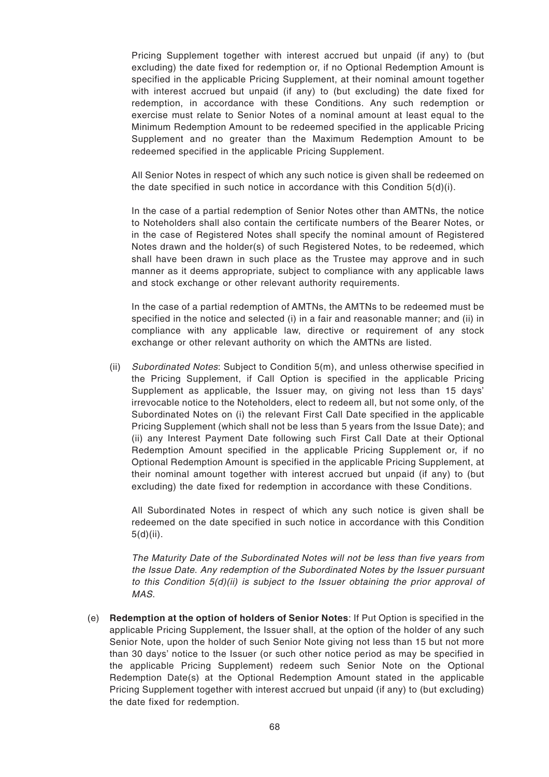Pricing Supplement together with interest accrued but unpaid (if any) to (but excluding) the date fixed for redemption or, if no Optional Redemption Amount is specified in the applicable Pricing Supplement, at their nominal amount together with interest accrued but unpaid (if any) to (but excluding) the date fixed for redemption, in accordance with these Conditions. Any such redemption or exercise must relate to Senior Notes of a nominal amount at least equal to the Minimum Redemption Amount to be redeemed specified in the applicable Pricing Supplement and no greater than the Maximum Redemption Amount to be redeemed specified in the applicable Pricing Supplement.

All Senior Notes in respect of which any such notice is given shall be redeemed on the date specified in such notice in accordance with this Condition 5(d)(i).

In the case of a partial redemption of Senior Notes other than AMTNs, the notice to Noteholders shall also contain the certificate numbers of the Bearer Notes, or in the case of Registered Notes shall specify the nominal amount of Registered Notes drawn and the holder(s) of such Registered Notes, to be redeemed, which shall have been drawn in such place as the Trustee may approve and in such manner as it deems appropriate, subject to compliance with any applicable laws and stock exchange or other relevant authority requirements.

In the case of a partial redemption of AMTNs, the AMTNs to be redeemed must be specified in the notice and selected (i) in a fair and reasonable manner; and (ii) in compliance with any applicable law, directive or requirement of any stock exchange or other relevant authority on which the AMTNs are listed.

(ii) Subordinated Notes: Subject to Condition 5(m), and unless otherwise specified in the Pricing Supplement, if Call Option is specified in the applicable Pricing Supplement as applicable, the Issuer may, on giving not less than 15 days' irrevocable notice to the Noteholders, elect to redeem all, but not some only, of the Subordinated Notes on (i) the relevant First Call Date specified in the applicable Pricing Supplement (which shall not be less than 5 years from the Issue Date); and (ii) any Interest Payment Date following such First Call Date at their Optional Redemption Amount specified in the applicable Pricing Supplement or, if no Optional Redemption Amount is specified in the applicable Pricing Supplement, at their nominal amount together with interest accrued but unpaid (if any) to (but excluding) the date fixed for redemption in accordance with these Conditions.

All Subordinated Notes in respect of which any such notice is given shall be redeemed on the date specified in such notice in accordance with this Condition 5(d)(ii).

The Maturity Date of the Subordinated Notes will not be less than five years from the Issue Date. Any redemption of the Subordinated Notes by the Issuer pursuant to this Condition  $5(d)(ii)$  is subject to the Issuer obtaining the prior approval of MAS.

(e) **Redemption at the option of holders of Senior Notes**: If Put Option is specified in the applicable Pricing Supplement, the Issuer shall, at the option of the holder of any such Senior Note, upon the holder of such Senior Note giving not less than 15 but not more than 30 days' notice to the Issuer (or such other notice period as may be specified in the applicable Pricing Supplement) redeem such Senior Note on the Optional Redemption Date(s) at the Optional Redemption Amount stated in the applicable Pricing Supplement together with interest accrued but unpaid (if any) to (but excluding) the date fixed for redemption.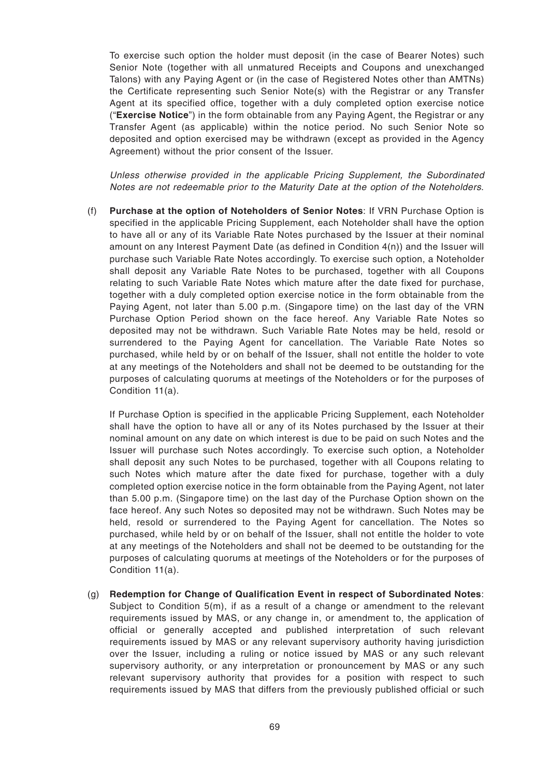To exercise such option the holder must deposit (in the case of Bearer Notes) such Senior Note (together with all unmatured Receipts and Coupons and unexchanged Talons) with any Paying Agent or (in the case of Registered Notes other than AMTNs) the Certificate representing such Senior Note(s) with the Registrar or any Transfer Agent at its specified office, together with a duly completed option exercise notice ("**Exercise Notice**") in the form obtainable from any Paying Agent, the Registrar or any Transfer Agent (as applicable) within the notice period. No such Senior Note so deposited and option exercised may be withdrawn (except as provided in the Agency Agreement) without the prior consent of the Issuer.

Unless otherwise provided in the applicable Pricing Supplement, the Subordinated Notes are not redeemable prior to the Maturity Date at the option of the Noteholders.

(f) **Purchase at the option of Noteholders of Senior Notes**: If VRN Purchase Option is specified in the applicable Pricing Supplement, each Noteholder shall have the option to have all or any of its Variable Rate Notes purchased by the Issuer at their nominal amount on any Interest Payment Date (as defined in Condition 4(n)) and the Issuer will purchase such Variable Rate Notes accordingly. To exercise such option, a Noteholder shall deposit any Variable Rate Notes to be purchased, together with all Coupons relating to such Variable Rate Notes which mature after the date fixed for purchase, together with a duly completed option exercise notice in the form obtainable from the Paying Agent, not later than 5.00 p.m. (Singapore time) on the last day of the VRN Purchase Option Period shown on the face hereof. Any Variable Rate Notes so deposited may not be withdrawn. Such Variable Rate Notes may be held, resold or surrendered to the Paying Agent for cancellation. The Variable Rate Notes so purchased, while held by or on behalf of the Issuer, shall not entitle the holder to vote at any meetings of the Noteholders and shall not be deemed to be outstanding for the purposes of calculating quorums at meetings of the Noteholders or for the purposes of Condition 11(a).

If Purchase Option is specified in the applicable Pricing Supplement, each Noteholder shall have the option to have all or any of its Notes purchased by the Issuer at their nominal amount on any date on which interest is due to be paid on such Notes and the Issuer will purchase such Notes accordingly. To exercise such option, a Noteholder shall deposit any such Notes to be purchased, together with all Coupons relating to such Notes which mature after the date fixed for purchase, together with a duly completed option exercise notice in the form obtainable from the Paying Agent, not later than 5.00 p.m. (Singapore time) on the last day of the Purchase Option shown on the face hereof. Any such Notes so deposited may not be withdrawn. Such Notes may be held, resold or surrendered to the Paying Agent for cancellation. The Notes so purchased, while held by or on behalf of the Issuer, shall not entitle the holder to vote at any meetings of the Noteholders and shall not be deemed to be outstanding for the purposes of calculating quorums at meetings of the Noteholders or for the purposes of Condition 11(a).

(g) **Redemption for Change of Qualification Event in respect of Subordinated Notes**: Subject to Condition 5(m), if as a result of a change or amendment to the relevant requirements issued by MAS, or any change in, or amendment to, the application of official or generally accepted and published interpretation of such relevant requirements issued by MAS or any relevant supervisory authority having jurisdiction over the Issuer, including a ruling or notice issued by MAS or any such relevant supervisory authority, or any interpretation or pronouncement by MAS or any such relevant supervisory authority that provides for a position with respect to such requirements issued by MAS that differs from the previously published official or such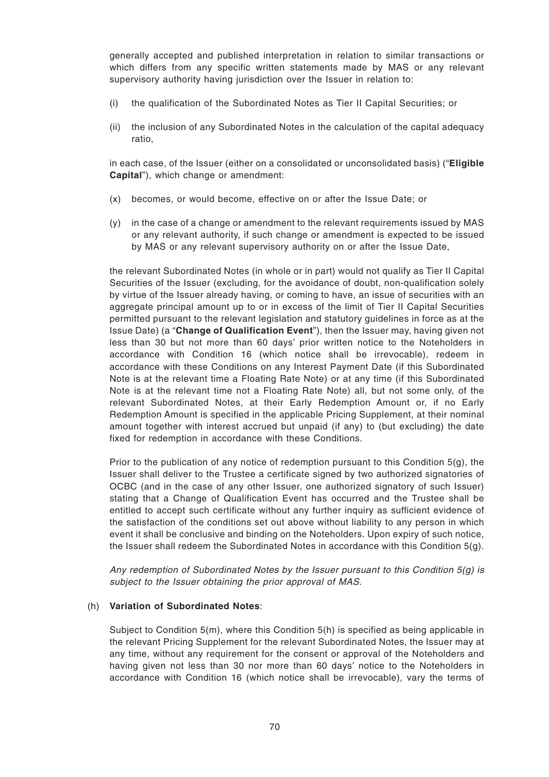generally accepted and published interpretation in relation to similar transactions or which differs from any specific written statements made by MAS or any relevant supervisory authority having jurisdiction over the Issuer in relation to:

- (i) the qualification of the Subordinated Notes as Tier II Capital Securities; or
- (ii) the inclusion of any Subordinated Notes in the calculation of the capital adequacy ratio,

in each case, of the Issuer (either on a consolidated or unconsolidated basis) ("**Eligible Capital**"), which change or amendment:

- (x) becomes, or would become, effective on or after the Issue Date; or
- (y) in the case of a change or amendment to the relevant requirements issued by MAS or any relevant authority, if such change or amendment is expected to be issued by MAS or any relevant supervisory authority on or after the Issue Date,

the relevant Subordinated Notes (in whole or in part) would not qualify as Tier II Capital Securities of the Issuer (excluding, for the avoidance of doubt, non-qualification solely by virtue of the Issuer already having, or coming to have, an issue of securities with an aggregate principal amount up to or in excess of the limit of Tier II Capital Securities permitted pursuant to the relevant legislation and statutory guidelines in force as at the Issue Date) (a "**Change of Qualification Event**"), then the Issuer may, having given not less than 30 but not more than 60 days' prior written notice to the Noteholders in accordance with Condition 16 (which notice shall be irrevocable), redeem in accordance with these Conditions on any Interest Payment Date (if this Subordinated Note is at the relevant time a Floating Rate Note) or at any time (if this Subordinated Note is at the relevant time not a Floating Rate Note) all, but not some only, of the relevant Subordinated Notes, at their Early Redemption Amount or, if no Early Redemption Amount is specified in the applicable Pricing Supplement, at their nominal amount together with interest accrued but unpaid (if any) to (but excluding) the date fixed for redemption in accordance with these Conditions.

Prior to the publication of any notice of redemption pursuant to this Condition  $5(q)$ , the Issuer shall deliver to the Trustee a certificate signed by two authorized signatories of OCBC (and in the case of any other Issuer, one authorized signatory of such Issuer) stating that a Change of Qualification Event has occurred and the Trustee shall be entitled to accept such certificate without any further inquiry as sufficient evidence of the satisfaction of the conditions set out above without liability to any person in which event it shall be conclusive and binding on the Noteholders. Upon expiry of such notice, the Issuer shall redeem the Subordinated Notes in accordance with this Condition  $5(q)$ .

Any redemption of Subordinated Notes by the Issuer pursuant to this Condition 5(g) is subject to the Issuer obtaining the prior approval of MAS.

## (h) **Variation of Subordinated Notes**:

Subject to Condition 5(m), where this Condition 5(h) is specified as being applicable in the relevant Pricing Supplement for the relevant Subordinated Notes, the Issuer may at any time, without any requirement for the consent or approval of the Noteholders and having given not less than 30 nor more than 60 days' notice to the Noteholders in accordance with Condition 16 (which notice shall be irrevocable), vary the terms of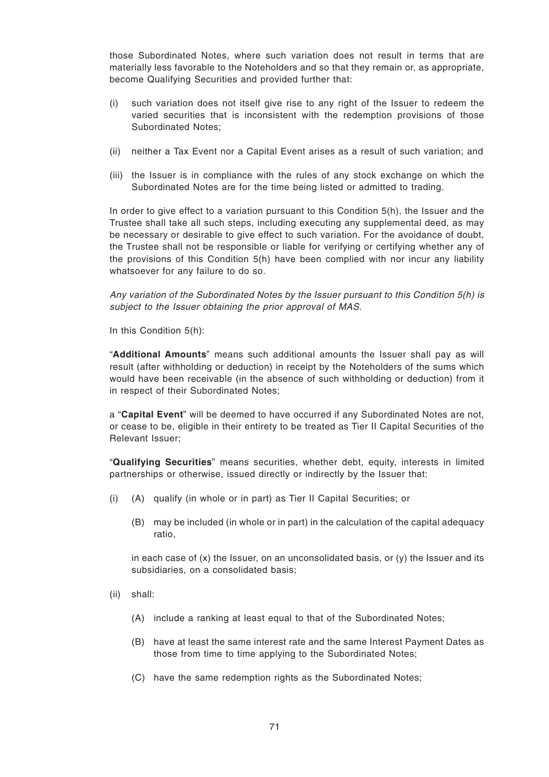those Subordinated Notes, where such variation does not result in terms that are materially less favorable to the Noteholders and so that they remain or, as appropriate, become Qualifying Securities and provided further that:

- (i) such variation does not itself give rise to any right of the Issuer to redeem the varied securities that is inconsistent with the redemption provisions of those Subordinated Notes;
- (ii) neither a Tax Event nor a Capital Event arises as a result of such variation; and
- (iii) the Issuer is in compliance with the rules of any stock exchange on which the Subordinated Notes are for the time being listed or admitted to trading.

In order to give effect to a variation pursuant to this Condition 5(h), the Issuer and the Trustee shall take all such steps, including executing any supplemental deed, as may be necessary or desirable to give effect to such variation. For the avoidance of doubt, the Trustee shall not be responsible or liable for verifying or certifying whether any of the provisions of this Condition 5(h) have been complied with nor incur any liability whatsoever for any failure to do so.

Any variation of the Subordinated Notes by the Issuer pursuant to this Condition 5(h) is subject to the Issuer obtaining the prior approval of MAS.

In this Condition 5(h):

"**Additional Amounts**" means such additional amounts the Issuer shall pay as will result (after withholding or deduction) in receipt by the Noteholders of the sums which would have been receivable (in the absence of such withholding or deduction) from it in respect of their Subordinated Notes;

a "**Capital Event**" will be deemed to have occurred if any Subordinated Notes are not, or cease to be, eligible in their entirety to be treated as Tier II Capital Securities of the Relevant Issuer;

"**Qualifying Securities**" means securities, whether debt, equity, interests in limited partnerships or otherwise, issued directly or indirectly by the Issuer that:

- (i) (A) qualify (in whole or in part) as Tier II Capital Securities; or
	- (B) may be included (in whole or in part) in the calculation of the capital adequacy ratio,

in each case of  $(x)$  the Issuer, on an unconsolidated basis, or  $(y)$  the Issuer and its subsidiaries, on a consolidated basis;

- (ii) shall:
	- (A) include a ranking at least equal to that of the Subordinated Notes;
	- (B) have at least the same interest rate and the same Interest Payment Dates as those from time to time applying to the Subordinated Notes;
	- (C) have the same redemption rights as the Subordinated Notes;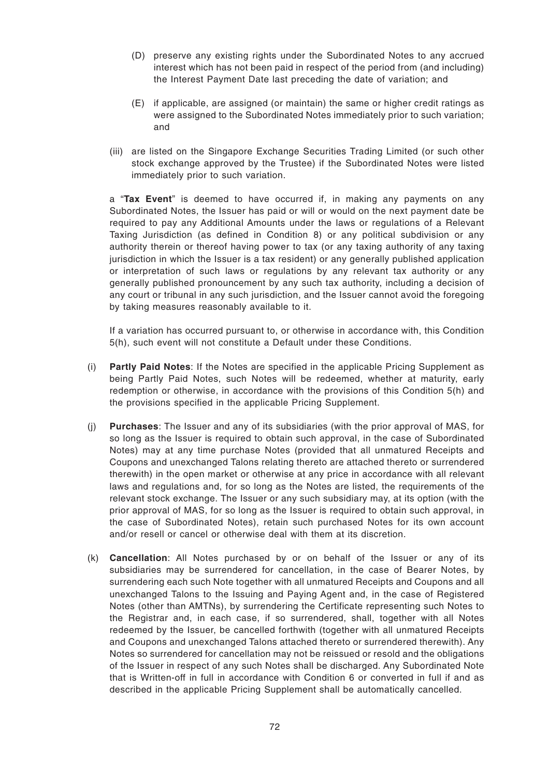- (D) preserve any existing rights under the Subordinated Notes to any accrued interest which has not been paid in respect of the period from (and including) the Interest Payment Date last preceding the date of variation; and
- (E) if applicable, are assigned (or maintain) the same or higher credit ratings as were assigned to the Subordinated Notes immediately prior to such variation; and
- (iii) are listed on the Singapore Exchange Securities Trading Limited (or such other stock exchange approved by the Trustee) if the Subordinated Notes were listed immediately prior to such variation.

a "**Tax Event**" is deemed to have occurred if, in making any payments on any Subordinated Notes, the Issuer has paid or will or would on the next payment date be required to pay any Additional Amounts under the laws or regulations of a Relevant Taxing Jurisdiction (as defined in Condition 8) or any political subdivision or any authority therein or thereof having power to tax (or any taxing authority of any taxing jurisdiction in which the Issuer is a tax resident) or any generally published application or interpretation of such laws or regulations by any relevant tax authority or any generally published pronouncement by any such tax authority, including a decision of any court or tribunal in any such jurisdiction, and the Issuer cannot avoid the foregoing by taking measures reasonably available to it.

If a variation has occurred pursuant to, or otherwise in accordance with, this Condition 5(h), such event will not constitute a Default under these Conditions.

- (i) **Partly Paid Notes**: If the Notes are specified in the applicable Pricing Supplement as being Partly Paid Notes, such Notes will be redeemed, whether at maturity, early redemption or otherwise, in accordance with the provisions of this Condition 5(h) and the provisions specified in the applicable Pricing Supplement.
- (j) **Purchases**: The Issuer and any of its subsidiaries (with the prior approval of MAS, for so long as the Issuer is required to obtain such approval, in the case of Subordinated Notes) may at any time purchase Notes (provided that all unmatured Receipts and Coupons and unexchanged Talons relating thereto are attached thereto or surrendered therewith) in the open market or otherwise at any price in accordance with all relevant laws and regulations and, for so long as the Notes are listed, the requirements of the relevant stock exchange. The Issuer or any such subsidiary may, at its option (with the prior approval of MAS, for so long as the Issuer is required to obtain such approval, in the case of Subordinated Notes), retain such purchased Notes for its own account and/or resell or cancel or otherwise deal with them at its discretion.
- (k) **Cancellation**: All Notes purchased by or on behalf of the Issuer or any of its subsidiaries may be surrendered for cancellation, in the case of Bearer Notes, by surrendering each such Note together with all unmatured Receipts and Coupons and all unexchanged Talons to the Issuing and Paying Agent and, in the case of Registered Notes (other than AMTNs), by surrendering the Certificate representing such Notes to the Registrar and, in each case, if so surrendered, shall, together with all Notes redeemed by the Issuer, be cancelled forthwith (together with all unmatured Receipts and Coupons and unexchanged Talons attached thereto or surrendered therewith). Any Notes so surrendered for cancellation may not be reissued or resold and the obligations of the Issuer in respect of any such Notes shall be discharged. Any Subordinated Note that is Written-off in full in accordance with Condition 6 or converted in full if and as described in the applicable Pricing Supplement shall be automatically cancelled.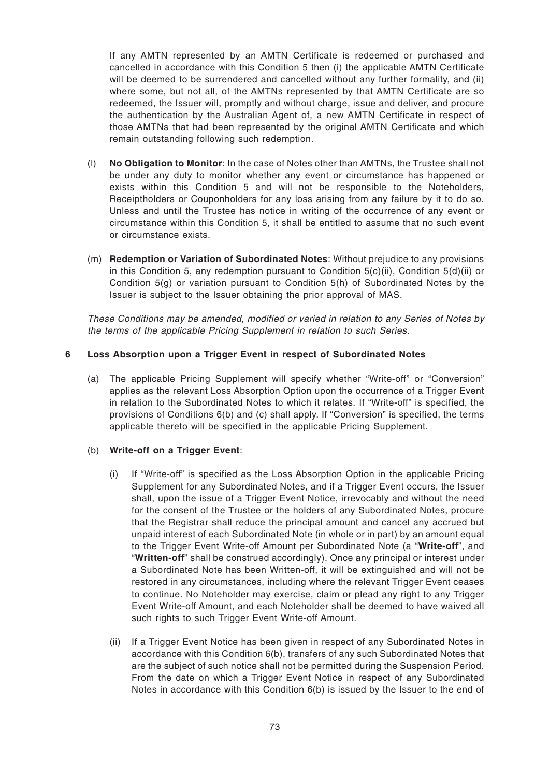If any AMTN represented by an AMTN Certificate is redeemed or purchased and cancelled in accordance with this Condition 5 then (i) the applicable AMTN Certificate will be deemed to be surrendered and cancelled without any further formality, and (ii) where some, but not all, of the AMTNs represented by that AMTN Certificate are so redeemed, the Issuer will, promptly and without charge, issue and deliver, and procure the authentication by the Australian Agent of, a new AMTN Certificate in respect of those AMTNs that had been represented by the original AMTN Certificate and which remain outstanding following such redemption.

- (l) **No Obligation to Monitor**: In the case of Notes other than AMTNs, the Trustee shall not be under any duty to monitor whether any event or circumstance has happened or exists within this Condition 5 and will not be responsible to the Noteholders, Receiptholders or Couponholders for any loss arising from any failure by it to do so. Unless and until the Trustee has notice in writing of the occurrence of any event or circumstance within this Condition 5, it shall be entitled to assume that no such event or circumstance exists.
- (m) **Redemption or Variation of Subordinated Notes**: Without prejudice to any provisions in this Condition 5, any redemption pursuant to Condition 5(c)(ii), Condition 5(d)(ii) or Condition 5(g) or variation pursuant to Condition 5(h) of Subordinated Notes by the Issuer is subject to the Issuer obtaining the prior approval of MAS.

These Conditions may be amended, modified or varied in relation to any Series of Notes by the terms of the applicable Pricing Supplement in relation to such Series.

# **6 Loss Absorption upon a Trigger Event in respect of Subordinated Notes**

(a) The applicable Pricing Supplement will specify whether "Write-off" or "Conversion" applies as the relevant Loss Absorption Option upon the occurrence of a Trigger Event in relation to the Subordinated Notes to which it relates. If "Write-off" is specified, the provisions of Conditions 6(b) and (c) shall apply. If "Conversion" is specified, the terms applicable thereto will be specified in the applicable Pricing Supplement.

## (b) **Write-off on a Trigger Event**:

- (i) If "Write-off" is specified as the Loss Absorption Option in the applicable Pricing Supplement for any Subordinated Notes, and if a Trigger Event occurs, the Issuer shall, upon the issue of a Trigger Event Notice, irrevocably and without the need for the consent of the Trustee or the holders of any Subordinated Notes, procure that the Registrar shall reduce the principal amount and cancel any accrued but unpaid interest of each Subordinated Note (in whole or in part) by an amount equal to the Trigger Event Write-off Amount per Subordinated Note (a "**Write-off**", and "**Written-off**" shall be construed accordingly). Once any principal or interest under a Subordinated Note has been Written-off, it will be extinguished and will not be restored in any circumstances, including where the relevant Trigger Event ceases to continue. No Noteholder may exercise, claim or plead any right to any Trigger Event Write-off Amount, and each Noteholder shall be deemed to have waived all such rights to such Trigger Event Write-off Amount.
- (ii) If a Trigger Event Notice has been given in respect of any Subordinated Notes in accordance with this Condition 6(b), transfers of any such Subordinated Notes that are the subject of such notice shall not be permitted during the Suspension Period. From the date on which a Trigger Event Notice in respect of any Subordinated Notes in accordance with this Condition 6(b) is issued by the Issuer to the end of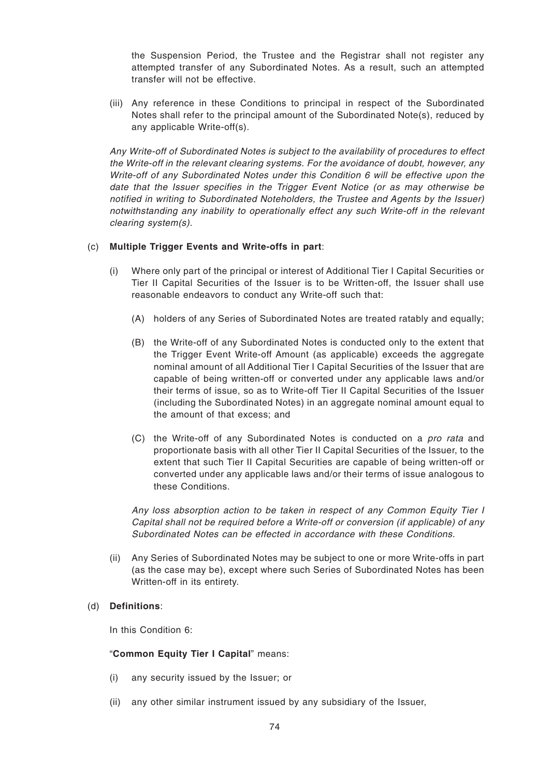the Suspension Period, the Trustee and the Registrar shall not register any attempted transfer of any Subordinated Notes. As a result, such an attempted transfer will not be effective.

(iii) Any reference in these Conditions to principal in respect of the Subordinated Notes shall refer to the principal amount of the Subordinated Note(s), reduced by any applicable Write-off(s).

Any Write-off of Subordinated Notes is subject to the availability of procedures to effect the Write-off in the relevant clearing systems. For the avoidance of doubt, however, any Write-off of any Subordinated Notes under this Condition 6 will be effective upon the date that the Issuer specifies in the Trigger Event Notice (or as may otherwise be notified in writing to Subordinated Noteholders, the Trustee and Agents by the Issuer) notwithstanding any inability to operationally effect any such Write-off in the relevant clearing system(s).

## (c) **Multiple Trigger Events and Write-offs in part**:

- (i) Where only part of the principal or interest of Additional Tier I Capital Securities or Tier II Capital Securities of the Issuer is to be Written-off, the Issuer shall use reasonable endeavors to conduct any Write-off such that:
	- (A) holders of any Series of Subordinated Notes are treated ratably and equally;
	- (B) the Write-off of any Subordinated Notes is conducted only to the extent that the Trigger Event Write-off Amount (as applicable) exceeds the aggregate nominal amount of all Additional Tier I Capital Securities of the Issuer that are capable of being written-off or converted under any applicable laws and/or their terms of issue, so as to Write-off Tier II Capital Securities of the Issuer (including the Subordinated Notes) in an aggregate nominal amount equal to the amount of that excess; and
	- (C) the Write-off of any Subordinated Notes is conducted on a pro rata and proportionate basis with all other Tier II Capital Securities of the Issuer, to the extent that such Tier II Capital Securities are capable of being written-off or converted under any applicable laws and/or their terms of issue analogous to these Conditions.

Any loss absorption action to be taken in respect of any Common Equity Tier I Capital shall not be required before a Write-off or conversion (if applicable) of any Subordinated Notes can be effected in accordance with these Conditions.

(ii) Any Series of Subordinated Notes may be subject to one or more Write-offs in part (as the case may be), except where such Series of Subordinated Notes has been Written-off in its entirety.

## (d) **Definitions**:

In this Condition 6:

"**Common Equity Tier I Capital**" means:

- (i) any security issued by the Issuer; or
- (ii) any other similar instrument issued by any subsidiary of the Issuer,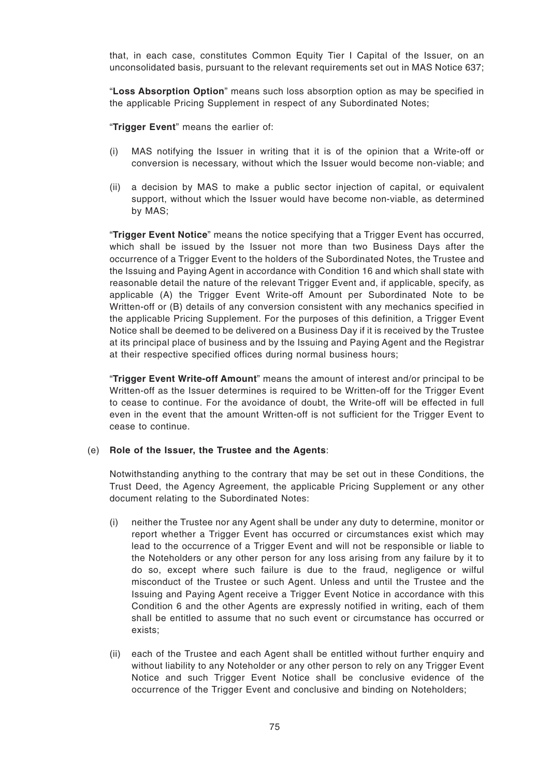that, in each case, constitutes Common Equity Tier I Capital of the Issuer, on an unconsolidated basis, pursuant to the relevant requirements set out in MAS Notice 637;

"**Loss Absorption Option**" means such loss absorption option as may be specified in the applicable Pricing Supplement in respect of any Subordinated Notes;

"**Trigger Event**" means the earlier of:

- (i) MAS notifying the Issuer in writing that it is of the opinion that a Write-off or conversion is necessary, without which the Issuer would become non-viable; and
- (ii) a decision by MAS to make a public sector injection of capital, or equivalent support, without which the Issuer would have become non-viable, as determined by MAS;

"**Trigger Event Notice**" means the notice specifying that a Trigger Event has occurred, which shall be issued by the Issuer not more than two Business Days after the occurrence of a Trigger Event to the holders of the Subordinated Notes, the Trustee and the Issuing and Paying Agent in accordance with Condition 16 and which shall state with reasonable detail the nature of the relevant Trigger Event and, if applicable, specify, as applicable (A) the Trigger Event Write-off Amount per Subordinated Note to be Written-off or (B) details of any conversion consistent with any mechanics specified in the applicable Pricing Supplement. For the purposes of this definition, a Trigger Event Notice shall be deemed to be delivered on a Business Day if it is received by the Trustee at its principal place of business and by the Issuing and Paying Agent and the Registrar at their respective specified offices during normal business hours;

"**Trigger Event Write-off Amount**" means the amount of interest and/or principal to be Written-off as the Issuer determines is required to be Written-off for the Trigger Event to cease to continue. For the avoidance of doubt, the Write-off will be effected in full even in the event that the amount Written-off is not sufficient for the Trigger Event to cease to continue.

## (e) **Role of the Issuer, the Trustee and the Agents**:

Notwithstanding anything to the contrary that may be set out in these Conditions, the Trust Deed, the Agency Agreement, the applicable Pricing Supplement or any other document relating to the Subordinated Notes:

- (i) neither the Trustee nor any Agent shall be under any duty to determine, monitor or report whether a Trigger Event has occurred or circumstances exist which may lead to the occurrence of a Trigger Event and will not be responsible or liable to the Noteholders or any other person for any loss arising from any failure by it to do so, except where such failure is due to the fraud, negligence or wilful misconduct of the Trustee or such Agent. Unless and until the Trustee and the Issuing and Paying Agent receive a Trigger Event Notice in accordance with this Condition 6 and the other Agents are expressly notified in writing, each of them shall be entitled to assume that no such event or circumstance has occurred or exists;
- (ii) each of the Trustee and each Agent shall be entitled without further enquiry and without liability to any Noteholder or any other person to rely on any Trigger Event Notice and such Trigger Event Notice shall be conclusive evidence of the occurrence of the Trigger Event and conclusive and binding on Noteholders;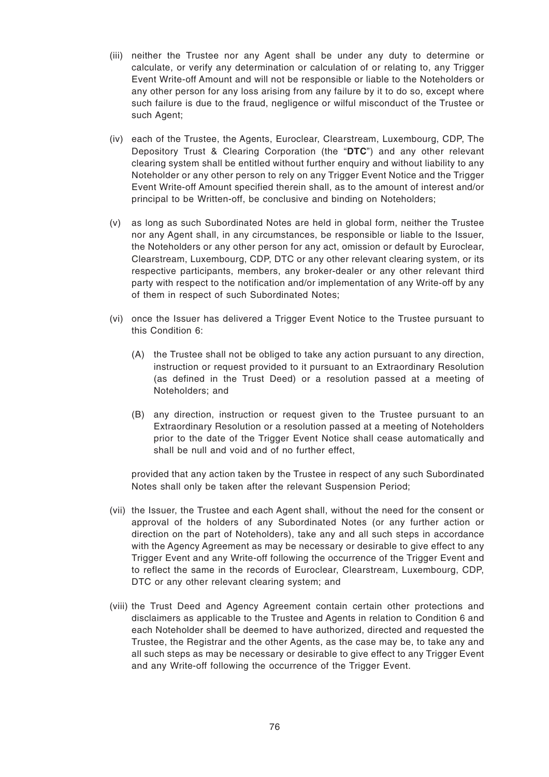- (iii) neither the Trustee nor any Agent shall be under any duty to determine or calculate, or verify any determination or calculation of or relating to, any Trigger Event Write-off Amount and will not be responsible or liable to the Noteholders or any other person for any loss arising from any failure by it to do so, except where such failure is due to the fraud, negligence or wilful misconduct of the Trustee or such Agent;
- (iv) each of the Trustee, the Agents, Euroclear, Clearstream, Luxembourg, CDP, The Depository Trust & Clearing Corporation (the "**DTC**") and any other relevant clearing system shall be entitled without further enquiry and without liability to any Noteholder or any other person to rely on any Trigger Event Notice and the Trigger Event Write-off Amount specified therein shall, as to the amount of interest and/or principal to be Written-off, be conclusive and binding on Noteholders;
- (v) as long as such Subordinated Notes are held in global form, neither the Trustee nor any Agent shall, in any circumstances, be responsible or liable to the Issuer, the Noteholders or any other person for any act, omission or default by Euroclear, Clearstream, Luxembourg, CDP, DTC or any other relevant clearing system, or its respective participants, members, any broker-dealer or any other relevant third party with respect to the notification and/or implementation of any Write-off by any of them in respect of such Subordinated Notes;
- (vi) once the Issuer has delivered a Trigger Event Notice to the Trustee pursuant to this Condition 6:
	- (A) the Trustee shall not be obliged to take any action pursuant to any direction, instruction or request provided to it pursuant to an Extraordinary Resolution (as defined in the Trust Deed) or a resolution passed at a meeting of Noteholders; and
	- (B) any direction, instruction or request given to the Trustee pursuant to an Extraordinary Resolution or a resolution passed at a meeting of Noteholders prior to the date of the Trigger Event Notice shall cease automatically and shall be null and void and of no further effect,

provided that any action taken by the Trustee in respect of any such Subordinated Notes shall only be taken after the relevant Suspension Period;

- (vii) the Issuer, the Trustee and each Agent shall, without the need for the consent or approval of the holders of any Subordinated Notes (or any further action or direction on the part of Noteholders), take any and all such steps in accordance with the Agency Agreement as may be necessary or desirable to give effect to any Trigger Event and any Write-off following the occurrence of the Trigger Event and to reflect the same in the records of Euroclear, Clearstream, Luxembourg, CDP, DTC or any other relevant clearing system; and
- (viii) the Trust Deed and Agency Agreement contain certain other protections and disclaimers as applicable to the Trustee and Agents in relation to Condition 6 and each Noteholder shall be deemed to have authorized, directed and requested the Trustee, the Registrar and the other Agents, as the case may be, to take any and all such steps as may be necessary or desirable to give effect to any Trigger Event and any Write-off following the occurrence of the Trigger Event.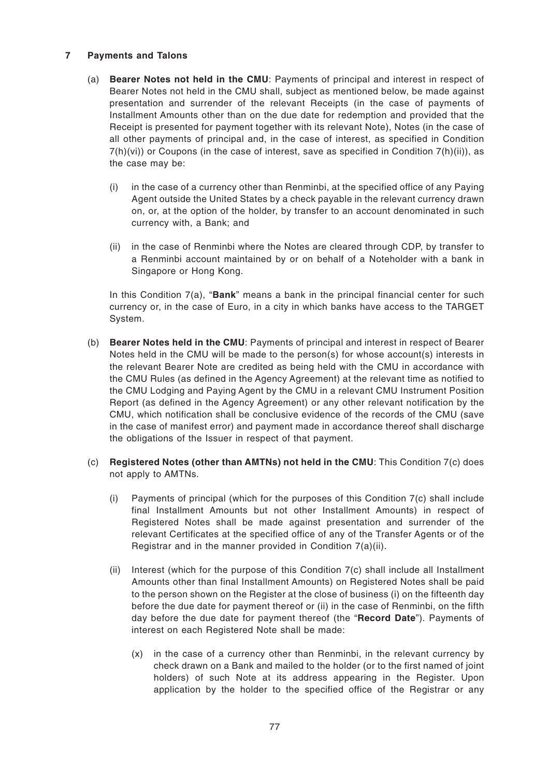## **7 Payments and Talons**

- (a) **Bearer Notes not held in the CMU**: Payments of principal and interest in respect of Bearer Notes not held in the CMU shall, subject as mentioned below, be made against presentation and surrender of the relevant Receipts (in the case of payments of Installment Amounts other than on the due date for redemption and provided that the Receipt is presented for payment together with its relevant Note), Notes (in the case of all other payments of principal and, in the case of interest, as specified in Condition  $7(h)(vi)$  or Coupons (in the case of interest, save as specified in Condition  $7(h)(ii)$ ), as the case may be:
	- (i) in the case of a currency other than Renminbi, at the specified office of any Paying Agent outside the United States by a check payable in the relevant currency drawn on, or, at the option of the holder, by transfer to an account denominated in such currency with, a Bank; and
	- (ii) in the case of Renminbi where the Notes are cleared through CDP, by transfer to a Renminbi account maintained by or on behalf of a Noteholder with a bank in Singapore or Hong Kong.

In this Condition 7(a), "**Bank**" means a bank in the principal financial center for such currency or, in the case of Euro, in a city in which banks have access to the TARGET System.

- (b) **Bearer Notes held in the CMU**: Payments of principal and interest in respect of Bearer Notes held in the CMU will be made to the person(s) for whose account(s) interests in the relevant Bearer Note are credited as being held with the CMU in accordance with the CMU Rules (as defined in the Agency Agreement) at the relevant time as notified to the CMU Lodging and Paying Agent by the CMU in a relevant CMU Instrument Position Report (as defined in the Agency Agreement) or any other relevant notification by the CMU, which notification shall be conclusive evidence of the records of the CMU (save in the case of manifest error) and payment made in accordance thereof shall discharge the obligations of the Issuer in respect of that payment.
- (c) **Registered Notes (other than AMTNs) not held in the CMU**: This Condition 7(c) does not apply to AMTNs.
	- (i) Payments of principal (which for the purposes of this Condition 7(c) shall include final Installment Amounts but not other Installment Amounts) in respect of Registered Notes shall be made against presentation and surrender of the relevant Certificates at the specified office of any of the Transfer Agents or of the Registrar and in the manner provided in Condition 7(a)(ii).
	- (ii) Interest (which for the purpose of this Condition 7(c) shall include all Installment Amounts other than final Installment Amounts) on Registered Notes shall be paid to the person shown on the Register at the close of business (i) on the fifteenth day before the due date for payment thereof or (ii) in the case of Renminbi, on the fifth day before the due date for payment thereof (the "**Record Date**"). Payments of interest on each Registered Note shall be made:
		- (x) in the case of a currency other than Renminbi, in the relevant currency by check drawn on a Bank and mailed to the holder (or to the first named of joint holders) of such Note at its address appearing in the Register. Upon application by the holder to the specified office of the Registrar or any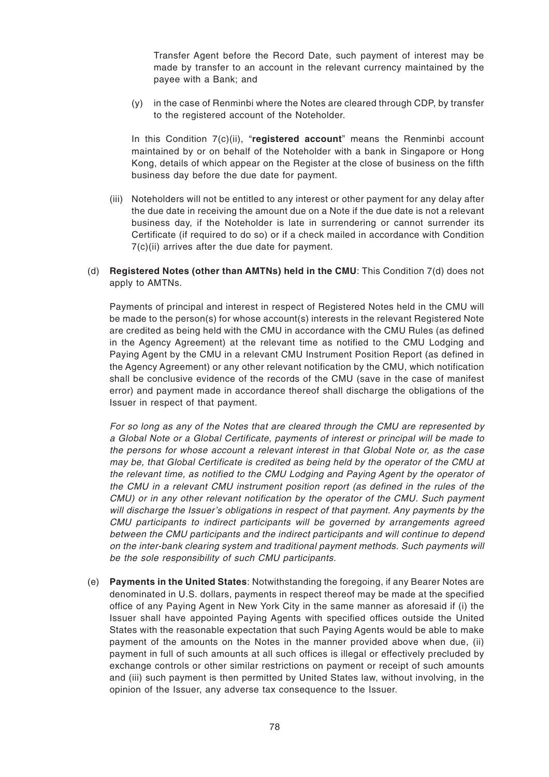Transfer Agent before the Record Date, such payment of interest may be made by transfer to an account in the relevant currency maintained by the payee with a Bank; and

 $(y)$  in the case of Renminbi where the Notes are cleared through CDP, by transfer to the registered account of the Noteholder.

In this Condition 7(c)(ii), "**registered account**" means the Renminbi account maintained by or on behalf of the Noteholder with a bank in Singapore or Hong Kong, details of which appear on the Register at the close of business on the fifth business day before the due date for payment.

- (iii) Noteholders will not be entitled to any interest or other payment for any delay after the due date in receiving the amount due on a Note if the due date is not a relevant business day, if the Noteholder is late in surrendering or cannot surrender its Certificate (if required to do so) or if a check mailed in accordance with Condition 7(c)(ii) arrives after the due date for payment.
- (d) **Registered Notes (other than AMTNs) held in the CMU**: This Condition 7(d) does not apply to AMTNs.

Payments of principal and interest in respect of Registered Notes held in the CMU will be made to the person(s) for whose account(s) interests in the relevant Registered Note are credited as being held with the CMU in accordance with the CMU Rules (as defined in the Agency Agreement) at the relevant time as notified to the CMU Lodging and Paying Agent by the CMU in a relevant CMU Instrument Position Report (as defined in the Agency Agreement) or any other relevant notification by the CMU, which notification shall be conclusive evidence of the records of the CMU (save in the case of manifest error) and payment made in accordance thereof shall discharge the obligations of the Issuer in respect of that payment.

For so long as any of the Notes that are cleared through the CMU are represented by a Global Note or a Global Certificate, payments of interest or principal will be made to the persons for whose account a relevant interest in that Global Note or, as the case may be, that Global Certificate is credited as being held by the operator of the CMU at the relevant time, as notified to the CMU Lodging and Paying Agent by the operator of the CMU in a relevant CMU instrument position report (as defined in the rules of the CMU) or in any other relevant notification by the operator of the CMU. Such payment will discharge the Issuer's obligations in respect of that payment. Any payments by the CMU participants to indirect participants will be governed by arrangements agreed between the CMU participants and the indirect participants and will continue to depend on the inter-bank clearing system and traditional payment methods. Such payments will be the sole responsibility of such CMU participants.

(e) **Payments in the United States**: Notwithstanding the foregoing, if any Bearer Notes are denominated in U.S. dollars, payments in respect thereof may be made at the specified office of any Paying Agent in New York City in the same manner as aforesaid if (i) the Issuer shall have appointed Paying Agents with specified offices outside the United States with the reasonable expectation that such Paying Agents would be able to make payment of the amounts on the Notes in the manner provided above when due, (ii) payment in full of such amounts at all such offices is illegal or effectively precluded by exchange controls or other similar restrictions on payment or receipt of such amounts and (iii) such payment is then permitted by United States law, without involving, in the opinion of the Issuer, any adverse tax consequence to the Issuer.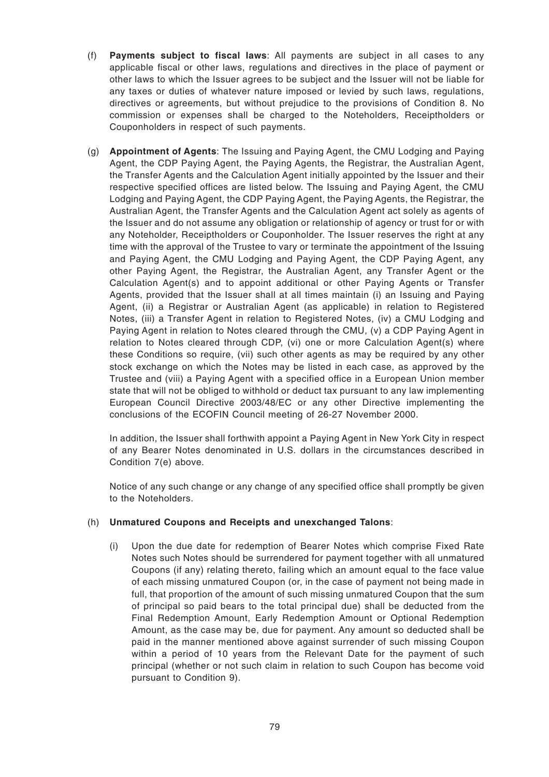- (f) **Payments subject to fiscal laws**: All payments are subject in all cases to any applicable fiscal or other laws, regulations and directives in the place of payment or other laws to which the Issuer agrees to be subject and the Issuer will not be liable for any taxes or duties of whatever nature imposed or levied by such laws, regulations, directives or agreements, but without prejudice to the provisions of Condition 8. No commission or expenses shall be charged to the Noteholders, Receiptholders or Couponholders in respect of such payments.
- (g) **Appointment of Agents**: The Issuing and Paying Agent, the CMU Lodging and Paying Agent, the CDP Paying Agent, the Paying Agents, the Registrar, the Australian Agent, the Transfer Agents and the Calculation Agent initially appointed by the Issuer and their respective specified offices are listed below. The Issuing and Paying Agent, the CMU Lodging and Paying Agent, the CDP Paying Agent, the Paying Agents, the Registrar, the Australian Agent, the Transfer Agents and the Calculation Agent act solely as agents of the Issuer and do not assume any obligation or relationship of agency or trust for or with any Noteholder, Receiptholders or Couponholder. The Issuer reserves the right at any time with the approval of the Trustee to vary or terminate the appointment of the Issuing and Paying Agent, the CMU Lodging and Paying Agent, the CDP Paying Agent, any other Paying Agent, the Registrar, the Australian Agent, any Transfer Agent or the Calculation Agent(s) and to appoint additional or other Paying Agents or Transfer Agents, provided that the Issuer shall at all times maintain (i) an Issuing and Paying Agent, (ii) a Registrar or Australian Agent (as applicable) in relation to Registered Notes, (iii) a Transfer Agent in relation to Registered Notes, (iv) a CMU Lodging and Paying Agent in relation to Notes cleared through the CMU, (v) a CDP Paying Agent in relation to Notes cleared through CDP, (vi) one or more Calculation Agent(s) where these Conditions so require, (vii) such other agents as may be required by any other stock exchange on which the Notes may be listed in each case, as approved by the Trustee and (viii) a Paying Agent with a specified office in a European Union member state that will not be obliged to withhold or deduct tax pursuant to any law implementing European Council Directive 2003/48/EC or any other Directive implementing the conclusions of the ECOFIN Council meeting of 26-27 November 2000.

In addition, the Issuer shall forthwith appoint a Paying Agent in New York City in respect of any Bearer Notes denominated in U.S. dollars in the circumstances described in Condition 7(e) above.

Notice of any such change or any change of any specified office shall promptly be given to the Noteholders.

## (h) **Unmatured Coupons and Receipts and unexchanged Talons**:

(i) Upon the due date for redemption of Bearer Notes which comprise Fixed Rate Notes such Notes should be surrendered for payment together with all unmatured Coupons (if any) relating thereto, failing which an amount equal to the face value of each missing unmatured Coupon (or, in the case of payment not being made in full, that proportion of the amount of such missing unmatured Coupon that the sum of principal so paid bears to the total principal due) shall be deducted from the Final Redemption Amount, Early Redemption Amount or Optional Redemption Amount, as the case may be, due for payment. Any amount so deducted shall be paid in the manner mentioned above against surrender of such missing Coupon within a period of 10 years from the Relevant Date for the payment of such principal (whether or not such claim in relation to such Coupon has become void pursuant to Condition 9).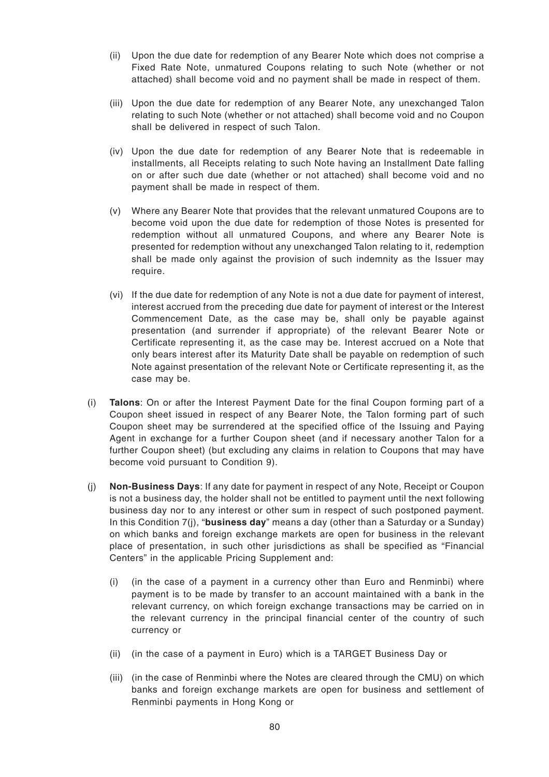- (ii) Upon the due date for redemption of any Bearer Note which does not comprise a Fixed Rate Note, unmatured Coupons relating to such Note (whether or not attached) shall become void and no payment shall be made in respect of them.
- (iii) Upon the due date for redemption of any Bearer Note, any unexchanged Talon relating to such Note (whether or not attached) shall become void and no Coupon shall be delivered in respect of such Talon.
- (iv) Upon the due date for redemption of any Bearer Note that is redeemable in installments, all Receipts relating to such Note having an Installment Date falling on or after such due date (whether or not attached) shall become void and no payment shall be made in respect of them.
- (v) Where any Bearer Note that provides that the relevant unmatured Coupons are to become void upon the due date for redemption of those Notes is presented for redemption without all unmatured Coupons, and where any Bearer Note is presented for redemption without any unexchanged Talon relating to it, redemption shall be made only against the provision of such indemnity as the Issuer may require.
- (vi) If the due date for redemption of any Note is not a due date for payment of interest, interest accrued from the preceding due date for payment of interest or the Interest Commencement Date, as the case may be, shall only be payable against presentation (and surrender if appropriate) of the relevant Bearer Note or Certificate representing it, as the case may be. Interest accrued on a Note that only bears interest after its Maturity Date shall be payable on redemption of such Note against presentation of the relevant Note or Certificate representing it, as the case may be.
- (i) **Talons**: On or after the Interest Payment Date for the final Coupon forming part of a Coupon sheet issued in respect of any Bearer Note, the Talon forming part of such Coupon sheet may be surrendered at the specified office of the Issuing and Paying Agent in exchange for a further Coupon sheet (and if necessary another Talon for a further Coupon sheet) (but excluding any claims in relation to Coupons that may have become void pursuant to Condition 9).
- (j) **Non-Business Days**: If any date for payment in respect of any Note, Receipt or Coupon is not a business day, the holder shall not be entitled to payment until the next following business day nor to any interest or other sum in respect of such postponed payment. In this Condition 7(j), "**business day**" means a day (other than a Saturday or a Sunday) on which banks and foreign exchange markets are open for business in the relevant place of presentation, in such other jurisdictions as shall be specified as "Financial Centers" in the applicable Pricing Supplement and:
	- (i) (in the case of a payment in a currency other than Euro and Renminbi) where payment is to be made by transfer to an account maintained with a bank in the relevant currency, on which foreign exchange transactions may be carried on in the relevant currency in the principal financial center of the country of such currency or
	- (ii) (in the case of a payment in Euro) which is a TARGET Business Day or
	- (iii) (in the case of Renminbi where the Notes are cleared through the CMU) on which banks and foreign exchange markets are open for business and settlement of Renminbi payments in Hong Kong or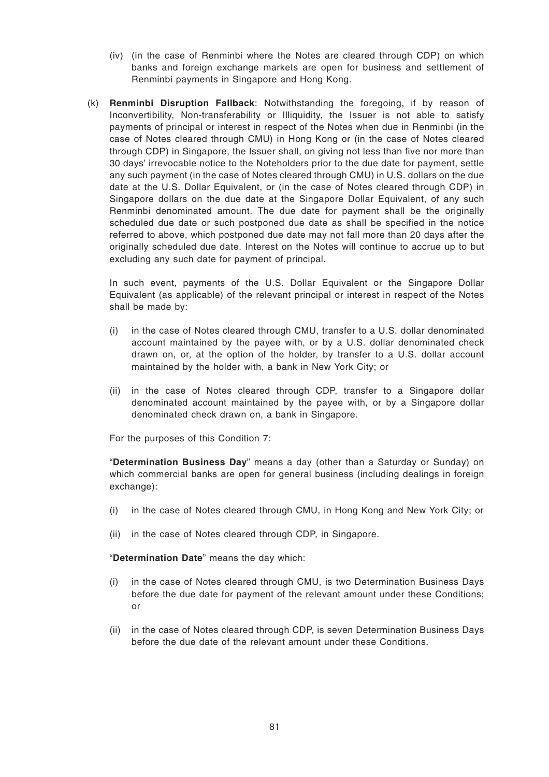- (iv) (in the case of Renminbi where the Notes are cleared through CDP) on which banks and foreign exchange markets are open for business and settlement of Renminbi payments in Singapore and Hong Kong.
- (k) **Renminbi Disruption Fallback**: Notwithstanding the foregoing, if by reason of Inconvertibility, Non-transferability or Illiquidity, the Issuer is not able to satisfy payments of principal or interest in respect of the Notes when due in Renminbi (in the case of Notes cleared through CMU) in Hong Kong or (in the case of Notes cleared through CDP) in Singapore, the Issuer shall, on giving not less than five nor more than 30 days' irrevocable notice to the Noteholders prior to the due date for payment, settle any such payment (in the case of Notes cleared through CMU) in U.S. dollars on the due date at the U.S. Dollar Equivalent, or (in the case of Notes cleared through CDP) in Singapore dollars on the due date at the Singapore Dollar Equivalent, of any such Renminbi denominated amount. The due date for payment shall be the originally scheduled due date or such postponed due date as shall be specified in the notice referred to above, which postponed due date may not fall more than 20 days after the originally scheduled due date. Interest on the Notes will continue to accrue up to but excluding any such date for payment of principal.

In such event, payments of the U.S. Dollar Equivalent or the Singapore Dollar Equivalent (as applicable) of the relevant principal or interest in respect of the Notes shall be made by:

- (i) in the case of Notes cleared through CMU, transfer to a U.S. dollar denominated account maintained by the payee with, or by a U.S. dollar denominated check drawn on, or, at the option of the holder, by transfer to a U.S. dollar account maintained by the holder with, a bank in New York City; or
- (ii) in the case of Notes cleared through CDP, transfer to a Singapore dollar denominated account maintained by the payee with, or by a Singapore dollar denominated check drawn on, a bank in Singapore.

For the purposes of this Condition 7:

"**Determination Business Day**" means a day (other than a Saturday or Sunday) on which commercial banks are open for general business (including dealings in foreign exchange):

- (i) in the case of Notes cleared through CMU, in Hong Kong and New York City; or
- (ii) in the case of Notes cleared through CDP, in Singapore.

"**Determination Date**" means the day which:

- (i) in the case of Notes cleared through CMU, is two Determination Business Days before the due date for payment of the relevant amount under these Conditions; or
- (ii) in the case of Notes cleared through CDP, is seven Determination Business Days before the due date of the relevant amount under these Conditions.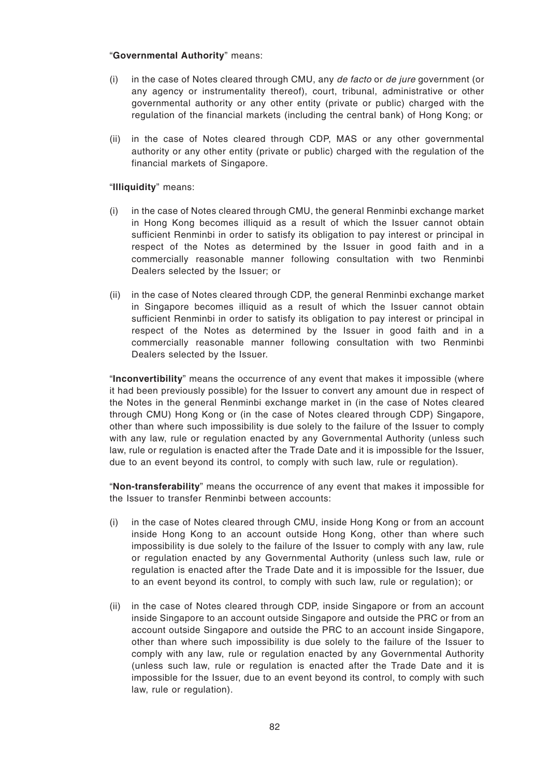#### "**Governmental Authority**" means:

- (i) in the case of Notes cleared through CMU, any de facto or de jure government (or any agency or instrumentality thereof), court, tribunal, administrative or other governmental authority or any other entity (private or public) charged with the regulation of the financial markets (including the central bank) of Hong Kong; or
- (ii) in the case of Notes cleared through CDP, MAS or any other governmental authority or any other entity (private or public) charged with the regulation of the financial markets of Singapore.

## "**Illiquidity**" means:

- (i) in the case of Notes cleared through CMU, the general Renminbi exchange market in Hong Kong becomes illiquid as a result of which the Issuer cannot obtain sufficient Renminbi in order to satisfy its obligation to pay interest or principal in respect of the Notes as determined by the Issuer in good faith and in a commercially reasonable manner following consultation with two Renminbi Dealers selected by the Issuer; or
- (ii) in the case of Notes cleared through CDP, the general Renminbi exchange market in Singapore becomes illiquid as a result of which the Issuer cannot obtain sufficient Renminbi in order to satisfy its obligation to pay interest or principal in respect of the Notes as determined by the Issuer in good faith and in a commercially reasonable manner following consultation with two Renminbi Dealers selected by the Issuer.

"**Inconvertibility**" means the occurrence of any event that makes it impossible (where it had been previously possible) for the Issuer to convert any amount due in respect of the Notes in the general Renminbi exchange market in (in the case of Notes cleared through CMU) Hong Kong or (in the case of Notes cleared through CDP) Singapore, other than where such impossibility is due solely to the failure of the Issuer to comply with any law, rule or regulation enacted by any Governmental Authority (unless such law, rule or regulation is enacted after the Trade Date and it is impossible for the Issuer, due to an event beyond its control, to comply with such law, rule or regulation).

"**Non-transferability**" means the occurrence of any event that makes it impossible for the Issuer to transfer Renminbi between accounts:

- (i) in the case of Notes cleared through CMU, inside Hong Kong or from an account inside Hong Kong to an account outside Hong Kong, other than where such impossibility is due solely to the failure of the Issuer to comply with any law, rule or regulation enacted by any Governmental Authority (unless such law, rule or regulation is enacted after the Trade Date and it is impossible for the Issuer, due to an event beyond its control, to comply with such law, rule or regulation); or
- (ii) in the case of Notes cleared through CDP, inside Singapore or from an account inside Singapore to an account outside Singapore and outside the PRC or from an account outside Singapore and outside the PRC to an account inside Singapore, other than where such impossibility is due solely to the failure of the Issuer to comply with any law, rule or regulation enacted by any Governmental Authority (unless such law, rule or regulation is enacted after the Trade Date and it is impossible for the Issuer, due to an event beyond its control, to comply with such law, rule or regulation).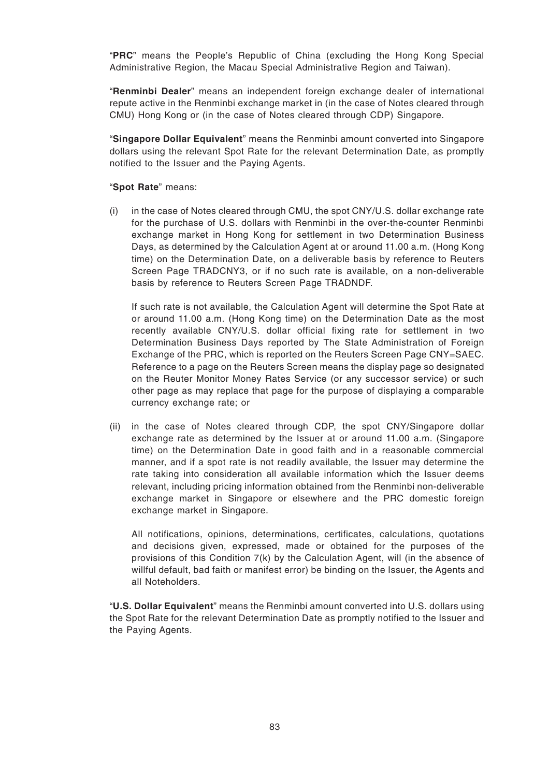"**PRC**" means the People's Republic of China (excluding the Hong Kong Special Administrative Region, the Macau Special Administrative Region and Taiwan).

"**Renminbi Dealer**" means an independent foreign exchange dealer of international repute active in the Renminbi exchange market in (in the case of Notes cleared through CMU) Hong Kong or (in the case of Notes cleared through CDP) Singapore.

"**Singapore Dollar Equivalent**" means the Renminbi amount converted into Singapore dollars using the relevant Spot Rate for the relevant Determination Date, as promptly notified to the Issuer and the Paying Agents.

## "**Spot Rate**" means:

(i) in the case of Notes cleared through CMU, the spot CNY/U.S. dollar exchange rate for the purchase of U.S. dollars with Renminbi in the over-the-counter Renminbi exchange market in Hong Kong for settlement in two Determination Business Days, as determined by the Calculation Agent at or around 11.00 a.m. (Hong Kong time) on the Determination Date, on a deliverable basis by reference to Reuters Screen Page TRADCNY3, or if no such rate is available, on a non-deliverable basis by reference to Reuters Screen Page TRADNDF.

If such rate is not available, the Calculation Agent will determine the Spot Rate at or around 11.00 a.m. (Hong Kong time) on the Determination Date as the most recently available CNY/U.S. dollar official fixing rate for settlement in two Determination Business Days reported by The State Administration of Foreign Exchange of the PRC, which is reported on the Reuters Screen Page CNY=SAEC. Reference to a page on the Reuters Screen means the display page so designated on the Reuter Monitor Money Rates Service (or any successor service) or such other page as may replace that page for the purpose of displaying a comparable currency exchange rate; or

(ii) in the case of Notes cleared through CDP, the spot CNY/Singapore dollar exchange rate as determined by the Issuer at or around 11.00 a.m. (Singapore time) on the Determination Date in good faith and in a reasonable commercial manner, and if a spot rate is not readily available, the Issuer may determine the rate taking into consideration all available information which the Issuer deems relevant, including pricing information obtained from the Renminbi non-deliverable exchange market in Singapore or elsewhere and the PRC domestic foreign exchange market in Singapore.

All notifications, opinions, determinations, certificates, calculations, quotations and decisions given, expressed, made or obtained for the purposes of the provisions of this Condition 7(k) by the Calculation Agent, will (in the absence of willful default, bad faith or manifest error) be binding on the Issuer, the Agents and all Noteholders.

"**U.S. Dollar Equivalent**" means the Renminbi amount converted into U.S. dollars using the Spot Rate for the relevant Determination Date as promptly notified to the Issuer and the Paying Agents.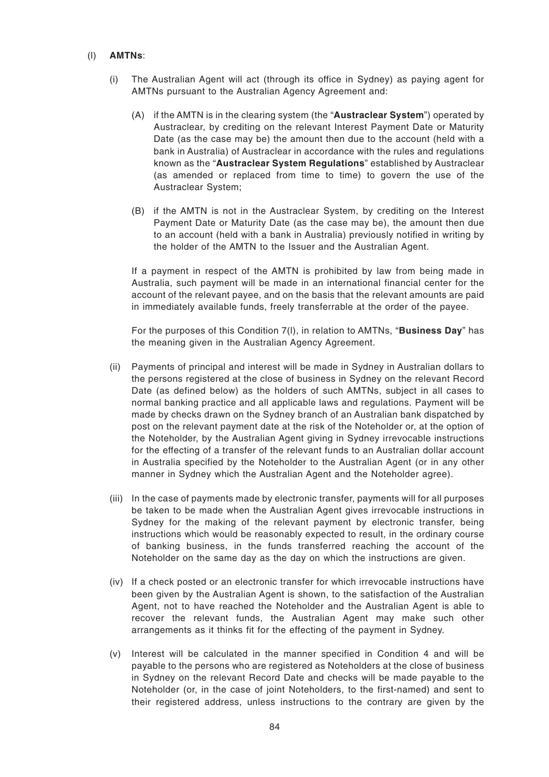#### (l) **AMTNs**:

- (i) The Australian Agent will act (through its office in Sydney) as paying agent for AMTNs pursuant to the Australian Agency Agreement and:
	- (A) if the AMTN is in the clearing system (the "**Austraclear System**") operated by Austraclear, by crediting on the relevant Interest Payment Date or Maturity Date (as the case may be) the amount then due to the account (held with a bank in Australia) of Austraclear in accordance with the rules and regulations known as the "**Austraclear System Regulations**" established by Austraclear (as amended or replaced from time to time) to govern the use of the Austraclear System;
	- (B) if the AMTN is not in the Austraclear System, by crediting on the Interest Payment Date or Maturity Date (as the case may be), the amount then due to an account (held with a bank in Australia) previously notified in writing by the holder of the AMTN to the Issuer and the Australian Agent.

If a payment in respect of the AMTN is prohibited by law from being made in Australia, such payment will be made in an international financial center for the account of the relevant payee, and on the basis that the relevant amounts are paid in immediately available funds, freely transferrable at the order of the payee.

For the purposes of this Condition 7(l), in relation to AMTNs, "**Business Day**" has the meaning given in the Australian Agency Agreement.

- (ii) Payments of principal and interest will be made in Sydney in Australian dollars to the persons registered at the close of business in Sydney on the relevant Record Date (as defined below) as the holders of such AMTNs, subject in all cases to normal banking practice and all applicable laws and regulations. Payment will be made by checks drawn on the Sydney branch of an Australian bank dispatched by post on the relevant payment date at the risk of the Noteholder or, at the option of the Noteholder, by the Australian Agent giving in Sydney irrevocable instructions for the effecting of a transfer of the relevant funds to an Australian dollar account in Australia specified by the Noteholder to the Australian Agent (or in any other manner in Sydney which the Australian Agent and the Noteholder agree).
- (iii) In the case of payments made by electronic transfer, payments will for all purposes be taken to be made when the Australian Agent gives irrevocable instructions in Sydney for the making of the relevant payment by electronic transfer, being instructions which would be reasonably expected to result, in the ordinary course of banking business, in the funds transferred reaching the account of the Noteholder on the same day as the day on which the instructions are given.
- (iv) If a check posted or an electronic transfer for which irrevocable instructions have been given by the Australian Agent is shown, to the satisfaction of the Australian Agent, not to have reached the Noteholder and the Australian Agent is able to recover the relevant funds, the Australian Agent may make such other arrangements as it thinks fit for the effecting of the payment in Sydney.
- (v) Interest will be calculated in the manner specified in Condition 4 and will be payable to the persons who are registered as Noteholders at the close of business in Sydney on the relevant Record Date and checks will be made payable to the Noteholder (or, in the case of joint Noteholders, to the first-named) and sent to their registered address, unless instructions to the contrary are given by the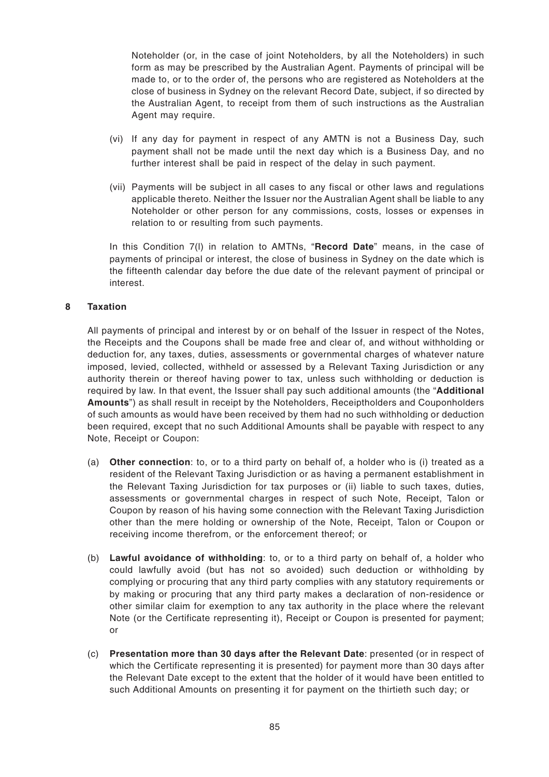Noteholder (or, in the case of joint Noteholders, by all the Noteholders) in such form as may be prescribed by the Australian Agent. Payments of principal will be made to, or to the order of, the persons who are registered as Noteholders at the close of business in Sydney on the relevant Record Date, subject, if so directed by the Australian Agent, to receipt from them of such instructions as the Australian Agent may require.

- (vi) If any day for payment in respect of any AMTN is not a Business Day, such payment shall not be made until the next day which is a Business Day, and no further interest shall be paid in respect of the delay in such payment.
- (vii) Payments will be subject in all cases to any fiscal or other laws and regulations applicable thereto. Neither the Issuer nor the Australian Agent shall be liable to any Noteholder or other person for any commissions, costs, losses or expenses in relation to or resulting from such payments.

In this Condition 7(l) in relation to AMTNs, "**Record Date**" means, in the case of payments of principal or interest, the close of business in Sydney on the date which is the fifteenth calendar day before the due date of the relevant payment of principal or interest.

# **8 Taxation**

All payments of principal and interest by or on behalf of the Issuer in respect of the Notes, the Receipts and the Coupons shall be made free and clear of, and without withholding or deduction for, any taxes, duties, assessments or governmental charges of whatever nature imposed, levied, collected, withheld or assessed by a Relevant Taxing Jurisdiction or any authority therein or thereof having power to tax, unless such withholding or deduction is required by law. In that event, the Issuer shall pay such additional amounts (the "**Additional Amounts**") as shall result in receipt by the Noteholders, Receiptholders and Couponholders of such amounts as would have been received by them had no such withholding or deduction been required, except that no such Additional Amounts shall be payable with respect to any Note, Receipt or Coupon:

- (a) **Other connection**: to, or to a third party on behalf of, a holder who is (i) treated as a resident of the Relevant Taxing Jurisdiction or as having a permanent establishment in the Relevant Taxing Jurisdiction for tax purposes or (ii) liable to such taxes, duties, assessments or governmental charges in respect of such Note, Receipt, Talon or Coupon by reason of his having some connection with the Relevant Taxing Jurisdiction other than the mere holding or ownership of the Note, Receipt, Talon or Coupon or receiving income therefrom, or the enforcement thereof; or
- (b) **Lawful avoidance of withholding**: to, or to a third party on behalf of, a holder who could lawfully avoid (but has not so avoided) such deduction or withholding by complying or procuring that any third party complies with any statutory requirements or by making or procuring that any third party makes a declaration of non-residence or other similar claim for exemption to any tax authority in the place where the relevant Note (or the Certificate representing it), Receipt or Coupon is presented for payment; or
- (c) **Presentation more than 30 days after the Relevant Date**: presented (or in respect of which the Certificate representing it is presented) for payment more than 30 days after the Relevant Date except to the extent that the holder of it would have been entitled to such Additional Amounts on presenting it for payment on the thirtieth such day; or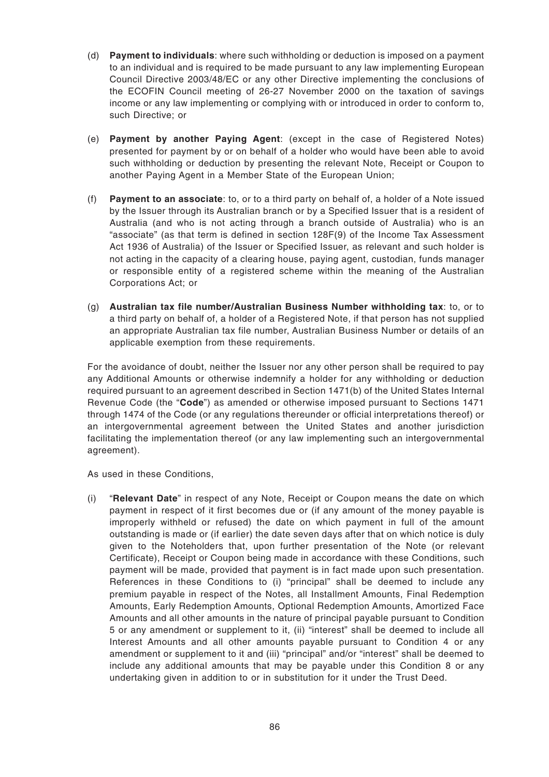- (d) **Payment to individuals**: where such withholding or deduction is imposed on a payment to an individual and is required to be made pursuant to any law implementing European Council Directive 2003/48/EC or any other Directive implementing the conclusions of the ECOFIN Council meeting of 26-27 November 2000 on the taxation of savings income or any law implementing or complying with or introduced in order to conform to, such Directive; or
- (e) **Payment by another Paying Agent**: (except in the case of Registered Notes) presented for payment by or on behalf of a holder who would have been able to avoid such withholding or deduction by presenting the relevant Note, Receipt or Coupon to another Paying Agent in a Member State of the European Union;
- (f) **Payment to an associate**: to, or to a third party on behalf of, a holder of a Note issued by the Issuer through its Australian branch or by a Specified Issuer that is a resident of Australia (and who is not acting through a branch outside of Australia) who is an "associate" (as that term is defined in section 128F(9) of the Income Tax Assessment Act 1936 of Australia) of the Issuer or Specified Issuer, as relevant and such holder is not acting in the capacity of a clearing house, paying agent, custodian, funds manager or responsible entity of a registered scheme within the meaning of the Australian Corporations Act; or
- (g) **Australian tax file number/Australian Business Number withholding tax**: to, or to a third party on behalf of, a holder of a Registered Note, if that person has not supplied an appropriate Australian tax file number, Australian Business Number or details of an applicable exemption from these requirements.

For the avoidance of doubt, neither the Issuer nor any other person shall be required to pay any Additional Amounts or otherwise indemnify a holder for any withholding or deduction required pursuant to an agreement described in Section 1471(b) of the United States Internal Revenue Code (the "**Code**") as amended or otherwise imposed pursuant to Sections 1471 through 1474 of the Code (or any regulations thereunder or official interpretations thereof) or an intergovernmental agreement between the United States and another jurisdiction facilitating the implementation thereof (or any law implementing such an intergovernmental agreement).

As used in these Conditions,

(i) "**Relevant Date**" in respect of any Note, Receipt or Coupon means the date on which payment in respect of it first becomes due or (if any amount of the money payable is improperly withheld or refused) the date on which payment in full of the amount outstanding is made or (if earlier) the date seven days after that on which notice is duly given to the Noteholders that, upon further presentation of the Note (or relevant Certificate), Receipt or Coupon being made in accordance with these Conditions, such payment will be made, provided that payment is in fact made upon such presentation. References in these Conditions to (i) "principal" shall be deemed to include any premium payable in respect of the Notes, all Installment Amounts, Final Redemption Amounts, Early Redemption Amounts, Optional Redemption Amounts, Amortized Face Amounts and all other amounts in the nature of principal payable pursuant to Condition 5 or any amendment or supplement to it, (ii) "interest" shall be deemed to include all Interest Amounts and all other amounts payable pursuant to Condition 4 or any amendment or supplement to it and (iii) "principal" and/or "interest" shall be deemed to include any additional amounts that may be payable under this Condition 8 or any undertaking given in addition to or in substitution for it under the Trust Deed.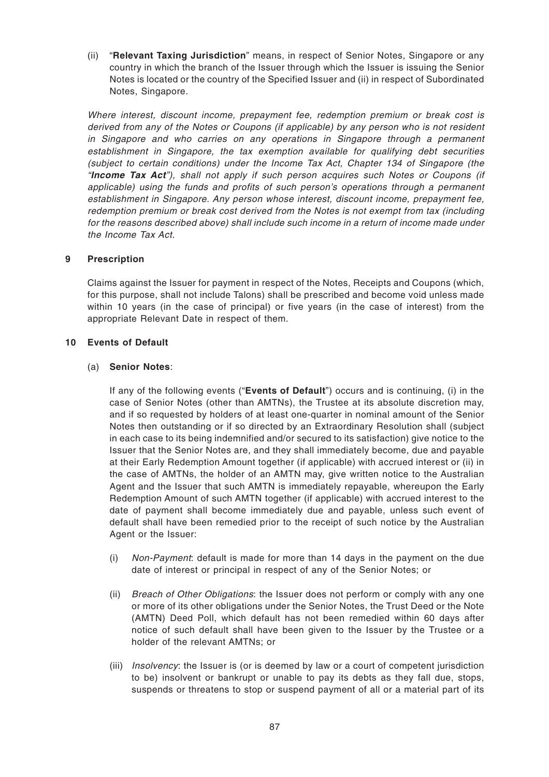(ii) "**Relevant Taxing Jurisdiction**" means, in respect of Senior Notes, Singapore or any country in which the branch of the Issuer through which the Issuer is issuing the Senior Notes is located or the country of the Specified Issuer and (ii) in respect of Subordinated Notes, Singapore.

Where interest, discount income, prepayment fee, redemption premium or break cost is derived from any of the Notes or Coupons (if applicable) by any person who is not resident in Singapore and who carries on any operations in Singapore through a permanent establishment in Singapore, the tax exemption available for qualifying debt securities (subject to certain conditions) under the Income Tax Act, Chapter 134 of Singapore (the "**Income Tax Act**"), shall not apply if such person acquires such Notes or Coupons (if applicable) using the funds and profits of such person's operations through a permanent establishment in Singapore. Any person whose interest, discount income, prepayment fee, redemption premium or break cost derived from the Notes is not exempt from tax (including for the reasons described above) shall include such income in a return of income made under the Income Tax Act.

## **9 Prescription**

Claims against the Issuer for payment in respect of the Notes, Receipts and Coupons (which, for this purpose, shall not include Talons) shall be prescribed and become void unless made within 10 years (in the case of principal) or five years (in the case of interest) from the appropriate Relevant Date in respect of them.

#### **10 Events of Default**

#### (a) **Senior Notes**:

If any of the following events ("**Events of Default**") occurs and is continuing, (i) in the case of Senior Notes (other than AMTNs), the Trustee at its absolute discretion may, and if so requested by holders of at least one-quarter in nominal amount of the Senior Notes then outstanding or if so directed by an Extraordinary Resolution shall (subject in each case to its being indemnified and/or secured to its satisfaction) give notice to the Issuer that the Senior Notes are, and they shall immediately become, due and payable at their Early Redemption Amount together (if applicable) with accrued interest or (ii) in the case of AMTNs, the holder of an AMTN may, give written notice to the Australian Agent and the Issuer that such AMTN is immediately repayable, whereupon the Early Redemption Amount of such AMTN together (if applicable) with accrued interest to the date of payment shall become immediately due and payable, unless such event of default shall have been remedied prior to the receipt of such notice by the Australian Agent or the Issuer:

- (i) Non-Payment: default is made for more than 14 days in the payment on the due date of interest or principal in respect of any of the Senior Notes; or
- (ii) Breach of Other Obligations: the Issuer does not perform or comply with any one or more of its other obligations under the Senior Notes, the Trust Deed or the Note (AMTN) Deed Poll, which default has not been remedied within 60 days after notice of such default shall have been given to the Issuer by the Trustee or a holder of the relevant AMTNs; or
- (iii) Insolvency: the Issuer is (or is deemed by law or a court of competent jurisdiction to be) insolvent or bankrupt or unable to pay its debts as they fall due, stops, suspends or threatens to stop or suspend payment of all or a material part of its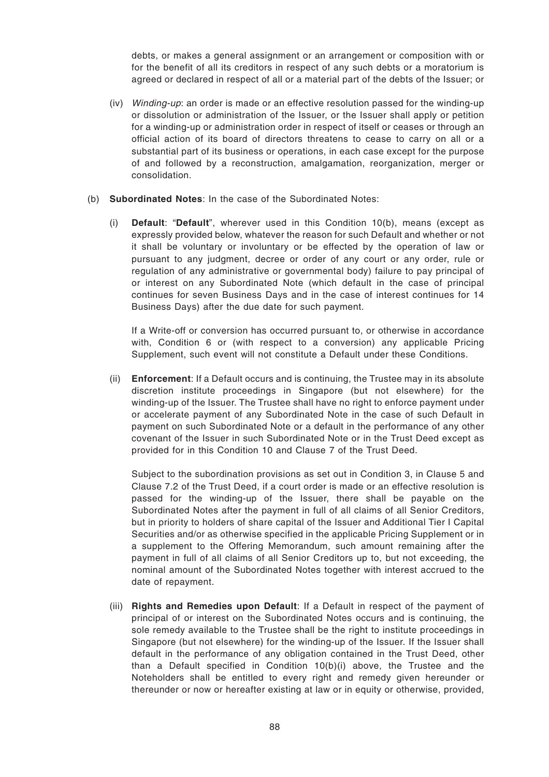debts, or makes a general assignment or an arrangement or composition with or for the benefit of all its creditors in respect of any such debts or a moratorium is agreed or declared in respect of all or a material part of the debts of the Issuer; or

- (iv) Winding-up: an order is made or an effective resolution passed for the winding-up or dissolution or administration of the Issuer, or the Issuer shall apply or petition for a winding-up or administration order in respect of itself or ceases or through an official action of its board of directors threatens to cease to carry on all or a substantial part of its business or operations, in each case except for the purpose of and followed by a reconstruction, amalgamation, reorganization, merger or consolidation.
- (b) **Subordinated Notes**: In the case of the Subordinated Notes:
	- (i) **Default**: "**Default**", wherever used in this Condition 10(b), means (except as expressly provided below, whatever the reason for such Default and whether or not it shall be voluntary or involuntary or be effected by the operation of law or pursuant to any judgment, decree or order of any court or any order, rule or regulation of any administrative or governmental body) failure to pay principal of or interest on any Subordinated Note (which default in the case of principal continues for seven Business Days and in the case of interest continues for 14 Business Days) after the due date for such payment.

If a Write-off or conversion has occurred pursuant to, or otherwise in accordance with, Condition 6 or (with respect to a conversion) any applicable Pricing Supplement, such event will not constitute a Default under these Conditions.

(ii) **Enforcement**: If a Default occurs and is continuing, the Trustee may in its absolute discretion institute proceedings in Singapore (but not elsewhere) for the winding-up of the Issuer. The Trustee shall have no right to enforce payment under or accelerate payment of any Subordinated Note in the case of such Default in payment on such Subordinated Note or a default in the performance of any other covenant of the Issuer in such Subordinated Note or in the Trust Deed except as provided for in this Condition 10 and Clause 7 of the Trust Deed.

Subject to the subordination provisions as set out in Condition 3, in Clause 5 and Clause 7.2 of the Trust Deed, if a court order is made or an effective resolution is passed for the winding-up of the Issuer, there shall be payable on the Subordinated Notes after the payment in full of all claims of all Senior Creditors, but in priority to holders of share capital of the Issuer and Additional Tier I Capital Securities and/or as otherwise specified in the applicable Pricing Supplement or in a supplement to the Offering Memorandum, such amount remaining after the payment in full of all claims of all Senior Creditors up to, but not exceeding, the nominal amount of the Subordinated Notes together with interest accrued to the date of repayment.

(iii) **Rights and Remedies upon Default**: If a Default in respect of the payment of principal of or interest on the Subordinated Notes occurs and is continuing, the sole remedy available to the Trustee shall be the right to institute proceedings in Singapore (but not elsewhere) for the winding-up of the Issuer. If the Issuer shall default in the performance of any obligation contained in the Trust Deed, other than a Default specified in Condition 10(b)(i) above, the Trustee and the Noteholders shall be entitled to every right and remedy given hereunder or thereunder or now or hereafter existing at law or in equity or otherwise, provided,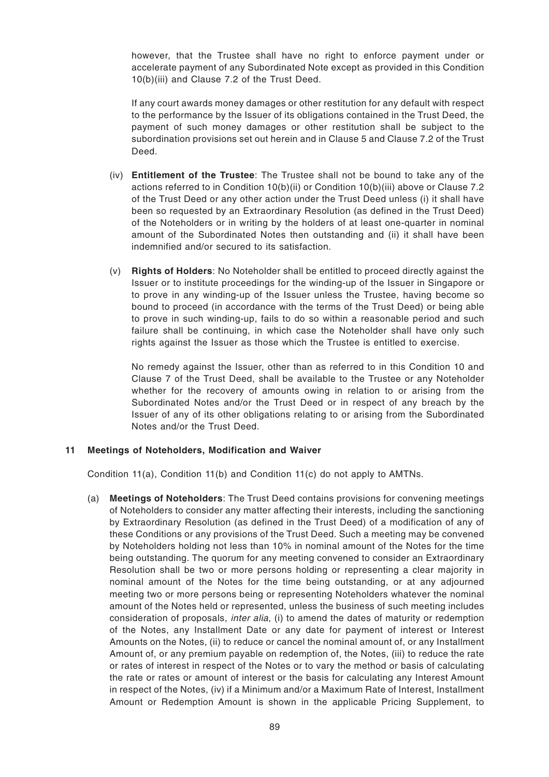however, that the Trustee shall have no right to enforce payment under or accelerate payment of any Subordinated Note except as provided in this Condition 10(b)(iii) and Clause 7.2 of the Trust Deed.

If any court awards money damages or other restitution for any default with respect to the performance by the Issuer of its obligations contained in the Trust Deed, the payment of such money damages or other restitution shall be subject to the subordination provisions set out herein and in Clause 5 and Clause 7.2 of the Trust Deed.

- (iv) **Entitlement of the Trustee**: The Trustee shall not be bound to take any of the actions referred to in Condition 10(b)(ii) or Condition 10(b)(iii) above or Clause 7.2 of the Trust Deed or any other action under the Trust Deed unless (i) it shall have been so requested by an Extraordinary Resolution (as defined in the Trust Deed) of the Noteholders or in writing by the holders of at least one-quarter in nominal amount of the Subordinated Notes then outstanding and (ii) it shall have been indemnified and/or secured to its satisfaction.
- (v) **Rights of Holders**: No Noteholder shall be entitled to proceed directly against the Issuer or to institute proceedings for the winding-up of the Issuer in Singapore or to prove in any winding-up of the Issuer unless the Trustee, having become so bound to proceed (in accordance with the terms of the Trust Deed) or being able to prove in such winding-up, fails to do so within a reasonable period and such failure shall be continuing, in which case the Noteholder shall have only such rights against the Issuer as those which the Trustee is entitled to exercise.

No remedy against the Issuer, other than as referred to in this Condition 10 and Clause 7 of the Trust Deed, shall be available to the Trustee or any Noteholder whether for the recovery of amounts owing in relation to or arising from the Subordinated Notes and/or the Trust Deed or in respect of any breach by the Issuer of any of its other obligations relating to or arising from the Subordinated Notes and/or the Trust Deed.

## **11 Meetings of Noteholders, Modification and Waiver**

Condition 11(a), Condition 11(b) and Condition 11(c) do not apply to AMTNs.

(a) **Meetings of Noteholders**: The Trust Deed contains provisions for convening meetings of Noteholders to consider any matter affecting their interests, including the sanctioning by Extraordinary Resolution (as defined in the Trust Deed) of a modification of any of these Conditions or any provisions of the Trust Deed. Such a meeting may be convened by Noteholders holding not less than 10% in nominal amount of the Notes for the time being outstanding. The quorum for any meeting convened to consider an Extraordinary Resolution shall be two or more persons holding or representing a clear majority in nominal amount of the Notes for the time being outstanding, or at any adjourned meeting two or more persons being or representing Noteholders whatever the nominal amount of the Notes held or represented, unless the business of such meeting includes consideration of proposals, *inter alia*, (i) to amend the dates of maturity or redemption of the Notes, any Installment Date or any date for payment of interest or Interest Amounts on the Notes, (ii) to reduce or cancel the nominal amount of, or any Installment Amount of, or any premium payable on redemption of, the Notes, (iii) to reduce the rate or rates of interest in respect of the Notes or to vary the method or basis of calculating the rate or rates or amount of interest or the basis for calculating any Interest Amount in respect of the Notes, (iv) if a Minimum and/or a Maximum Rate of Interest, Installment Amount or Redemption Amount is shown in the applicable Pricing Supplement, to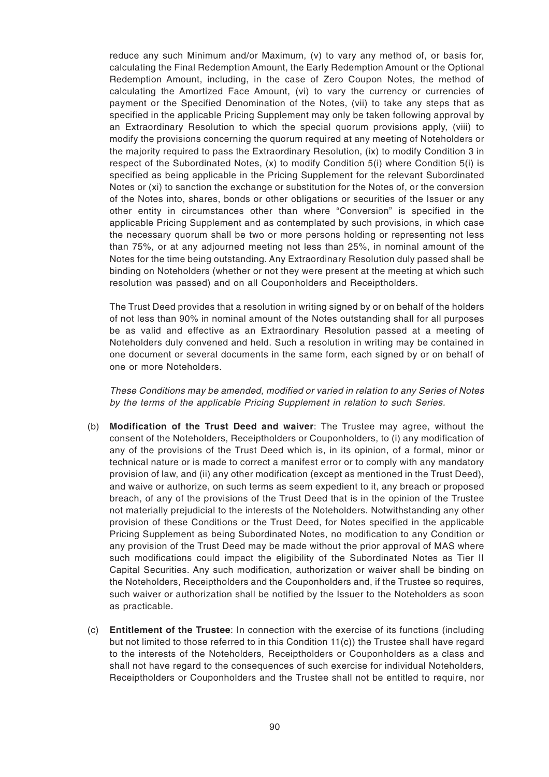reduce any such Minimum and/or Maximum, (v) to vary any method of, or basis for, calculating the Final Redemption Amount, the Early Redemption Amount or the Optional Redemption Amount, including, in the case of Zero Coupon Notes, the method of calculating the Amortized Face Amount, (vi) to vary the currency or currencies of payment or the Specified Denomination of the Notes, (vii) to take any steps that as specified in the applicable Pricing Supplement may only be taken following approval by an Extraordinary Resolution to which the special quorum provisions apply, (viii) to modify the provisions concerning the quorum required at any meeting of Noteholders or the majority required to pass the Extraordinary Resolution, (ix) to modify Condition 3 in respect of the Subordinated Notes, (x) to modify Condition 5(i) where Condition 5(i) is specified as being applicable in the Pricing Supplement for the relevant Subordinated Notes or (xi) to sanction the exchange or substitution for the Notes of, or the conversion of the Notes into, shares, bonds or other obligations or securities of the Issuer or any other entity in circumstances other than where "Conversion" is specified in the applicable Pricing Supplement and as contemplated by such provisions, in which case the necessary quorum shall be two or more persons holding or representing not less than 75%, or at any adjourned meeting not less than 25%, in nominal amount of the Notes for the time being outstanding. Any Extraordinary Resolution duly passed shall be binding on Noteholders (whether or not they were present at the meeting at which such resolution was passed) and on all Couponholders and Receiptholders.

The Trust Deed provides that a resolution in writing signed by or on behalf of the holders of not less than 90% in nominal amount of the Notes outstanding shall for all purposes be as valid and effective as an Extraordinary Resolution passed at a meeting of Noteholders duly convened and held. Such a resolution in writing may be contained in one document or several documents in the same form, each signed by or on behalf of one or more Noteholders.

These Conditions may be amended, modified or varied in relation to any Series of Notes by the terms of the applicable Pricing Supplement in relation to such Series.

- (b) **Modification of the Trust Deed and waiver**: The Trustee may agree, without the consent of the Noteholders, Receiptholders or Couponholders, to (i) any modification of any of the provisions of the Trust Deed which is, in its opinion, of a formal, minor or technical nature or is made to correct a manifest error or to comply with any mandatory provision of law, and (ii) any other modification (except as mentioned in the Trust Deed), and waive or authorize, on such terms as seem expedient to it, any breach or proposed breach, of any of the provisions of the Trust Deed that is in the opinion of the Trustee not materially prejudicial to the interests of the Noteholders. Notwithstanding any other provision of these Conditions or the Trust Deed, for Notes specified in the applicable Pricing Supplement as being Subordinated Notes, no modification to any Condition or any provision of the Trust Deed may be made without the prior approval of MAS where such modifications could impact the eligibility of the Subordinated Notes as Tier II Capital Securities. Any such modification, authorization or waiver shall be binding on the Noteholders, Receiptholders and the Couponholders and, if the Trustee so requires, such waiver or authorization shall be notified by the Issuer to the Noteholders as soon as practicable.
- (c) **Entitlement of the Trustee**: In connection with the exercise of its functions (including but not limited to those referred to in this Condition 11(c)) the Trustee shall have regard to the interests of the Noteholders, Receiptholders or Couponholders as a class and shall not have regard to the consequences of such exercise for individual Noteholders, Receiptholders or Couponholders and the Trustee shall not be entitled to require, nor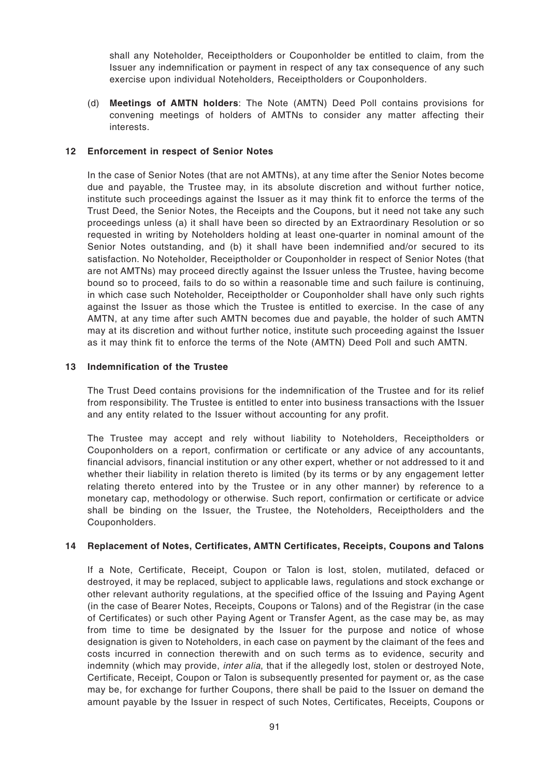shall any Noteholder, Receiptholders or Couponholder be entitled to claim, from the Issuer any indemnification or payment in respect of any tax consequence of any such exercise upon individual Noteholders, Receiptholders or Couponholders.

(d) **Meetings of AMTN holders**: The Note (AMTN) Deed Poll contains provisions for convening meetings of holders of AMTNs to consider any matter affecting their interests.

## **12 Enforcement in respect of Senior Notes**

In the case of Senior Notes (that are not AMTNs), at any time after the Senior Notes become due and payable, the Trustee may, in its absolute discretion and without further notice, institute such proceedings against the Issuer as it may think fit to enforce the terms of the Trust Deed, the Senior Notes, the Receipts and the Coupons, but it need not take any such proceedings unless (a) it shall have been so directed by an Extraordinary Resolution or so requested in writing by Noteholders holding at least one-quarter in nominal amount of the Senior Notes outstanding, and (b) it shall have been indemnified and/or secured to its satisfaction. No Noteholder, Receiptholder or Couponholder in respect of Senior Notes (that are not AMTNs) may proceed directly against the Issuer unless the Trustee, having become bound so to proceed, fails to do so within a reasonable time and such failure is continuing, in which case such Noteholder, Receiptholder or Couponholder shall have only such rights against the Issuer as those which the Trustee is entitled to exercise. In the case of any AMTN, at any time after such AMTN becomes due and payable, the holder of such AMTN may at its discretion and without further notice, institute such proceeding against the Issuer as it may think fit to enforce the terms of the Note (AMTN) Deed Poll and such AMTN.

#### **13 Indemnification of the Trustee**

The Trust Deed contains provisions for the indemnification of the Trustee and for its relief from responsibility. The Trustee is entitled to enter into business transactions with the Issuer and any entity related to the Issuer without accounting for any profit.

The Trustee may accept and rely without liability to Noteholders, Receiptholders or Couponholders on a report, confirmation or certificate or any advice of any accountants, financial advisors, financial institution or any other expert, whether or not addressed to it and whether their liability in relation thereto is limited (by its terms or by any engagement letter relating thereto entered into by the Trustee or in any other manner) by reference to a monetary cap, methodology or otherwise. Such report, confirmation or certificate or advice shall be binding on the Issuer, the Trustee, the Noteholders, Receiptholders and the Couponholders.

## **14 Replacement of Notes, Certificates, AMTN Certificates, Receipts, Coupons and Talons**

If a Note, Certificate, Receipt, Coupon or Talon is lost, stolen, mutilated, defaced or destroyed, it may be replaced, subject to applicable laws, regulations and stock exchange or other relevant authority regulations, at the specified office of the Issuing and Paying Agent (in the case of Bearer Notes, Receipts, Coupons or Talons) and of the Registrar (in the case of Certificates) or such other Paying Agent or Transfer Agent, as the case may be, as may from time to time be designated by the Issuer for the purpose and notice of whose designation is given to Noteholders, in each case on payment by the claimant of the fees and costs incurred in connection therewith and on such terms as to evidence, security and indemnity (which may provide, *inter alia*, that if the allegedly lost, stolen or destroyed Note, Certificate, Receipt, Coupon or Talon is subsequently presented for payment or, as the case may be, for exchange for further Coupons, there shall be paid to the Issuer on demand the amount payable by the Issuer in respect of such Notes, Certificates, Receipts, Coupons or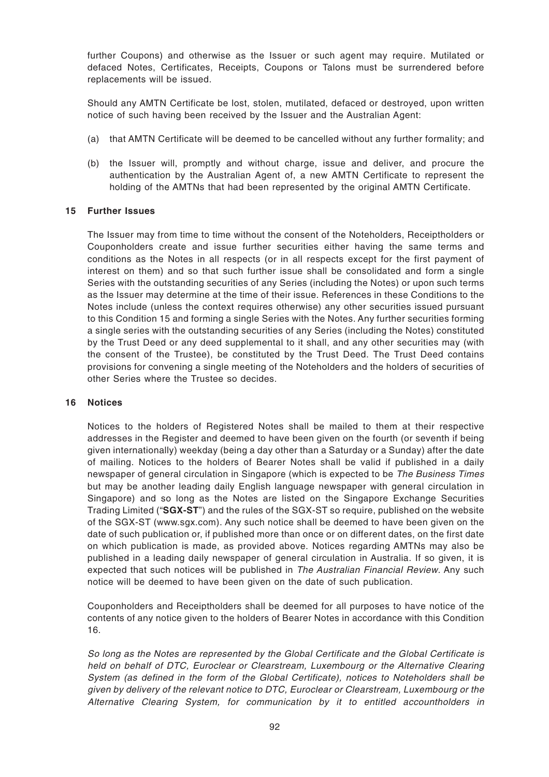further Coupons) and otherwise as the Issuer or such agent may require. Mutilated or defaced Notes, Certificates, Receipts, Coupons or Talons must be surrendered before replacements will be issued.

Should any AMTN Certificate be lost, stolen, mutilated, defaced or destroyed, upon written notice of such having been received by the Issuer and the Australian Agent:

- (a) that AMTN Certificate will be deemed to be cancelled without any further formality; and
- (b) the Issuer will, promptly and without charge, issue and deliver, and procure the authentication by the Australian Agent of, a new AMTN Certificate to represent the holding of the AMTNs that had been represented by the original AMTN Certificate.

## **15 Further Issues**

The Issuer may from time to time without the consent of the Noteholders, Receiptholders or Couponholders create and issue further securities either having the same terms and conditions as the Notes in all respects (or in all respects except for the first payment of interest on them) and so that such further issue shall be consolidated and form a single Series with the outstanding securities of any Series (including the Notes) or upon such terms as the Issuer may determine at the time of their issue. References in these Conditions to the Notes include (unless the context requires otherwise) any other securities issued pursuant to this Condition 15 and forming a single Series with the Notes. Any further securities forming a single series with the outstanding securities of any Series (including the Notes) constituted by the Trust Deed or any deed supplemental to it shall, and any other securities may (with the consent of the Trustee), be constituted by the Trust Deed. The Trust Deed contains provisions for convening a single meeting of the Noteholders and the holders of securities of other Series where the Trustee so decides.

## **16 Notices**

Notices to the holders of Registered Notes shall be mailed to them at their respective addresses in the Register and deemed to have been given on the fourth (or seventh if being given internationally) weekday (being a day other than a Saturday or a Sunday) after the date of mailing. Notices to the holders of Bearer Notes shall be valid if published in a daily newspaper of general circulation in Singapore (which is expected to be The Business Times but may be another leading daily English language newspaper with general circulation in Singapore) and so long as the Notes are listed on the Singapore Exchange Securities Trading Limited ("**SGX-ST**") and the rules of the SGX-ST so require, published on the website of the SGX-ST (www.sgx.com). Any such notice shall be deemed to have been given on the date of such publication or, if published more than once or on different dates, on the first date on which publication is made, as provided above. Notices regarding AMTNs may also be published in a leading daily newspaper of general circulation in Australia. If so given, it is expected that such notices will be published in The Australian Financial Review. Any such notice will be deemed to have been given on the date of such publication.

Couponholders and Receiptholders shall be deemed for all purposes to have notice of the contents of any notice given to the holders of Bearer Notes in accordance with this Condition 16.

So long as the Notes are represented by the Global Certificate and the Global Certificate is held on behalf of DTC, Euroclear or Clearstream, Luxembourg or the Alternative Clearing System (as defined in the form of the Global Certificate), notices to Noteholders shall be given by delivery of the relevant notice to DTC, Euroclear or Clearstream, Luxembourg or the Alternative Clearing System, for communication by it to entitled accountholders in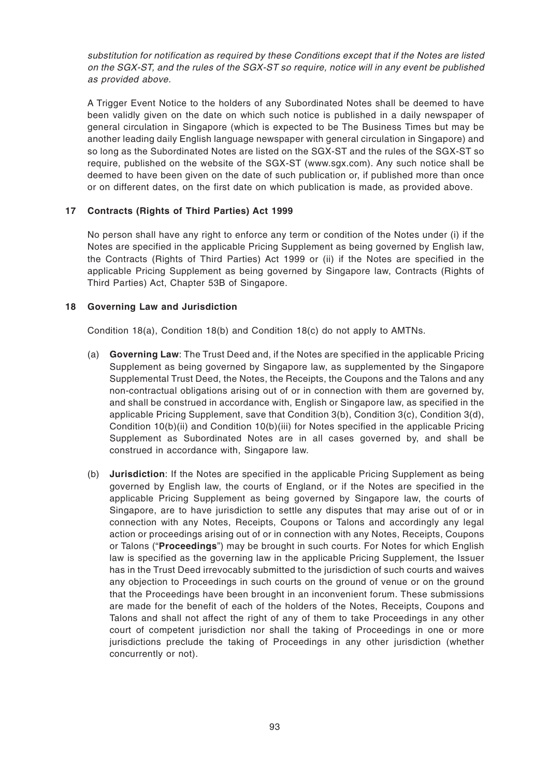substitution for notification as required by these Conditions except that if the Notes are listed on the SGX-ST, and the rules of the SGX-ST so require, notice will in any event be published as provided above.

A Trigger Event Notice to the holders of any Subordinated Notes shall be deemed to have been validly given on the date on which such notice is published in a daily newspaper of general circulation in Singapore (which is expected to be The Business Times but may be another leading daily English language newspaper with general circulation in Singapore) and so long as the Subordinated Notes are listed on the SGX-ST and the rules of the SGX-ST so require, published on the website of the SGX-ST (www.sgx.com). Any such notice shall be deemed to have been given on the date of such publication or, if published more than once or on different dates, on the first date on which publication is made, as provided above.

# **17 Contracts (Rights of Third Parties) Act 1999**

No person shall have any right to enforce any term or condition of the Notes under (i) if the Notes are specified in the applicable Pricing Supplement as being governed by English law, the Contracts (Rights of Third Parties) Act 1999 or (ii) if the Notes are specified in the applicable Pricing Supplement as being governed by Singapore law, Contracts (Rights of Third Parties) Act, Chapter 53B of Singapore.

## **18 Governing Law and Jurisdiction**

Condition 18(a), Condition 18(b) and Condition 18(c) do not apply to AMTNs.

- (a) **Governing Law**: The Trust Deed and, if the Notes are specified in the applicable Pricing Supplement as being governed by Singapore law, as supplemented by the Singapore Supplemental Trust Deed, the Notes, the Receipts, the Coupons and the Talons and any non-contractual obligations arising out of or in connection with them are governed by, and shall be construed in accordance with, English or Singapore law, as specified in the applicable Pricing Supplement, save that Condition 3(b), Condition 3(c), Condition 3(d), Condition 10(b)(ii) and Condition 10(b)(iii) for Notes specified in the applicable Pricing Supplement as Subordinated Notes are in all cases governed by, and shall be construed in accordance with, Singapore law.
- (b) **Jurisdiction**: If the Notes are specified in the applicable Pricing Supplement as being governed by English law, the courts of England, or if the Notes are specified in the applicable Pricing Supplement as being governed by Singapore law, the courts of Singapore, are to have jurisdiction to settle any disputes that may arise out of or in connection with any Notes, Receipts, Coupons or Talons and accordingly any legal action or proceedings arising out of or in connection with any Notes, Receipts, Coupons or Talons ("**Proceedings**") may be brought in such courts. For Notes for which English law is specified as the governing law in the applicable Pricing Supplement, the Issuer has in the Trust Deed irrevocably submitted to the jurisdiction of such courts and waives any objection to Proceedings in such courts on the ground of venue or on the ground that the Proceedings have been brought in an inconvenient forum. These submissions are made for the benefit of each of the holders of the Notes, Receipts, Coupons and Talons and shall not affect the right of any of them to take Proceedings in any other court of competent jurisdiction nor shall the taking of Proceedings in one or more jurisdictions preclude the taking of Proceedings in any other jurisdiction (whether concurrently or not).